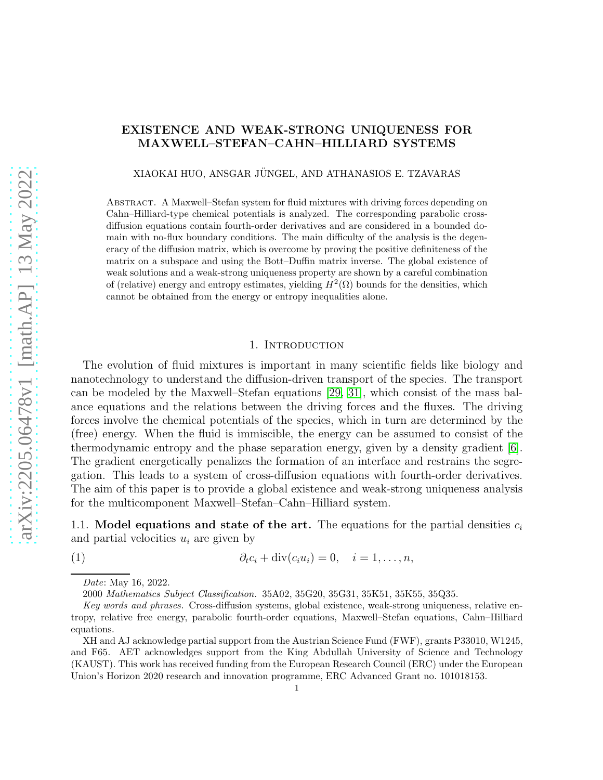# EXISTENCE AND WEAK-STRONG UNIQUENESS FOR MAXWELL–STEFAN–CAHN–HILLIARD SYSTEMS

XIAOKAI HUO, ANSGAR JUNGEL, AND ATHANASIOS E. TZAVARAS ¨

Abstract. A Maxwell–Stefan system for fluid mixtures with driving forces depending on Cahn–Hilliard-type chemical potentials is analyzed. The corresponding parabolic crossdiffusion equations contain fourth-order derivatives and are considered in a bounded domain with no-flux boundary conditions. The main difficulty of the analysis is the degeneracy of the diffusion matrix, which is overcome by proving the positive definiteness of the matrix on a subspace and using the Bott–Duffin matrix inverse. The global existence of weak solutions and a weak-strong uniqueness property are shown by a careful combination of (relative) energy and entropy estimates, yielding  $H^2(\Omega)$  bounds for the densities, which cannot be obtained from the energy or entropy inequalities alone.

#### 1. INTRODUCTION

The evolution of fluid mixtures is important in many scientific fields like biology and nanotechnology to understand the diffusion-driven transport of the species. The transport can be modeled by the Maxwell–Stefan equations [\[29,](#page-41-0) [31\]](#page-41-1), which consist of the mass balance equations and the relations between the driving forces and the fluxes. The driving forces involve the chemical potentials of the species, which in turn are determined by the (free) energy. When the fluid is immiscible, the energy can be assumed to consist of the thermodynamic entropy and the phase separation energy, given by a density gradient [\[6\]](#page-40-0). The gradient energetically penalizes the formation of an interface and restrains the segregation. This leads to a system of cross-diffusion equations with fourth-order derivatives. The aim of this paper is to provide a global existence and weak-strong uniqueness analysis for the multicomponent Maxwell–Stefan–Cahn–Hilliard system.

1.1. Model equations and state of the art. The equations for the partial densities  $c_i$ and partial velocities  $u_i$  are given by

<span id="page-0-0"></span>(1)  $\partial_t c_i + \text{div}(c_i u_i) = 0, \quad i = 1, ..., n,$ 

2000 Mathematics Subject Classification. 35A02, 35G20, 35G31, 35K51, 35K55, 35Q35.

XH and AJ acknowledge partial support from the Austrian Science Fund (FWF), grants P33010, W1245, and F65. AET acknowledges support from the King Abdullah University of Science and Technology (KAUST). This work has received funding from the European Research Council (ERC) under the European Union's Horizon 2020 research and innovation programme, ERC Advanced Grant no. 101018153.

Date: May 16, 2022.

Key words and phrases. Cross-diffusion systems, global existence, weak-strong uniqueness, relative entropy, relative free energy, parabolic fourth-order equations, Maxwell–Stefan equations, Cahn–Hilliard equations.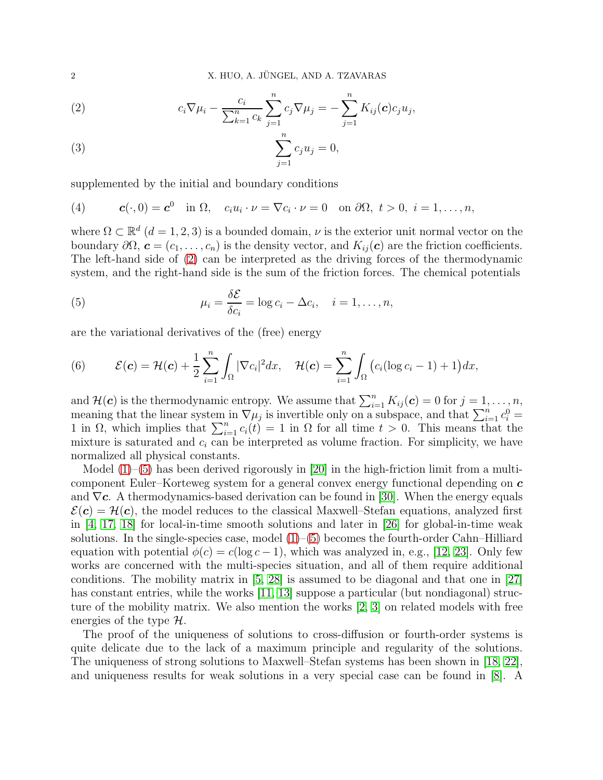<span id="page-1-0"></span>(2) 
$$
c_i \nabla \mu_i - \frac{c_i}{\sum_{k=1}^n c_k} \sum_{j=1}^n c_j \nabla \mu_j = -\sum_{j=1}^n K_{ij}(\mathbf{c}) c_j u_j,
$$

(3) 
$$
\sum_{j=1}^{n} c_j u_j = 0,
$$

supplemented by the initial and boundary conditions

<span id="page-1-2"></span>(4) 
$$
\mathbf{c}(\cdot,0)=\mathbf{c}^0 \quad \text{in } \Omega, \quad c_iu_i\cdot\nu=\nabla c_i\cdot\nu=0 \quad \text{on } \partial\Omega, \ t>0, \ i=1,\ldots,n,
$$

where  $\Omega \subset \mathbb{R}^d$   $(d = 1, 2, 3)$  is a bounded domain,  $\nu$  is the exterior unit normal vector on the boundary  $\partial\Omega$ ,  $\mathbf{c} = (c_1, \ldots, c_n)$  is the density vector, and  $K_{ij}(\mathbf{c})$  are the friction coefficients. The left-hand side of [\(2\)](#page-1-0) can be interpreted as the driving forces of the thermodynamic system, and the right-hand side is the sum of the friction forces. The chemical potentials

<span id="page-1-1"></span>(5) 
$$
\mu_i = \frac{\delta \mathcal{E}}{\delta c_i} = \log c_i - \Delta c_i, \quad i = 1, \dots, n,
$$

are the variational derivatives of the (free) energy

<span id="page-1-3"></span>(6) 
$$
\mathcal{E}(\boldsymbol{c}) = \mathcal{H}(\boldsymbol{c}) + \frac{1}{2} \sum_{i=1}^n \int_{\Omega} |\nabla c_i|^2 dx, \quad \mathcal{H}(\boldsymbol{c}) = \sum_{i=1}^n \int_{\Omega} \big( c_i (\log c_i - 1) + 1 \big) dx,
$$

and  $\mathcal{H}(\mathbf{c})$  is the thermodynamic entropy. We assume that  $\sum_{i=1}^{n} K_{ij}(\mathbf{c}) = 0$  for  $j = 1, \ldots, n$ , meaning that the linear system in  $\nabla \mu_j$  is invertible only on a subspace, and that  $\sum_{i=1}^n c_i^0 =$ 1 in  $\Omega$ , which implies that  $\sum_{i=1}^{n} c_i(t) = 1$  in  $\Omega$  for all time  $t > 0$ . This means that the mixture is saturated and  $c_i$  can be interpreted as volume fraction. For simplicity, we have normalized all physical constants.

Model  $(1)$ – $(5)$  has been derived rigorously in [\[20\]](#page-41-2) in the high-friction limit from a multicomponent Euler–Korteweg system for a general convex energy functional depending on  $c$ and  $\nabla c$ . A thermodynamics-based derivation can be found in [\[30\]](#page-41-3). When the energy equals  $\mathcal{E}(\mathbf{c}) = \mathcal{H}(\mathbf{c})$ , the model reduces to the classical Maxwell–Stefan equations, analyzed first in  $[4, 17, 18]$  $[4, 17, 18]$  $[4, 17, 18]$  for local-in-time smooth solutions and later in  $[26]$  for global-in-time weak solutions. In the single-species case, model  $(1)$ – $(5)$  becomes the fourth-order Cahn–Hilliard equation with potential  $\phi(c) = c(\log c - 1)$ , which was analyzed in, e.g., [\[12,](#page-40-4) [23\]](#page-41-5). Only few works are concerned with the multi-species situation, and all of them require additional conditions. The mobility matrix in [\[5,](#page-40-5) [28\]](#page-41-6) is assumed to be diagonal and that one in [\[27\]](#page-41-7) has constant entries, while the works [\[11,](#page-40-6) [13\]](#page-40-7) suppose a particular (but nondiagonal) structure of the mobility matrix. We also mention the works [\[2,](#page-40-8) [3\]](#page-40-9) on related models with free energies of the type  $\mathcal{H}$ .

The proof of the uniqueness of solutions to cross-diffusion or fourth-order systems is quite delicate due to the lack of a maximum principle and regularity of the solutions. The uniqueness of strong solutions to Maxwell–Stefan systems has been shown in [\[18,](#page-40-3) [22\]](#page-41-8), and uniqueness results for weak solutions in a very special case can be found in [\[8\]](#page-40-10). A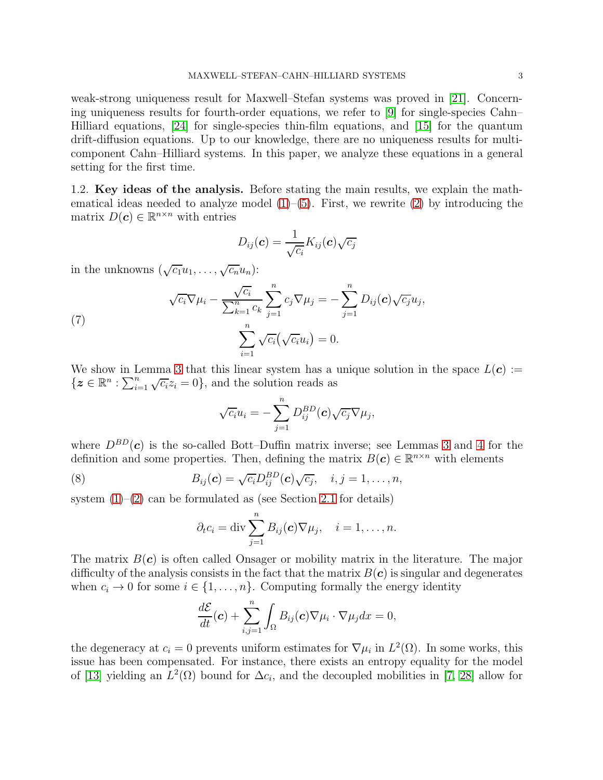weak-strong uniqueness result for Maxwell–Stefan systems was proved in [\[21\]](#page-41-9). Concerning uniqueness results for fourth-order equations, we refer to [\[9\]](#page-40-11) for single-species Cahn– Hilliard equations, [\[24\]](#page-41-10) for single-species thin-film equations, and [\[15\]](#page-40-12) for the quantum drift-diffusion equations. Up to our knowledge, there are no uniqueness results for multicomponent Cahn–Hilliard systems. In this paper, we analyze these equations in a general setting for the first time.

1.2. Key ideas of the analysis. Before stating the main results, we explain the mathematical ideas needed to analyze model  $(1)$ – $(5)$ . First, we rewrite  $(2)$  by introducing the matrix  $D(c) \in \mathbb{R}^{n \times n}$  with entries

$$
D_{ij}(\boldsymbol{c}) = \frac{1}{\sqrt{c_i}} K_{ij}(\boldsymbol{c}) \sqrt{c_j}
$$

in the unknowns  $(\sqrt{c_1}u_1, \ldots, \sqrt{c_n}u_n)$ :

(7) 
$$
\sqrt{c_i} \nabla \mu_i - \frac{\sqrt{c_i}}{\sum_{k=1}^n c_k} \sum_{j=1}^n c_j \nabla \mu_j = -\sum_{j=1}^n D_{ij}(\mathbf{c}) \sqrt{c_j} u_j,
$$

$$
\sum_{i=1}^n \sqrt{c_i} (\sqrt{c_i} u_i) = 0.
$$

We show in Lemma [3](#page-7-0) that this linear system has a unique solution in the space  $L(c) :=$  $\{z \in \mathbb{R}^n : \sum_{i=1}^n \sqrt{c_i} z_i = 0\}$ , and the solution reads as

<span id="page-2-1"></span>
$$
\sqrt{c_i}u_i=-\sum_{j=1}^nD_{ij}^{BD}(\boldsymbol{c})\sqrt{c_j}\nabla\mu_j,
$$

where  $D^{BD}(\mathbf{c})$  is the so-called Bott–Duffin matrix inverse; see Lemmas [3](#page-7-0) and [4](#page-8-0) for the definition and some properties. Then, defining the matrix  $B(c) \in \mathbb{R}^{n \times n}$  with elements

(8) 
$$
B_{ij}(\boldsymbol{c}) = \sqrt{c_i} D_{ij}^{BD}(\boldsymbol{c}) \sqrt{c_j}, \quad i, j = 1, \ldots, n,
$$

system  $(1)$ – $(2)$  can be formulated as (see Section [2.1](#page-7-1) for details)

<span id="page-2-0"></span>
$$
\partial_t c_i = \text{div} \sum_{j=1}^n B_{ij}(\boldsymbol{c}) \nabla \mu_j, \quad i = 1, \dots, n.
$$

The matrix  $B(c)$  is often called Onsager or mobility matrix in the literature. The major difficulty of the analysis consists in the fact that the matrix  $B(c)$  is singular and degenerates when  $c_i \to 0$  for some  $i \in \{1, \ldots, n\}$ . Computing formally the energy identity

$$
\frac{d\mathcal{E}}{dt}(\boldsymbol{c}) + \sum_{i,j=1}^{n} \int_{\Omega} B_{ij}(\boldsymbol{c}) \nabla \mu_i \cdot \nabla \mu_j dx = 0,
$$

the degeneracy at  $c_i = 0$  prevents uniform estimates for  $\nabla \mu_i$  in  $L^2(\Omega)$ . In some works, this issue has been compensated. For instance, there exists an entropy equality for the model of [\[13\]](#page-40-7) yielding an  $L^2(\Omega)$  bound for  $\Delta c_i$ , and the decoupled mobilities in [\[7,](#page-40-13) [28\]](#page-41-6) allow for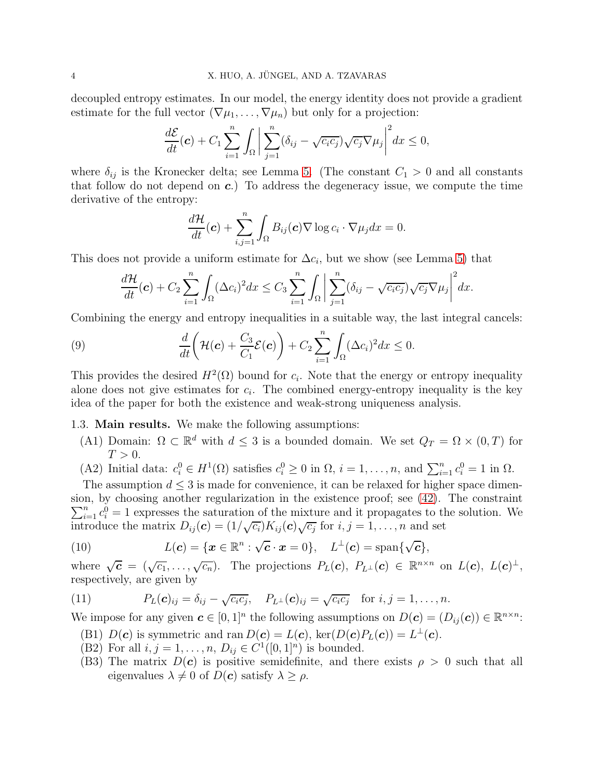decoupled entropy estimates. In our model, the energy identity does not provide a gradient estimate for the full vector  $(\nabla \mu_1, \ldots, \nabla \mu_n)$  but only for a projection:

$$
\frac{d\mathcal{E}}{dt}(\boldsymbol{c}) + C_1 \sum_{i=1}^n \int_{\Omega} \bigg| \sum_{j=1}^n (\delta_{ij} - \sqrt{c_i c_j}) \sqrt{c_j} \nabla \mu_j \bigg|^2 dx \le 0,
$$

where  $\delta_{ij}$  is the Kronecker delta; see Lemma [5.](#page-9-0) (The constant  $C_1 > 0$  and all constants that follow do not depend on  $c$ .) To address the degeneracy issue, we compute the time derivative of the entropy:

$$
\frac{d\mathcal{H}}{dt}(\boldsymbol{c}) + \sum_{i,j=1}^n \int_{\Omega} B_{ij}(\boldsymbol{c}) \nabla \log c_i \cdot \nabla \mu_j dx = 0.
$$

This does not provide a uniform estimate for  $\Delta c_i$ , but we show (see Lemma [5\)](#page-9-0) that

<span id="page-3-1"></span>
$$
\frac{d\mathcal{H}}{dt}(\boldsymbol{c}) + C_2 \sum_{i=1}^n \int_{\Omega} (\Delta c_i)^2 dx \leq C_3 \sum_{i=1}^n \int_{\Omega} \left| \sum_{j=1}^n (\delta_{ij} - \sqrt{c_i c_j}) \sqrt{c_j} \nabla \mu_j \right|^2 dx.
$$

Combining the energy and entropy inequalities in a suitable way, the last integral cancels:

(9) 
$$
\frac{d}{dt}\left(\mathcal{H}(\boldsymbol{c})+\frac{C_3}{C_1}\mathcal{E}(\boldsymbol{c})\right)+C_2\sum_{i=1}^n\int_{\Omega}(\Delta c_i)^2dx\leq 0.
$$

This provides the desired  $H^2(\Omega)$  bound for  $c_i$ . Note that the energy or entropy inequality alone does not give estimates for  $c_i$ . The combined energy-entropy inequality is the key idea of the paper for both the existence and weak-strong uniqueness analysis.

# 1.3. Main results. We make the following assumptions:

- (A1) Domain:  $\Omega \subset \mathbb{R}^d$  with  $d \leq 3$  is a bounded domain. We set  $Q_T = \Omega \times (0, T)$  for  $T>0$ .
- (A2) Initial data:  $c_i^0 \in H^1(\Omega)$  satisfies  $c_i^0 \ge 0$  in  $\Omega$ ,  $i = 1, \ldots, n$ , and  $\sum_{i=1}^n c_i^0 = 1$  in  $\Omega$ .

The assumption  $d \leq 3$  is made for convenience, it can be relaxed for higher space dimension, by choosing another regularization in the existence proof; se e [\(42\)](#page-14-0). The constraint  $\sum_{i=1}^{n} c_i^0 = 1$  expresses the saturation of the mixture and it propagates to the solution. We introduce the matrix  $D_{ij}(\mathbf{c}) = (1/\sqrt{c_i})K_{ij}(\mathbf{c})\sqrt{c_j}$  for  $i, j = 1, \ldots, n$  and set

<span id="page-3-2"></span>(10) 
$$
L(\mathbf{c}) = \{ \mathbf{x} \in \mathbb{R}^n : \sqrt{\mathbf{c}} \cdot \mathbf{x} = 0 \}, \quad L^{\perp}(\mathbf{c}) = \text{span}\{ \sqrt{\mathbf{c}} \},
$$

where  $\sqrt{\mathbf{c}} = (\sqrt{c_1}, \ldots, \sqrt{c_n})$ . The projections  $P_L(\mathbf{c}), P_{L^{\perp}}(\mathbf{c}) \in \mathbb{R}^{n \times n}$  on  $L(\mathbf{c}), L(\mathbf{c})^{\perp}$ , respectively, are given by

<span id="page-3-0"></span>(11) 
$$
P_L(\mathbf{c})_{ij} = \delta_{ij} - \sqrt{c_i c_j}, \quad P_{L^{\perp}}(\mathbf{c})_{ij} = \sqrt{c_i c_j} \quad \text{for } i, j = 1, \ldots, n.
$$

We impose for any given  $c \in [0,1]^n$  the following assumptions on  $D(c) = (D_{ij}(c)) \in \mathbb{R}^{n \times n}$ :

- (B1)  $D(c)$  is symmetric and ran  $D(c) = L(c)$ , ker $(D(c)P<sub>L</sub>(c)) = L<sup>\perp</sup>(c)$ .
- (B2) For all  $i, j = 1, ..., n, D_{ij} \in C^1([0, 1]^n)$  is bounded.
- (B3) The matrix  $D(c)$  is positive semidefinite, and there exists  $\rho > 0$  such that all eigenvalues  $\lambda \neq 0$  of  $D(c)$  satisfy  $\lambda \geq \rho$ .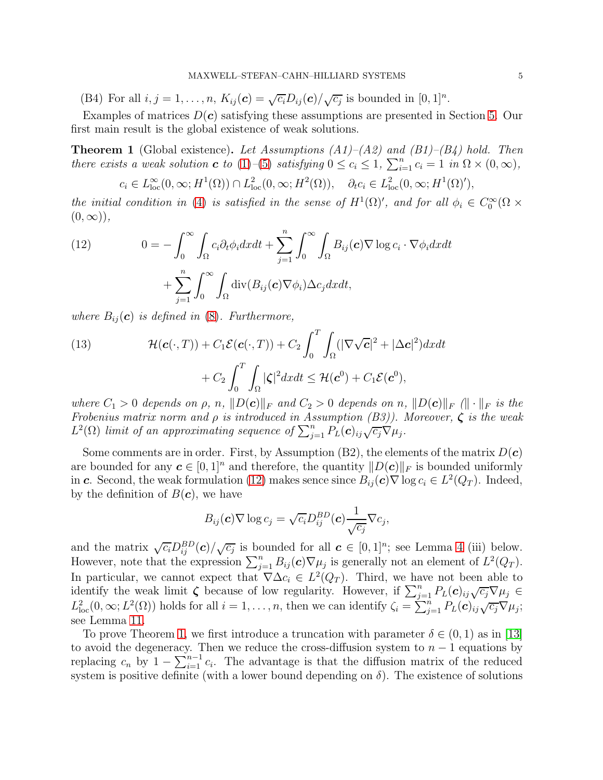(B4) For all  $i, j = 1, ..., n$ ,  $K_{ij}(\mathbf{c}) = \sqrt{c_i} D_{ij}(\mathbf{c}) / \sqrt{c_j}$  is bounded in  $[0, 1]^n$ .

Examples of matrices  $D(c)$  satisfying these assumptions are presented in Section [5.](#page-38-0) Our first main result is the global existence of weak solutions.

<span id="page-4-1"></span>**Theorem 1** (Global existence). Let Assumptions  $(A1)$ – $(A2)$  and  $(B1)$ – $(B4)$  hold. Then there exists a weak solution **c** to [\(1\)](#page-0-0)–[\(5\)](#page-1-1) satisfying  $0 \leq c_i \leq 1$ ,  $\sum_{i=1}^n c_i = 1$  in  $\Omega \times (0, \infty)$ ,

 $c_i \in L^{\infty}_{loc}(0,\infty;H^1(\Omega)) \cap L^2_{loc}(0,\infty;H^2(\Omega)), \quad \partial_t c_i \in L^2_{loc}(0,\infty;H^1(\Omega)'),$ 

the initial condition in [\(4\)](#page-1-2) is satisfied in the sense of  $H^1(\Omega)'$ , and for all  $\phi_i \in C_0^{\infty}(\Omega \times$  $(0, \infty)$ ,

<span id="page-4-0"></span>(12) 
$$
0 = -\int_0^\infty \int_{\Omega} c_i \partial_t \phi_i dx dt + \sum_{j=1}^n \int_0^\infty \int_{\Omega} B_{ij}(\mathbf{c}) \nabla \log c_i \cdot \nabla \phi_i dx dt + \sum_{j=1}^n \int_0^\infty \int_{\Omega} \text{div}(B_{ij}(\mathbf{c}) \nabla \phi_i) \Delta c_j dx dt,
$$

where  $B_{ij}(\boldsymbol{c})$  is defined in [\(8\)](#page-2-0). Furthermore,

<span id="page-4-2"></span>(13) 
$$
\mathcal{H}(\mathbf{c}(\cdot,T)) + C_1 \mathcal{E}(\mathbf{c}(\cdot,T)) + C_2 \int_0^T \int_{\Omega} (|\nabla \sqrt{\mathbf{c}}|^2 + |\Delta \mathbf{c}|^2) dx dt + C_2 \int_0^T \int_{\Omega} |\zeta|^2 dx dt \leq \mathcal{H}(\mathbf{c}^0) + C_1 \mathcal{E}(\mathbf{c}^0),
$$

where  $C_1 > 0$  depends on  $\rho$ , n,  $||D(c)||_F$  and  $C_2 > 0$  depends on n,  $||D(c)||_F$  ( $|| \cdot ||_F$  is the Frobenius matrix norm and  $\rho$  is introduced in Assumption (B3)). Moreover,  $\zeta$  is the weak  $L^2(\Omega)$  limit of an approximating sequence of  $\sum_{j=1}^n P_L(\boldsymbol{c})_{ij} \sqrt{c_j} \nabla \mu_j$ .

Some comments are in order. First, by Assumption  $(B2)$ , the elements of the matrix  $D(c)$ are bounded for any  $c \in [0,1]^n$  and therefore, the quantity  $||D(c)||_F$  is bounded uniformly in c. Second, the weak formulation [\(12\)](#page-4-0) makes sence since  $B_{ij}(c) \nabla \log c_i \in L^2(Q_T)$ . Indeed, by the definition of  $B(c)$ , we have

$$
B_{ij}(\boldsymbol{c})\nabla \log c_j = \sqrt{c_i}D_{ij}^{BD}(\boldsymbol{c})\frac{1}{\sqrt{c_j}}\nabla c_j,
$$

and the matrix  $\sqrt{c_i} D_{ij}^{BD}(\boldsymbol{c}) / \sqrt{c_j}$  is bounded for all  $\boldsymbol{c} \in [0,1]^n$ ; see Lemma [4](#page-8-0) (iii) below. However, note that the expression  $\sum_{j=1}^{n} B_{ij}(\mathbf{c}) \nabla \mu_j$  is generally not an element of  $L^2(Q_T)$ . In particular, we cannot expect that  $\nabla \Delta c_i \in L^2(Q_T)$ . Third, we have not been able to identify the weak limit  $\zeta$  because of low regularity. However, if  $\sum_{j=1}^n P_L(c)_{ij}\sqrt{c_j}\nabla\mu_j \in$  $L^2_{\text{loc}}(0,\infty; L^2(\Omega))$  holds for all  $i=1,\ldots,n$ , then we can identify  $\zeta_i = \sum_{j=1}^n P_L(c)_{ij} \sqrt{c_j} \nabla \mu_j$ ; see Lemma [11.](#page-23-0)

To prove Theorem [1,](#page-4-1) we first introduce a truncation with parameter  $\delta \in (0,1)$  as in [\[13\]](#page-40-7) to avoid the degeneracy. Then we reduce the cross-diffusion system to  $n-1$  equations by replacing  $c_n$  by  $1 - \sum_{i=1}^{n-1} c_i$ . The advantage is that the diffusion matrix of the reduced system is positive definite (with a lower bound depending on  $\delta$ ). The existence of solutions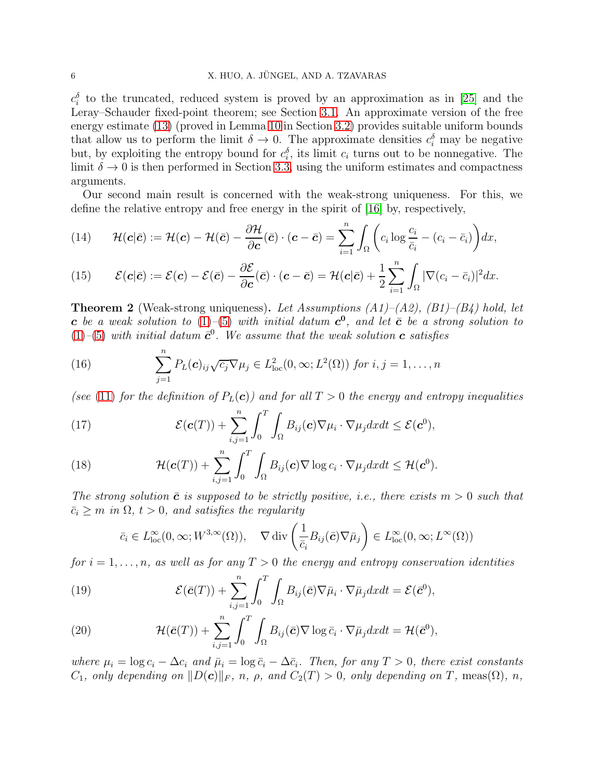## 6 X. HUO, A. JÜNGEL, AND A. TZAVARAS

 $c_i^{\delta}$  to the truncated, reduced system is proved by an approximation as in [\[25\]](#page-41-11) and the Leray–Schauder fixed-point theorem; see Section [3.1.](#page-11-0) An approximate version of the free energy estimate [\(13\)](#page-4-2) (proved in Lemma [10](#page-19-0) in Section [3.2\)](#page-19-1) provides suitable uniform bounds that allow us to perform the limit  $\delta \to 0$ . The approximate densities  $c_i^{\delta}$  may be negative but, by exploiting the entropy bound for  $c_i^{\delta}$ , its limit  $c_i$  turns out to be nonnegative. The limit  $\delta \to 0$  is then performed in Section [3.3,](#page-20-0) using the uniform estimates and compactness arguments.

Our second main result is concerned with the weak-strong uniqueness. For this, we define the relative entropy and free energy in the spirit of [\[16\]](#page-40-14) by, respectively,

<span id="page-5-2"></span>(14) 
$$
\mathcal{H}(\mathbf{c}|\bar{\mathbf{c}}) := \mathcal{H}(\mathbf{c}) - \mathcal{H}(\bar{\mathbf{c}}) - \frac{\partial \mathcal{H}}{\partial \mathbf{c}}(\bar{\mathbf{c}}) \cdot (\mathbf{c} - \bar{\mathbf{c}}) = \sum_{i=1}^{n} \int_{\Omega} \left( c_i \log \frac{c_i}{\bar{c}_i} - (c_i - \bar{c}_i) \right) dx,
$$

<span id="page-5-3"></span>(15) 
$$
\mathcal{E}(\mathbf{c}|\bar{\mathbf{c}}) := \mathcal{E}(\mathbf{c}) - \mathcal{E}(\bar{\mathbf{c}}) - \frac{\partial \mathcal{E}}{\partial \mathbf{c}}(\bar{\mathbf{c}}) \cdot (\mathbf{c} - \bar{\mathbf{c}}) = \mathcal{H}(\mathbf{c}|\bar{\mathbf{c}}) + \frac{1}{2} \sum_{i=1}^{n} \int_{\Omega} |\nabla (c_i - \bar{c}_i)|^2 dx.
$$

<span id="page-5-1"></span>**Theorem 2** (Weak-strong uniqueness). Let Assumptions  $(A1)$ – $(A2)$ ,  $(B1)$ – $(B4)$  hold, let **c** be a weak solution to  $(1)$ - $(5)$  with initial datum  $c^0$ , and let  $\bar{c}$  be a strong solution to  $(1)$ - $(5)$  with initial datum  $\bar{c}^0$ . We assume that the weak solution **c** satisfies

<span id="page-5-0"></span>(16) 
$$
\sum_{j=1}^{n} P_L(\mathbf{c})_{ij} \sqrt{c_j} \nabla \mu_j \in L^2_{loc}(0,\infty; L^2(\Omega)) \text{ for } i,j=1,\ldots,n
$$

(see [\(11\)](#page-3-0) for the definition of  $P<sub>L</sub>(c)$ ) and for all  $T > 0$  the energy and entropy inequalities

<span id="page-5-4"></span>(17) 
$$
\mathcal{E}(\boldsymbol{c}(T)) + \sum_{i,j=1}^{n} \int_{0}^{T} \int_{\Omega} B_{ij}(\boldsymbol{c}) \nabla \mu_{i} \cdot \nabla \mu_{j} dx dt \leq \mathcal{E}(\boldsymbol{c}^{0}),
$$

<span id="page-5-5"></span>(18) 
$$
\mathcal{H}(\boldsymbol{c}(T)) + \sum_{i,j=1}^n \int_0^T \int_{\Omega} B_{ij}(\boldsymbol{c}) \nabla \log c_i \cdot \nabla \mu_j dx dt \leq \mathcal{H}(\boldsymbol{c}^0).
$$

The strong solution  $\bar{c}$  is supposed to be strictly positive, i.e., there exists  $m > 0$  such that  $\bar{c}_i \geq m$  in  $\Omega$ ,  $t > 0$ , and satisfies the regularity

$$
\bar{c}_i \in L^{\infty}_{loc}(0,\infty; W^{3,\infty}(\Omega)), \quad \nabla \operatorname{div} \left( \frac{1}{\bar{c}_i} B_{ij}(\bar{\mathbf{c}}) \nabla \bar{\mu}_j \right) \in L^{\infty}_{loc}(0,\infty; L^{\infty}(\Omega))
$$

for  $i = 1, \ldots, n$ , as well as for any  $T > 0$  the energy and entropy conservation identities

<span id="page-5-6"></span>(19) 
$$
\mathcal{E}(\bar{\mathbf{c}}(T)) + \sum_{i,j=1}^{n} \int_{0}^{T} \int_{\Omega} B_{ij}(\bar{\mathbf{c}}) \nabla \bar{\mu}_{i} \cdot \nabla \bar{\mu}_{j} dx dt = \mathcal{E}(\bar{\mathbf{c}}^{0}),
$$

<span id="page-5-7"></span>(20) 
$$
\mathcal{H}(\bar{\mathbf{c}}(T)) + \sum_{i,j=1}^{n} \int_{0}^{T} \int_{\Omega} B_{ij}(\bar{\mathbf{c}}) \nabla \log \bar{c}_{i} \cdot \nabla \bar{\mu}_{j} dx dt = \mathcal{H}(\bar{\mathbf{c}}^{0}),
$$

where  $\mu_i = \log c_i - \Delta c_i$  and  $\bar{\mu}_i = \log \bar{c}_i - \Delta \bar{c}_i$ . Then, for any  $T > 0$ , there exist constants  $C_1$ , only depending on  $||D(\mathbf{c})||_F$ , n,  $\rho$ , and  $C_2(T) > 0$ , only depending on T, meas( $\Omega$ ), n,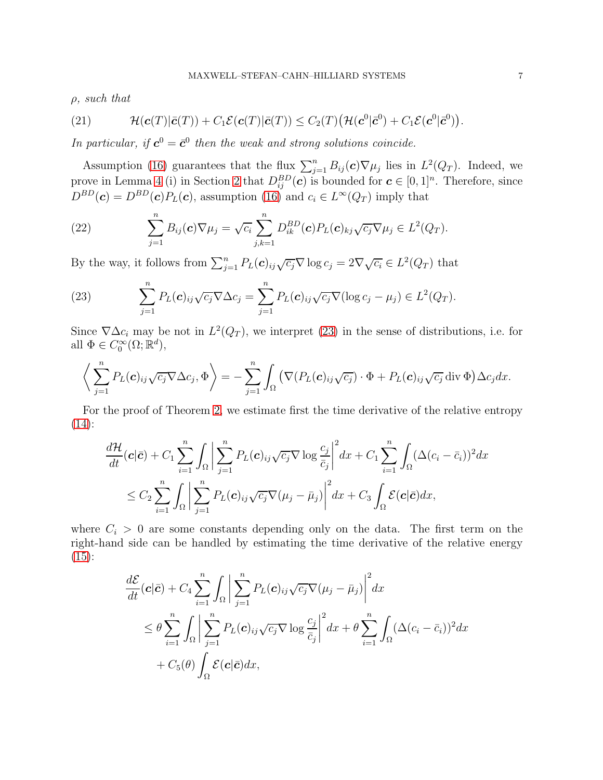$\rho$ , such that

<span id="page-6-2"></span>(21) 
$$
\mathcal{H}(\boldsymbol{c}(T)|\bar{\boldsymbol{c}}(T)) + C_1 \mathcal{E}(\boldsymbol{c}(T)|\bar{\boldsymbol{c}}(T)) \leq C_2(T) \big(\mathcal{H}(\boldsymbol{c}^0|\bar{\boldsymbol{c}}^0) + C_1 \mathcal{E}(\boldsymbol{c}^0|\bar{\boldsymbol{c}}^0)\big).
$$

In particular, if  $c^0 = \bar{c}^0$  then the weak and strong solutions coincide.

Assumption [\(16\)](#page-5-0) guarantees that the flux  $\sum_{j=1}^{n} B_{ij}(\mathbf{c}) \nabla \mu_j$  lies in  $L^2(Q_T)$ . Indeed, we prove in Lemma [4](#page-8-0) (i) in Section [2](#page-7-2) that  $D_{ij}^{BD}(c)$  is bounded for  $c \in [0,1]^n$ . Therefore, since  $D^{BD}(\mathbf{c}) = D^{BD}(\mathbf{c})P_L(\mathbf{c})$ , assumption [\(16\)](#page-5-0) and  $c_i \in L^{\infty}(Q_T)$  imply that

<span id="page-6-1"></span>(22) 
$$
\sum_{j=1}^n B_{ij}(\mathbf{c}) \nabla \mu_j = \sqrt{c_i} \sum_{j,k=1}^n D_{ik}^{BD}(\mathbf{c}) P_L(\mathbf{c})_{kj} \sqrt{c_j} \nabla \mu_j \in L^2(Q_T).
$$

By the way, it follows from  $\sum_{j=1}^{n} P_L(c)_{ij} \sqrt{c_j} \nabla \log c_j = 2 \nabla \sqrt{c_i} \in L^2(Q_T)$  that

<span id="page-6-0"></span>(23) 
$$
\sum_{j=1}^n P_L(\mathbf{c})_{ij} \sqrt{c_j} \nabla \Delta c_j = \sum_{j=1}^n P_L(\mathbf{c})_{ij} \sqrt{c_j} \nabla (\log c_j - \mu_j) \in L^2(Q_T).
$$

Since  $\nabla \Delta c_i$  may be not in  $L^2(Q_T)$ , we interpret [\(23\)](#page-6-0) in the sense of distributions, i.e. for all  $\Phi \in C_0^{\infty}(\Omega; \mathbb{R}^d)$ ,

$$
\left\langle \sum_{j=1}^n P_L(\mathbf{c})_{ij} \sqrt{c_j} \nabla \Delta c_j, \Phi \right\rangle = - \sum_{j=1}^n \int_{\Omega} \left( \nabla (P_L(\mathbf{c})_{ij} \sqrt{c_j}) \cdot \Phi + P_L(\mathbf{c})_{ij} \sqrt{c_j} \operatorname{div} \Phi \right) \Delta c_j dx.
$$

For the proof of Theorem [2,](#page-5-1) we estimate first the time derivative of the relative entropy  $(14)$ :

$$
\frac{d\mathcal{H}}{dt}(\mathbf{c}|\bar{\mathbf{c}}) + C_1 \sum_{i=1}^n \int_{\Omega} \left| \sum_{j=1}^n P_L(\mathbf{c})_{ij} \sqrt{c_j} \nabla \log \frac{c_j}{\bar{c}_j} \right|^2 dx + C_1 \sum_{i=1}^n \int_{\Omega} (\Delta(c_i - \bar{c}_i))^2 dx
$$
  

$$
\leq C_2 \sum_{i=1}^n \int_{\Omega} \left| \sum_{j=1}^n P_L(\mathbf{c})_{ij} \sqrt{c_j} \nabla(\mu_j - \bar{\mu}_j) \right|^2 dx + C_3 \int_{\Omega} \mathcal{E}(\mathbf{c}|\bar{\mathbf{c}}) dx,
$$

where  $C_i > 0$  are some constants depending only on the data. The first term on the right-hand side can be handled by estimating the time derivative of the relative energy  $(15)$ :

$$
\frac{d\mathcal{E}}{dt}(\mathbf{c}|\bar{\mathbf{c}}) + C_4 \sum_{i=1}^n \int_{\Omega} \left| \sum_{j=1}^n P_L(\mathbf{c})_{ij} \sqrt{c_j} \nabla(\mu_j - \bar{\mu}_j) \right|^2 dx
$$
\n
$$
\leq \theta \sum_{i=1}^n \int_{\Omega} \left| \sum_{j=1}^n P_L(\mathbf{c})_{ij} \sqrt{c_j} \nabla \log \frac{c_j}{\bar{c}_j} \right|^2 dx + \theta \sum_{i=1}^n \int_{\Omega} (\Delta(c_i - \bar{c}_i))^2 dx
$$
\n
$$
+ C_5(\theta) \int_{\Omega} \mathcal{E}(\mathbf{c}|\bar{\mathbf{c}}) dx,
$$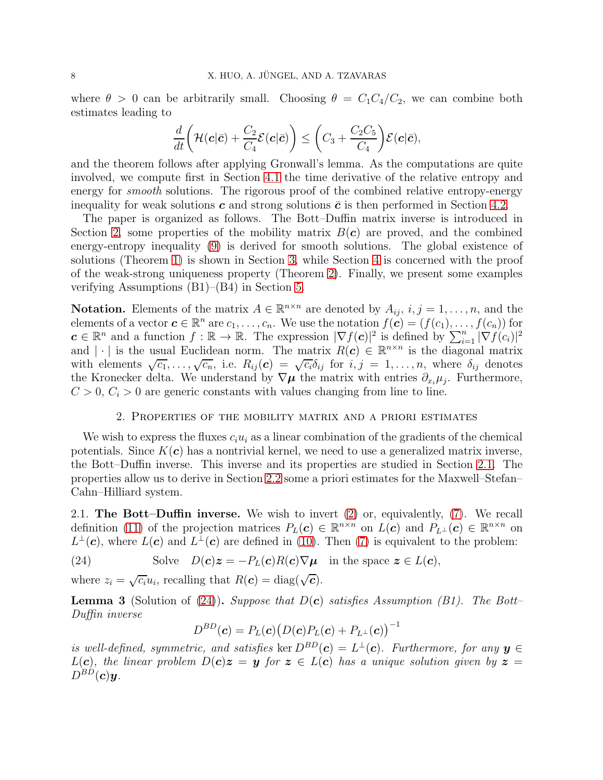where  $\theta > 0$  can be arbitrarily small. Choosing  $\theta = C_1C_4/C_2$ , we can combine both estimates leading to

$$
\frac{d}{dt}\bigg(\mathcal{H}(\boldsymbol{c}|\bar{\boldsymbol{c}})+\frac{C_2}{C_4}\mathcal{E}(\boldsymbol{c}|\bar{\boldsymbol{c}})\bigg)\leq \bigg(C_3+\frac{C_2C_5}{C_4}\bigg)\mathcal{E}(\boldsymbol{c}|\bar{\boldsymbol{c}}),
$$

and the theorem follows after applying Gronwall's lemma. As the computations are quite involved, we compute first in Section [4.1](#page-24-0) the time derivative of the relative entropy and energy for *smooth* solutions. The rigorous proof of the combined relative entropy-energy inequality for weak solutions c and strong solutions  $\bar{c}$  is then performed in Section [4.2.](#page-29-0)

The paper is organized as follows. The Bott–Duffin matrix inverse is introduced in Section [2,](#page-7-2) some properties of the mobility matrix  $B(c)$  are proved, and the combined energy-entropy inequality [\(9\)](#page-3-1) is derived for smooth solutions. The global existence of solutions (Theorem [1\)](#page-4-1) is shown in Section [3,](#page-11-1) while Section [4](#page-24-1) is concerned with the proof of the weak-strong uniqueness property (Theorem [2\)](#page-5-1). Finally, we present some examples verifying Assumptions (B1)–(B4) in Section [5.](#page-38-0)

**Notation.** Elements of the matrix  $A \in \mathbb{R}^{n \times n}$  are denoted by  $A_{ij}$ ,  $i, j = 1, ..., n$ , and the elements of a vector  $\mathbf{c} \in \mathbb{R}^n$  are  $c_1, \ldots, c_n$ . We use the notation  $f(\mathbf{c}) = (f(c_1), \ldots, f(c_n))$  for  $c \in \mathbb{R}^n$  and a function  $f : \mathbb{R} \to \mathbb{R}$ . The expression  $|\nabla f(c)|^2$  is defined by  $\sum_{i=1}^n |\nabla f(c_i)|^2$ and | | is the usual Euclidean norm. The matrix  $R(c) \in \mathbb{R}^{n \times n}$  is the diagonal matrix with elements  $\sqrt{c_1}, \ldots, \sqrt{c_n}$ , i.e.  $R_{ij}(c) = \sqrt{c_i} \delta_{ij}$  for  $i, j = 1, \ldots, n$ , where  $\delta_{ij}$  denotes the Kronecker delta. We understand by  $\nabla \mu$  the matrix with entries  $\partial_{x_i}\mu_j$ . Furthermore,  $C > 0$ ,  $C_i > 0$  are generic constants with values changing from line to line.

## 2. Properties of the mobility matrix and a priori estimates

<span id="page-7-2"></span>We wish to express the fluxes  $c_i u_i$  as a linear combination of the gradients of the chemical potentials. Since  $K(c)$  has a nontrivial kernel, we need to use a generalized matrix inverse, the Bott–Duffin inverse. This inverse and its properties are studied in Section [2.1.](#page-7-1) The properties allow us to derive in Section [2.2](#page-9-1) some a priori estimates for the Maxwell–Stefan– Cahn–Hilliard system.

<span id="page-7-1"></span>2.1. The Bott–Duffin inverse. We wish to invert [\(2\)](#page-1-0) or, equivalently, [\(7\)](#page-2-1). We recall definition [\(11\)](#page-3-0) of the projection matrices  $P_L(c) \in \mathbb{R}^{n \times n}$  on  $L(c)$  and  $P_{L^{\perp}}(c) \in \mathbb{R}^{n \times n}$  on  $L^{\perp}(\mathbf{c})$ , where  $L(\mathbf{c})$  and  $L^{\perp}(\mathbf{c})$  are defined in [\(10\)](#page-3-2). Then [\(7\)](#page-2-1) is equivalent to the problem:

(24) Solve 
$$
D(\mathbf{c})\mathbf{z} = -P_L(\mathbf{c})R(\mathbf{c})\nabla\mu
$$
 in the space  $\mathbf{z} \in L(\mathbf{c})$ ,

where  $z_i = \sqrt{c_i} u_i$ , recalling that  $R(c) = \text{diag}(\sqrt{c}).$ 

<span id="page-7-0"></span>**Lemma 3** (Solution of [\(24\)](#page-7-3)). Suppose that  $D(c)$  satisfies Assumption (B1). The Bott-Duffin inverse

<span id="page-7-3"></span>
$$
D^{BD}(\boldsymbol{c})=P_L(\boldsymbol{c})\big(D(\boldsymbol{c})P_L(\boldsymbol{c})+P_{L^\perp}(\boldsymbol{c})\big)^{-1}
$$

is well-defined, symmetric, and satisfies ker  $D^{BD}(\mathbf{c}) = L^{\perp}(\mathbf{c})$ . Furthermore, for any  $\mathbf{y} \in$  $L(c)$ , the linear problem  $D(c)z = y$  for  $z \in L(c)$  has a unique solution given by  $z =$  $D^{BD}(\boldsymbol{c})\boldsymbol{y}$ .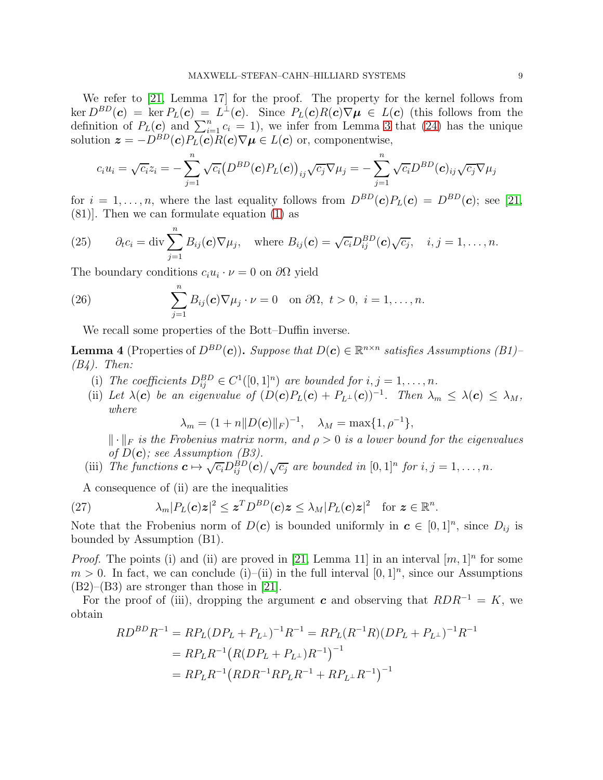We refer to [\[21,](#page-41-9) Lemma 17] for the proof. The property for the kernel follows from  $\ker D^{BD}(\mathbf{c}) = \ker P_L(\mathbf{c}) = L^{\perp}(\mathbf{c}).$  Since  $P_L(\mathbf{c})R(\mathbf{c})\nabla\mu \in L(\mathbf{c})$  (this follows from the definition of  $P_L(c)$  and  $\sum_{i=1}^n c_i = 1$ , we infer from Lemma [3](#page-7-0) that [\(24\)](#page-7-3) has the unique solution  $\mathbf{z} = -D^{BD}(\mathbf{c})P_L(\mathbf{c})R(\mathbf{c})\nabla\mu \in L(\mathbf{c})$  or, componentwise,

$$
c_i u_i = \sqrt{c_i} z_i = -\sum_{j=1}^n \sqrt{c_i} \big( D^{BD}(\mathbf{c}) P_L(\mathbf{c}) \big)_{ij} \sqrt{c_j} \nabla \mu_j = -\sum_{j=1}^n \sqrt{c_i} D^{BD}(\mathbf{c})_{ij} \sqrt{c_j} \nabla \mu_j
$$

for  $i = 1, \ldots, n$ , where the last equality follows from  $D^{BD}(\mathbf{c})P_L(\mathbf{c}) = D^{BD}(\mathbf{c})$ ; see [\[21,](#page-41-9) (81)]. Then we can formulate equation [\(1\)](#page-0-0) as

<span id="page-8-2"></span>(25) 
$$
\partial_t c_i = \text{div} \sum_{j=1}^n B_{ij}(\boldsymbol{c}) \nabla \mu_j, \text{ where } B_{ij}(\boldsymbol{c}) = \sqrt{c_i} D_{ij}^{BD}(\boldsymbol{c}) \sqrt{c_j}, \quad i, j = 1, \ldots, n.
$$

The boundary conditions  $c_i u_i \cdot \nu = 0$  on  $\partial \Omega$  yield

(26) 
$$
\sum_{j=1}^{n} B_{ij}(\boldsymbol{c}) \nabla \mu_j \cdot \nu = 0 \text{ on } \partial \Omega, t > 0, i = 1, ..., n.
$$

<span id="page-8-3"></span>We recall some properties of the Bott–Duffin inverse.

<span id="page-8-0"></span>**Lemma 4** (Properties of  $D^{BD}(\mathbf{c})$ ). Suppose that  $D(\mathbf{c}) \in \mathbb{R}^{n \times n}$  satisfies Assumptions (B1)–  $(B4)$ . Then:

- (i) The coefficients  $D_{ij}^{BD} \in C^1([0,1]^n)$  are bounded for  $i, j = 1, \ldots, n$ .
- (ii) Let  $\lambda(c)$  be an eigenvalue of  $(D(c)P<sub>L</sub>(c) + P<sub>L<sup>\perp</sup></sub>(c))^{-1}$ . Then  $\lambda_m \leq \lambda(c) \leq \lambda_M$ , where

$$
\lambda_m = (1 + n||D(\mathbf{c})||_F)^{-1}, \quad \lambda_M = \max\{1, \rho^{-1}\},
$$

 $\|\cdot\|_F$  is the Frobenius matrix norm, and  $\rho > 0$  is a lower bound for the eigenvalues of  $D(c)$ ; see Assumption (B3).

(iii) The functions  $\mathbf{c} \mapsto \sqrt{c_i} D_{ij}^{B}D(\mathbf{c})/\sqrt{c_j}$  are bounded in  $[0,1]^n$  for  $i, j = 1, \ldots, n$ .

<span id="page-8-1"></span>A consequence of (ii) are the inequalities

(27) 
$$
\lambda_m |P_L(\mathbf{c})\mathbf{z}|^2 \leq \mathbf{z}^T D^{BD}(\mathbf{c})\mathbf{z} \leq \lambda_M |P_L(\mathbf{c})\mathbf{z}|^2 \text{ for } \mathbf{z} \in \mathbb{R}^n.
$$

Note that the Frobenius norm of  $D(c)$  is bounded uniformly in  $c \in [0,1]^n$ , since  $D_{ij}$  is bounded by Assumption (B1).

*Proof.* The points (i) and (ii) are proved in [\[21,](#page-41-9) Lemma 11] in an interval  $[m, 1]^n$  for some  $m > 0$ . In fact, we can conclude (i)–(ii) in the full interval  $[0, 1]^n$ , since our Assumptions  $(B2)$ – $(B3)$  are stronger than those in [\[21\]](#page-41-9).

For the proof of (iii), dropping the argument c and observing that  $RDR^{-1} = K$ , we obtain

$$
RD^{BD}R^{-1} = RP_L(DP_L + P_{L^{\perp}})^{-1}R^{-1} = RP_L(R^{-1}R)(DP_L + P_{L^{\perp}})^{-1}R^{-1}
$$
  
=  $RP_LR^{-1}(R(DP_L + P_{L^{\perp}})R^{-1})^{-1}$   
=  $RP_LR^{-1}(RDR^{-1}RP_LR^{-1} + RP_{L^{\perp}}R^{-1})^{-1}$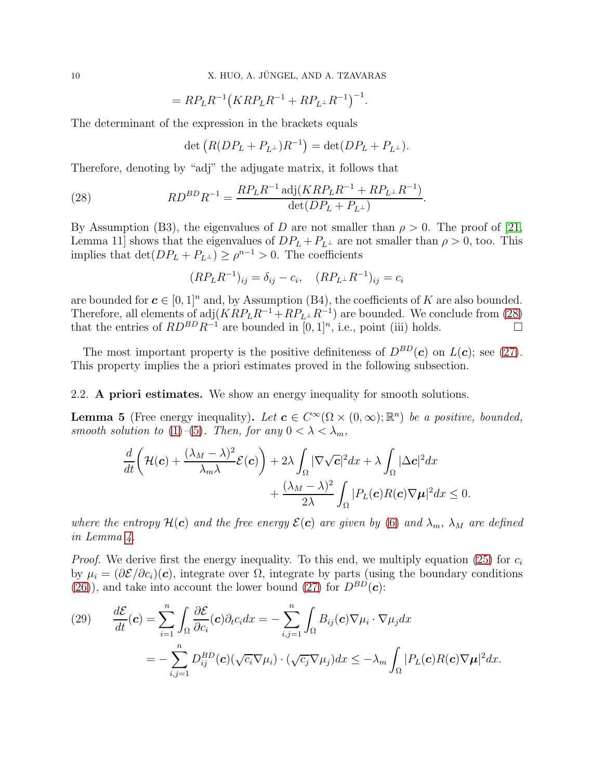10 X. HUO, A. JÜNGEL, AND A. TZAVARAS

$$
=RP_LR^{-1}(KRP_LR^{-1} + RP_L\perp R^{-1})^{-1}.
$$

The determinant of the expression in the brackets equals

<span id="page-9-2"></span>
$$
\det\left(R(DP_L+P_{L^{\perp}})R^{-1}\right)=\det(DP_L+P_{L^{\perp}}).
$$

Therefore, denoting by "adj" the adjugate matrix, it follows that

(28) 
$$
RD^{BD}R^{-1} = \frac{RP_LR^{-1}\operatorname{adj}(KRP_LR^{-1} + RP_{L^{\perp}}R^{-1})}{\det(DP_L + P_{L^{\perp}})}.
$$

By Assumption (B3), the eigenvalues of D are not smaller than  $\rho > 0$ . The proof of [\[21,](#page-41-9) Lemma 11] shows that the eigenvalues of  $DP_L + P_{L^{\perp}}$  are not smaller than  $\rho > 0$ , too. This implies that  $\det(DP_L + P_{L^{\perp}}) \ge \rho^{n-1} > 0$ . The coefficients

$$
(RP_L R^{-1})_{ij} = \delta_{ij} - c_i, \quad (RP_L \perp R^{-1})_{ij} = c_i
$$

are bounded for  $c \in [0,1]^n$  and, by Assumption (B4), the coefficients of K are also bounded. Therefore, all elements of  $adj(KRP_LR^{-1} + RP_L\perp R^{-1})$  are bounded. We conclude from [\(28\)](#page-9-2) that the entries of  $RD^{BD}R^{-1}$  are bounded in [0, 1]<sup>n</sup>, i.e., point (iii) holds.

The most important property is the positive definiteness of  $D^{BD}(c)$  on  $L(c)$ ; see [\(27\)](#page-8-1). This property implies the a priori estimates proved in the following subsection.

<span id="page-9-1"></span>2.2. A priori estimates. We show an energy inequality for smooth solutions.

<span id="page-9-0"></span>**Lemma 5** (Free energy inequality). Let  $\mathbf{c} \in C^{\infty}(\Omega \times (0, \infty); \mathbb{R}^{n})$  be a positive, bounded, smooth solution to [\(1\)](#page-0-0)–[\(5\)](#page-1-1). Then, for any  $0 < \lambda < \lambda_m$ ,

$$
\frac{d}{dt}\left(\mathcal{H}(\boldsymbol{c})+\frac{(\lambda_M-\lambda)^2}{\lambda_m\lambda}\mathcal{E}(\boldsymbol{c})\right)+2\lambda\int_{\Omega}|\nabla\sqrt{\boldsymbol{c}}|^2dx+\lambda\int_{\Omega}|\Delta\boldsymbol{c}|^2dx\\+\frac{(\lambda_M-\lambda)^2}{2\lambda}\int_{\Omega}|P_L(\boldsymbol{c})R(\boldsymbol{c})\nabla\mu|^2dx\leq 0.
$$

where the entropy  $\mathcal{H}(c)$  and the free energy  $\mathcal{E}(c)$  are given by [\(6\)](#page-1-3) and  $\lambda_m$ ,  $\lambda_M$  are defined in Lemma [4.](#page-8-0)

*Proof.* We derive first the energy inequality. To this end, we multiply equation [\(25\)](#page-8-2) for  $c_i$ by  $\mu_i = (\partial \mathcal{E}/\partial c_i)(c)$ , integrate over  $\Omega$ , integrate by parts (using the boundary conditions [\(26\)](#page-8-3)), and take into account the lower bound [\(27\)](#page-8-1) for  $D^{BD}(\mathbf{c})$ :

<span id="page-9-3"></span>(29) 
$$
\frac{d\mathcal{E}}{dt}(\mathbf{c}) = \sum_{i=1}^{n} \int_{\Omega} \frac{\partial \mathcal{E}}{\partial c_i}(\mathbf{c}) \partial_t c_i dx = -\sum_{i,j=1}^{n} \int_{\Omega} B_{ij}(\mathbf{c}) \nabla \mu_i \cdot \nabla \mu_j dx
$$

$$
= -\sum_{i,j=1}^{n} D_{ij}^{BD}(\mathbf{c}) (\sqrt{c_i} \nabla \mu_i) \cdot (\sqrt{c_j} \nabla \mu_j) dx \leq -\lambda_m \int_{\Omega} |P_L(\mathbf{c}) R(\mathbf{c}) \nabla \mu|^2 dx.
$$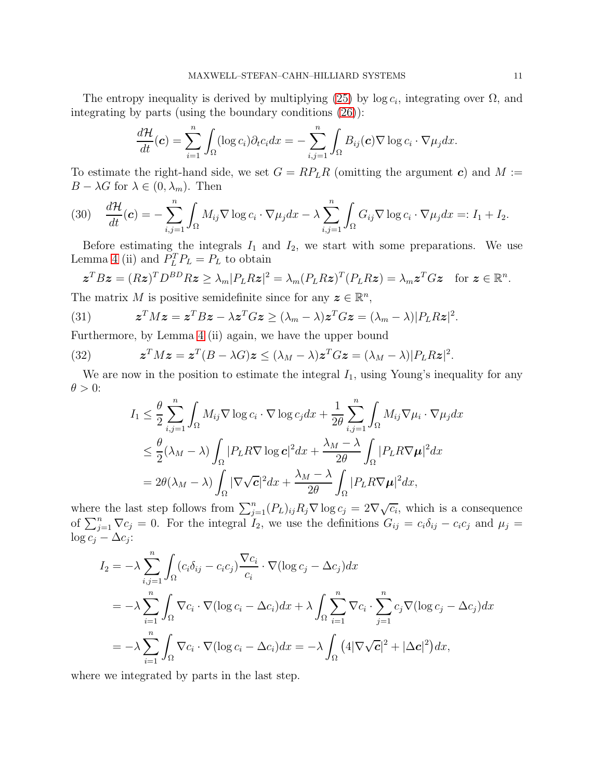The entropy inequality is derived by multiplying [\(25\)](#page-8-2) by  $log c_i$ , integrating over  $\Omega$ , and integrating by parts (using the boundary conditions [\(26\)](#page-8-3)):

$$
\frac{d\mathcal{H}}{dt}(\boldsymbol{c}) = \sum_{i=1}^n \int_{\Omega} (\log c_i) \partial_t c_i dx = - \sum_{i,j=1}^n \int_{\Omega} B_{ij}(\boldsymbol{c}) \nabla \log c_i \cdot \nabla \mu_j dx.
$$

To estimate the right-hand side, we set  $G = RP<sub>L</sub>R$  (omitting the argument c) and  $M :=$  $B - \lambda G$  for  $\lambda \in (0, \lambda_m)$ . Then

<span id="page-10-0"></span>(30) 
$$
\frac{d\mathcal{H}}{dt}(\boldsymbol{c}) = -\sum_{i,j=1}^n \int_{\Omega} M_{ij} \nabla \log c_i \cdot \nabla \mu_j dx - \lambda \sum_{i,j=1}^n \int_{\Omega} G_{ij} \nabla \log c_i \cdot \nabla \mu_j dx =: I_1 + I_2.
$$

Before estimating the integrals  $I_1$  and  $I_2$ , we start with some preparations. We use Lemma [4](#page-8-0) (ii) and  $P_L^T P_L = P_L$  to obtain

$$
\boldsymbol{z}^T B \boldsymbol{z} = (R \boldsymbol{z})^T D^{BD} R \boldsymbol{z} \geq \lambda_m |P_L R \boldsymbol{z}|^2 = \lambda_m (P_L R \boldsymbol{z})^T (P_L R \boldsymbol{z}) = \lambda_m \boldsymbol{z}^T G \boldsymbol{z} \quad \text{for } \boldsymbol{z} \in \mathbb{R}^n.
$$

The matrix M is positive semidefinite since for any  $\boldsymbol{z} \in \mathbb{R}^n$ ,

<span id="page-10-1"></span>(31) 
$$
\mathbf{z}^T M \mathbf{z} = \mathbf{z}^T B \mathbf{z} - \lambda \mathbf{z}^T G \mathbf{z} \ge (\lambda_m - \lambda) \mathbf{z}^T G \mathbf{z} = (\lambda_m - \lambda) |P_L R \mathbf{z}|^2.
$$

Furthermore, by Lemma [4](#page-8-0) (ii) again, we have the upper bound

(32) 
$$
\mathbf{z}^T M \mathbf{z} = \mathbf{z}^T (B - \lambda G) \mathbf{z} \le (\lambda_M - \lambda) \mathbf{z}^T G \mathbf{z} = (\lambda_M - \lambda) |P_L R \mathbf{z}|^2.
$$

We are now in the position to estimate the integral  $I_1$ , using Young's inequality for any  $\theta > 0$ :

<span id="page-10-2"></span>
$$
I_1 \leq \frac{\theta}{2} \sum_{i,j=1}^n \int_{\Omega} M_{ij} \nabla \log c_i \cdot \nabla \log c_j dx + \frac{1}{2\theta} \sum_{i,j=1}^n \int_{\Omega} M_{ij} \nabla \mu_i \cdot \nabla \mu_j dx
$$
  

$$
\leq \frac{\theta}{2} (\lambda_M - \lambda) \int_{\Omega} |P_L R \nabla \log c|^2 dx + \frac{\lambda_M - \lambda}{2\theta} \int_{\Omega} |P_L R \nabla \mu|^2 dx
$$
  

$$
= 2\theta (\lambda_M - \lambda) \int_{\Omega} |\nabla \sqrt{c}|^2 dx + \frac{\lambda_M - \lambda}{2\theta} \int_{\Omega} |P_L R \nabla \mu|^2 dx,
$$

where the last step follows from  $\sum_{j=1}^{n} (P_L)_{ij} R_j \nabla \log c_j = 2 \nabla \sqrt{c_i}$ , which is a consequence of  $\sum_{j=1}^{n} \nabla c_j = 0$ . For the integral  $I_2$ , we use the definitions  $G_{ij} = c_i \delta_{ij} - c_i c_j$  and  $\mu_j =$  $\log c_j - \Delta c_j$ :

$$
I_2 = -\lambda \sum_{i,j=1}^n \int_{\Omega} (c_i \delta_{ij} - c_i c_j) \frac{\nabla c_i}{c_i} \cdot \nabla (\log c_j - \Delta c_j) dx
$$
  
=  $-\lambda \sum_{i=1}^n \int_{\Omega} \nabla c_i \cdot \nabla (\log c_i - \Delta c_i) dx + \lambda \int_{\Omega} \sum_{i=1}^n \nabla c_i \cdot \sum_{j=1}^n c_j \nabla (\log c_j - \Delta c_j) dx$   
=  $-\lambda \sum_{i=1}^n \int_{\Omega} \nabla c_i \cdot \nabla (\log c_i - \Delta c_i) dx = -\lambda \int_{\Omega} (4|\nabla \sqrt{c}|^2 + |\Delta c|^2) dx,$ 

where we integrated by parts in the last step.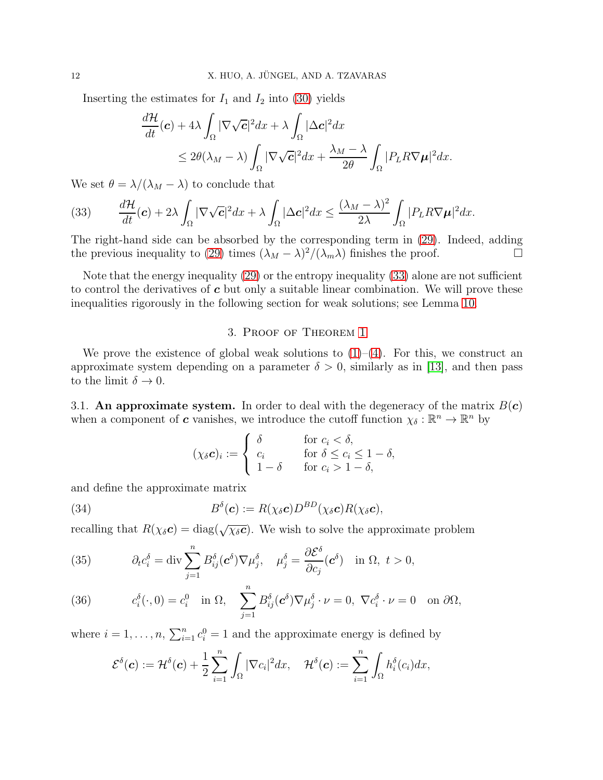Inserting the estimates for  $I_1$  and  $I_2$  into [\(30\)](#page-10-0) yields

$$
\frac{d\mathcal{H}}{dt}(\mathbf{c}) + 4\lambda \int_{\Omega} |\nabla \sqrt{\mathbf{c}}|^2 dx + \lambda \int_{\Omega} |\Delta \mathbf{c}|^2 dx \n\leq 2\theta(\lambda_M - \lambda) \int_{\Omega} |\nabla \sqrt{\mathbf{c}}|^2 dx + \frac{\lambda_M - \lambda}{2\theta} \int_{\Omega} |P_L R \nabla \mu|^2 dx.
$$

We set  $\theta = \lambda/(\lambda_M - \lambda)$  to conclude that

<span id="page-11-2"></span>(33) 
$$
\frac{d\mathcal{H}}{dt}(\boldsymbol{c}) + 2\lambda \int_{\Omega} |\nabla \sqrt{\boldsymbol{c}}|^2 dx + \lambda \int_{\Omega} |\Delta \boldsymbol{c}|^2 dx \leq \frac{(\lambda_M - \lambda)^2}{2\lambda} \int_{\Omega} |P_L R \nabla \mu|^2 dx.
$$

The right-hand side can be absorbed by the corresponding term in [\(29\)](#page-9-3). Indeed, adding the previous inequality to [\(29\)](#page-9-3) times  $(\lambda_M - \lambda)^2/(\lambda_m \lambda)$  finishes the proof.

Note that the energy inequality [\(29\)](#page-9-3) or the entropy inequality [\(33\)](#page-11-2) alone are not sufficient to control the derivatives of  $c$  but only a suitable linear combination. We will prove these inequalities rigorously in the following section for weak solutions; see Lemma [10.](#page-19-0)

## 3. Proof of Theorem [1](#page-4-1)

<span id="page-11-1"></span>We prove the existence of global weak solutions to  $(1)-(4)$  $(1)-(4)$ . For this, we construct an approximate system depending on a parameter  $\delta > 0$ , similarly as in [\[13\]](#page-40-7), and then pass to the limit  $\delta \to 0$ .

<span id="page-11-0"></span>3.1. An approximate system. In order to deal with the degeneracy of the matrix  $B(c)$ when a component of **c** vanishes, we introduce the cutoff function  $\chi_{\delta}: \mathbb{R}^n \to \mathbb{R}^n$  by

<span id="page-11-5"></span>
$$
(\chi_{\delta}c)_i := \begin{cases} \delta & \text{for } c_i < \delta, \\ c_i & \text{for } \delta \leq c_i \leq 1 - \delta, \\ 1 - \delta & \text{for } c_i > 1 - \delta, \end{cases}
$$

and define the approximate matrix

(34) 
$$
B^{\delta}(\mathbf{c}) := R(\chi_{\delta} \mathbf{c}) D^{BD}(\chi_{\delta} \mathbf{c}) R(\chi_{\delta} \mathbf{c}),
$$

recalling that  $R(\chi_{\delta} c) = \text{diag}(\sqrt{\chi_{\delta} c})$ . We wish to solve the approximate problem

<span id="page-11-3"></span>(35) 
$$
\partial_t c_i^{\delta} = \text{div} \sum_{j=1}^n B_{ij}^{\delta}(\mathbf{c}^{\delta}) \nabla \mu_j^{\delta}, \quad \mu_j^{\delta} = \frac{\partial \mathcal{E}^{\delta}}{\partial c_j}(\mathbf{c}^{\delta}) \quad \text{in } \Omega, \ t > 0,
$$

<span id="page-11-4"></span>(36) 
$$
c_i^{\delta}(\cdot,0) = c_i^0 \text{ in } \Omega, \quad \sum_{j=1}^n B_{ij}^{\delta}(\mathbf{c}^{\delta}) \nabla \mu_j^{\delta} \cdot \nu = 0, \ \nabla c_i^{\delta} \cdot \nu = 0 \text{ on } \partial \Omega,
$$

where  $i = 1, ..., n$ ,  $\sum_{i=1}^{n} c_i^0 = 1$  and the approximate energy is defined by

$$
\mathcal{E}^{\delta}(\boldsymbol{c}):=\mathcal{H}^{\delta}(\boldsymbol{c})+\frac{1}{2}\sum_{i=1}^{n}\int_{\Omega}|\nabla c_{i}|^{2}dx, \quad \mathcal{H}^{\delta}(\boldsymbol{c}):=\sum_{i=1}^{n}\int_{\Omega}h_{i}^{\delta}(c_{i})dx,
$$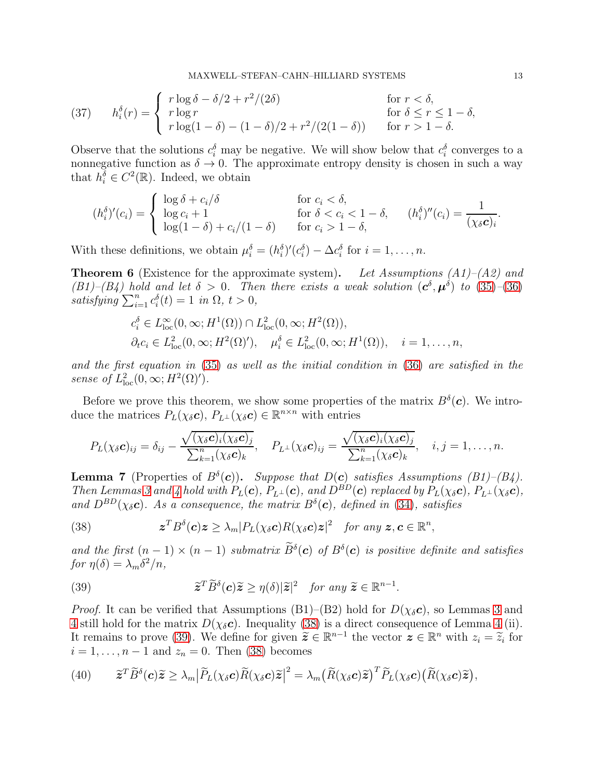<span id="page-12-5"></span>(37) 
$$
h_i^{\delta}(r) = \begin{cases} r \log \delta - \delta/2 + r^2/(2\delta) & \text{for } r < \delta, \\ r \log r & \text{for } \delta \le r \le 1 - \delta, \\ r \log(1 - \delta) - (1 - \delta)/2 + r^2/(2(1 - \delta)) & \text{for } r > 1 - \delta. \end{cases}
$$

Observe that the solutions  $c_i^{\delta}$  may be negative. We will show below that  $c_i^{\delta}$  converges to a nonnegative function as  $\delta \to 0$ . The approximate entropy density is chosen in such a way that  $h_i^{\overline{\delta}} \in C^2(\mathbb{R})$ . Indeed, we obtain

$$
(h_i^{\delta})'(c_i) = \begin{cases} \log \delta + c_i/\delta & \text{for } c_i < \delta, \\ \log c_i + 1 & \text{for } \delta < c_i < 1 - \delta, \\ \log(1 - \delta) + c_i/(1 - \delta) & \text{for } c_i > 1 - \delta, \end{cases} (h_i^{\delta})''(c_i) = \frac{1}{(\chi_{\delta} c)_i}.
$$

With these definitions, we obtain  $\mu_i^{\delta} = (h_i^{\delta})'(c_i^{\delta}) - \Delta c_i^{\delta}$  for  $i = 1, ..., n$ .

<span id="page-12-3"></span>**Theorem 6** (Existence for the approximate system). Let Assumptions  $(A1)$ – $(A2)$  and  $(B1)$ – $(B4)$  hold and let  $\delta > 0$ . Then there exists a weak solution  $(c^{\delta}, \mu^{\delta})$  to  $(35)$ – $(36)$ satisfying  $\sum_{i=1}^{n} c_i^{\delta}(t) = 1$  in  $\Omega, t > 0$ ,

$$
c_i^{\delta} \in L_{\text{loc}}^{\infty}(0, \infty; H^1(\Omega)) \cap L_{\text{loc}}^2(0, \infty; H^2(\Omega)),
$$
  
\n
$$
\partial_t c_i \in L_{\text{loc}}^2(0, \infty; H^2(\Omega)'), \quad \mu_i^{\delta} \in L_{\text{loc}}^2(0, \infty; H^1(\Omega)), \quad i = 1, \dots, n,
$$

and the first equation in [\(35\)](#page-11-3) as well as the initial condition in [\(36\)](#page-11-4) are satisfied in the sense of  $L^2_{\text{loc}}(0,\infty;H^2(\Omega)')$ .

Before we prove this theorem, we show some properties of the matrix  $B^{\delta}(\mathbf{c})$ . We introduce the matrices  $P_L(\chi_{\delta} c)$ ,  $P_{L^{\perp}}(\chi_{\delta} c) \in \mathbb{R}^{n \times n}$  with entries

$$
P_L(\chi_{\delta}c)_{ij}=\delta_{ij}-\frac{\sqrt{(\chi_{\delta}c)_{i}(\chi_{\delta}c)_{j}}}{\sum_{k=1}^n(\chi_{\delta}c)_{k}},\quad P_{L^{\perp}}(\chi_{\delta}c)_{ij}=\frac{\sqrt{(\chi_{\delta}c)_{i}(\chi_{\delta}c)_{j}}}{\sum_{k=1}^n(\chi_{\delta}c)_{k}},\quad i,j=1,\ldots,n.
$$

<span id="page-12-4"></span>**Lemma 7** (Properties of  $B^{\delta}(\mathbf{c})$ ). Suppose that  $D(\mathbf{c})$  satisfies Assumptions (B1)–(B4). Then Lemmas [3](#page-7-0) and [4](#page-8-0) hold with  $P_L(c)$ ,  $P_{L^{\perp}}(c)$ , and  $D^{BD}(c)$  replaced by  $P_L(\chi_{\delta}c)$ ,  $P_{L^{\perp}}(\chi_{\delta}c)$ , and  $D^{BD}(\chi_{\delta} c)$ . As a consequence, the matrix  $B^{\delta}(c)$ , defined in [\(34\)](#page-11-5), satisfies

<span id="page-12-0"></span>(38) 
$$
\qquad \qquad \mathbf{z}^T B^\delta(\mathbf{c})\mathbf{z} \geq \lambda_m |P_L(\chi_\delta \mathbf{c})R(\chi_\delta \mathbf{c})\mathbf{z}|^2 \quad \text{for any } \mathbf{z}, \mathbf{c} \in \mathbb{R}^n,
$$

and the first  $(n-1) \times (n-1)$  submatrix  $\tilde{B}^{\delta}(\mathbf{c})$  of  $B^{\delta}(\mathbf{c})$  is positive definite and satisfies for  $\eta(\delta) = \lambda_m \delta^2/n$ ,

<span id="page-12-1"></span>(39) 
$$
\widetilde{\boldsymbol{z}}^T \widetilde{B}^{\delta}(\boldsymbol{c}) \widetilde{\boldsymbol{z}} \geq \eta(\delta) |\widetilde{\boldsymbol{z}}|^2 \quad \text{for any } \widetilde{\boldsymbol{z}} \in \mathbb{R}^{n-1}.
$$

*Proof.* It can be verified that Assumptions (B1)–(B2) hold for  $D(\chi_{\delta} c)$ , so Lemmas [3](#page-7-0) and [4](#page-8-0) still hold for the matrix  $D(\chi_{\delta} c)$ . Inequality [\(38\)](#page-12-0) is a direct consequence of Lemma [4](#page-8-0) (ii). It remains to prove [\(39\)](#page-12-1). We define for given  $\tilde{z} \in \mathbb{R}^{n-1}$  the vector  $z \in \mathbb{R}^n$  with  $z_i = \tilde{z}_i$  for  $i = 1, \ldots, n - 1$  and  $z_n = 0$ . Then [\(38\)](#page-12-0) becomes

<span id="page-12-2"></span>(40) 
$$
\widetilde{\boldsymbol{z}}^T \widetilde{B}^{\delta}(\boldsymbol{c}) \widetilde{\boldsymbol{z}} \geq \lambda_m \big| \widetilde{P}_L(\chi_{\delta} \boldsymbol{c}) \widetilde{R}(\chi_{\delta} \boldsymbol{c}) \widetilde{\boldsymbol{z}} \big|^2 = \lambda_m \big( \widetilde{R}(\chi_{\delta} \boldsymbol{c}) \widetilde{\boldsymbol{z}} \big)^T \widetilde{P}_L(\chi_{\delta} \boldsymbol{c}) \big( \widetilde{R}(\chi_{\delta} \boldsymbol{c}) \widetilde{\boldsymbol{z}} \big),
$$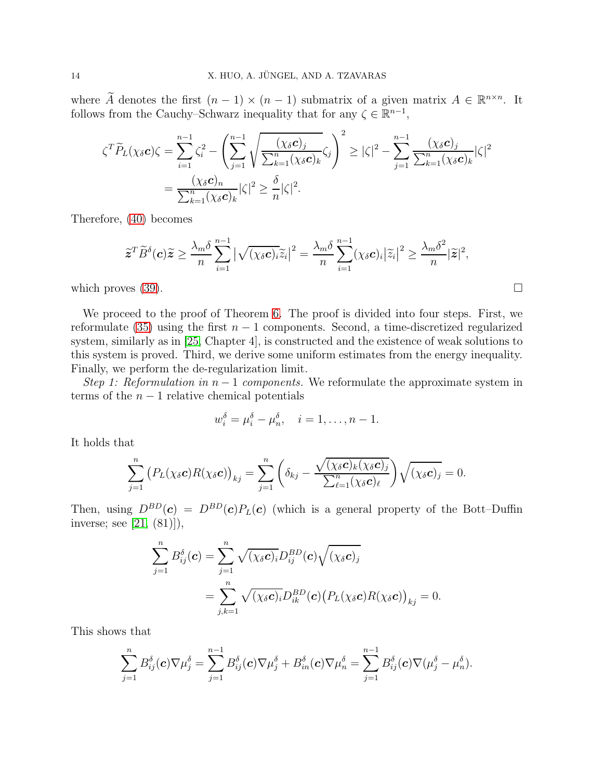where  $\widetilde{A}$  denotes the first  $(n-1) \times (n-1)$  submatrix of a given matrix  $A \in \mathbb{R}^{n \times n}$ . It follows from the Cauchy–Schwarz inequality that for any  $\zeta \in \mathbb{R}^{n-1}$ ,

$$
\zeta^T \widetilde{P}_L(\chi_{\delta} c) \zeta = \sum_{i=1}^{n-1} \zeta_i^2 - \left( \sum_{j=1}^{n-1} \sqrt{\frac{(\chi_{\delta} c)_j}{\sum_{k=1}^n (\chi_{\delta} c)_k}} \zeta_j \right)^2 \ge |\zeta|^2 - \sum_{j=1}^{n-1} \frac{(\chi_{\delta} c)_j}{\sum_{k=1}^n (\chi_{\delta} c)_k} |\zeta|^2
$$

$$
= \frac{(\chi_{\delta} c)_n}{\sum_{k=1}^n (\chi_{\delta} c)_k} |\zeta|^2 \ge \frac{\delta}{n} |\zeta|^2.
$$

Therefore, [\(40\)](#page-12-2) becomes

$$
\widetilde{\boldsymbol{z}}^T \widetilde{B}^{\delta}(\boldsymbol{c}) \widetilde{\boldsymbol{z}} \geq \frac{\lambda_m \delta}{n} \sum_{i=1}^{n-1} \big| \sqrt{(\chi_{\delta} \boldsymbol{c})_i} \widetilde{z}_i \big|^2 = \frac{\lambda_m \delta}{n} \sum_{i=1}^{n-1} (\chi_{\delta} \boldsymbol{c})_i |\widetilde{z}_i|^2 \geq \frac{\lambda_m \delta^2}{n} |\widetilde{\boldsymbol{z}}|^2,
$$

which proves  $(39)$ .

We proceed to the proof of Theorem [6.](#page-12-3) The proof is divided into four steps. First, we reformulate [\(35\)](#page-11-3) using the first  $n-1$  components. Second, a time-discretized regularized system, similarly as in [\[25,](#page-41-11) Chapter 4], is constructed and the existence of weak solutions to this system is proved. Third, we derive some uniform estimates from the energy inequality. Finally, we perform the de-regularization limit.

Step 1: Reformulation in  $n-1$  components. We reformulate the approximate system in terms of the  $n-1$  relative chemical potentials

$$
w_i^{\delta} = \mu_i^{\delta} - \mu_n^{\delta}, \quad i = 1, \dots, n-1.
$$

It holds that

$$
\sum_{j=1}^n (P_L(\chi_{\delta}c)R(\chi_{\delta}c))_{kj} = \sum_{j=1}^n \left(\delta_{kj} - \frac{\sqrt{(\chi_{\delta}c)_k(\chi_{\delta}c)_j}}{\sum_{\ell=1}^n (\chi_{\delta}c)_\ell}\right)\sqrt{(\chi_{\delta}c)_j} = 0.
$$

Then, using  $D^{BD}(\mathbf{c}) = D^{BD}(\mathbf{c})P_L(\mathbf{c})$  (which is a general property of the Bott–Duffin inverse; see [\[21,](#page-41-9) (81)]),

$$
\sum_{j=1}^{n} B_{ij}^{\delta}(\mathbf{c}) = \sum_{j=1}^{n} \sqrt{(\chi_{\delta} \mathbf{c})_{i}} D_{ij}^{BD}(\mathbf{c}) \sqrt{(\chi_{\delta} \mathbf{c})_{j}}
$$
  
= 
$$
\sum_{j,k=1}^{n} \sqrt{(\chi_{\delta} \mathbf{c})_{i}} D_{ik}^{BD}(\mathbf{c}) (P_{L}(\chi_{\delta} \mathbf{c}) R(\chi_{\delta} \mathbf{c}))_{kj} = 0.
$$

This shows that

$$
\sum_{j=1}^n B_{ij}^{\delta}(\boldsymbol{c}) \nabla \mu_j^{\delta} = \sum_{j=1}^{n-1} B_{ij}^{\delta}(\boldsymbol{c}) \nabla \mu_j^{\delta} + B_{in}^{\delta}(\boldsymbol{c}) \nabla \mu_n^{\delta} = \sum_{j=1}^{n-1} B_{ij}^{\delta}(\boldsymbol{c}) \nabla (\mu_j^{\delta} - \mu_n^{\delta}).
$$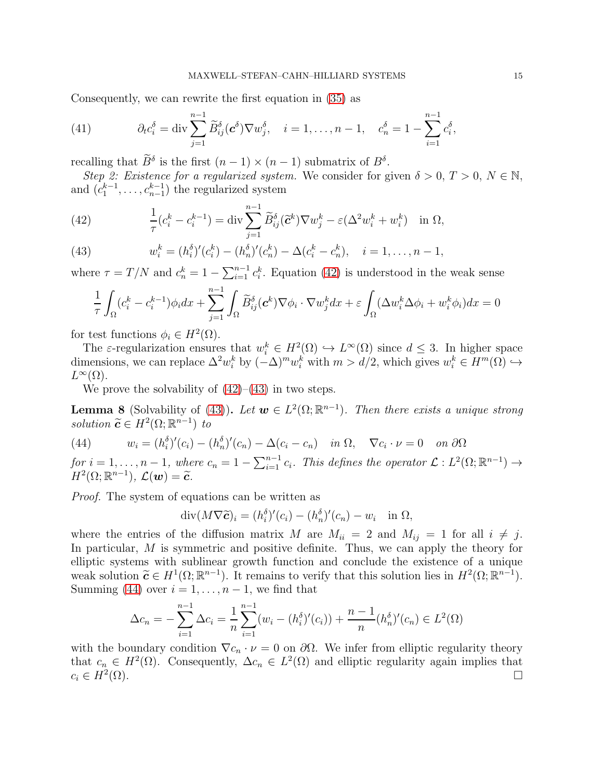Consequently, we can rewrite the first equation in [\(35\)](#page-11-3) as

<span id="page-14-4"></span>(41) 
$$
\partial_t c_i^{\delta} = \text{div} \sum_{j=1}^{n-1} \widetilde{B}_{ij}^{\delta}(\mathbf{c}^{\delta}) \nabla w_j^{\delta}, \quad i = 1, \dots, n-1, \quad c_n^{\delta} = 1 - \sum_{i=1}^{n-1} c_i^{\delta},
$$

recalling that  $\tilde{B}^{\delta}$  is the first  $(n-1) \times (n-1)$  submatrix of  $B^{\delta}$ .

Step 2: Existence for a regularized system. We consider for given  $\delta > 0, T > 0, N \in \mathbb{N}$ , and  $(c_1^{k-1}, \ldots, c_{n-1}^{k-1})$  the regularized system

<span id="page-14-0"></span>(42) 
$$
\frac{1}{\tau}(c_i^k - c_i^{k-1}) = \operatorname{div} \sum_{j=1}^{n-1} \widetilde{B}_{ij}^{\delta}(\widetilde{\mathbf{c}}^k) \nabla w_j^k - \varepsilon (\Delta^2 w_i^k + w_i^k) \quad \text{in } \Omega,
$$

<span id="page-14-1"></span>(43) 
$$
w_i^k = (h_i^{\delta})'(c_i^k) - (h_n^{\delta})'(c_n^k) - \Delta(c_i^k - c_n^k), \quad i = 1, ..., n-1,
$$

where  $\tau = T/N$  and  $c_n^k = 1 - \sum_{i=1}^{n-1} c_i^k$ . Equation [\(42\)](#page-14-0) is understood in the weak sense

$$
\frac{1}{\tau} \int_{\Omega} (c_i^k - c_i^{k-1}) \phi_i dx + \sum_{j=1}^{n-1} \int_{\Omega} \widetilde{B}_{ij}^{\delta}(\mathbf{c}^k) \nabla \phi_i \cdot \nabla w_j^k dx + \varepsilon \int_{\Omega} (\Delta w_i^k \Delta \phi_i + w_i^k \phi_i) dx = 0
$$

for test functions  $\phi_i \in H^2(\Omega)$ .

The  $\varepsilon$ -regularization ensures that  $w_i^k \in H^2(\Omega) \hookrightarrow L^{\infty}(\Omega)$  since  $d \leq 3$ . In higher space dimensions, we can replace  $\Delta^2 w_i^k$  by  $(-\Delta)^m w_i^k$  with  $m > d/2$ , which gives  $w_i^k \in H^m(\Omega) \hookrightarrow$  $L^{\infty}(\Omega)$ .

We prove the solvability of  $(42)$ – $(43)$  in two steps.

<span id="page-14-3"></span>**Lemma 8** (Solvability of [\(43\)](#page-14-1)). Let  $w \in L^2(\Omega; \mathbb{R}^{n-1})$ . Then there exists a unique strong solution  $\widetilde{\mathbf{c}} \in H^2(\Omega; \mathbb{R}^{n-1})$  to

<span id="page-14-2"></span>(44) 
$$
w_i = (h_i^{\delta})'(c_i) - (h_n^{\delta})'(c_n) - \Delta(c_i - c_n) \quad in \ \Omega, \quad \nabla c_i \cdot \nu = 0 \quad on \ \partial\Omega
$$

for  $i = 1, \ldots, n-1$ , where  $c_n = 1 - \sum_{i=1}^{n-1} c_i$ . This defines the operator  $\mathcal{L}: L^2(\Omega; \mathbb{R}^{n-1}) \to$  $H^2(\Omega;\mathbb{R}^{n-1}), \mathcal{L}(\boldsymbol{w}) = \widetilde{\boldsymbol{c}}.$ 

Proof. The system of equations can be written as

$$
\operatorname{div}(M\nabla \widetilde{\mathbf{c}})_i = (h_i^{\delta})'(c_i) - (h_n^{\delta})'(c_n) - w_i \quad \text{in } \Omega,
$$

where the entries of the diffusion matrix M are  $M_{ii} = 2$  and  $M_{ij} = 1$  for all  $i \neq j$ . In particular, M is symmetric and positive definite. Thus, we can apply the theory for elliptic systems with sublinear growth function and conclude the existence of a unique weak solution  $\widetilde{\mathbf{c}} \in H^1(\Omega; \mathbb{R}^{n-1})$ . It remains to verify that this solution lies in  $H^2(\Omega; \mathbb{R}^{n-1})$ . Summing [\(44\)](#page-14-2) over  $i = 1, \ldots, n-1$ , we find that

$$
\Delta c_n = -\sum_{i=1}^{n-1} \Delta c_i = \frac{1}{n} \sum_{i=1}^{n-1} (w_i - (h_i^{\delta})'(c_i)) + \frac{n-1}{n} (h_n^{\delta})'(c_n) \in L^2(\Omega)
$$

with the boundary condition  $\nabla c_n \cdot \nu = 0$  on  $\partial \Omega$ . We infer from elliptic regularity theory that  $c_n \in H^2(\Omega)$ . Consequently,  $\Delta c_n \in L^2(\Omega)$  and elliptic regularity again implies that  $c_i \in H^2(\Omega)$ .  $(\Omega)$ .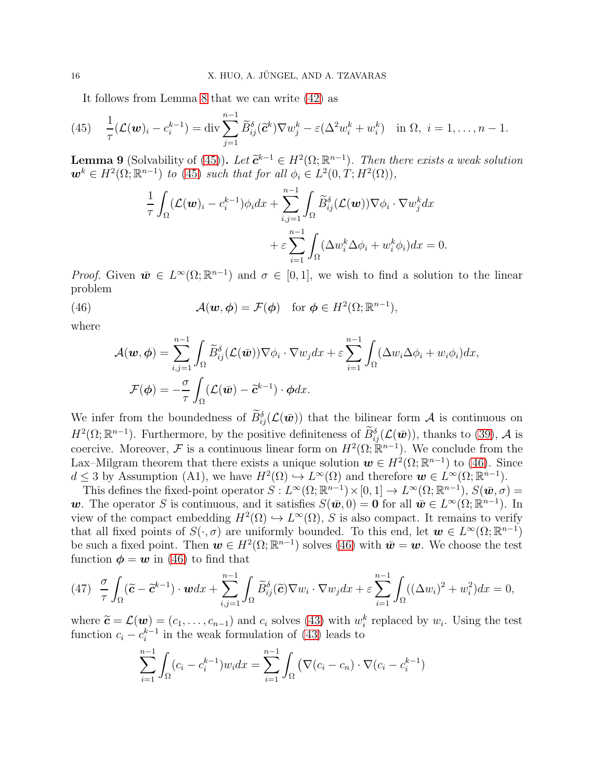<span id="page-15-0"></span>It follows from Lemma [8](#page-14-3) that we can write [\(42\)](#page-14-0) as

(45) 
$$
\frac{1}{\tau}(\mathcal{L}(\boldsymbol{w})_i - c_i^{k-1}) = \text{div}\sum_{j=1}^{n-1} \widetilde{B}_{ij}^{\delta}(\widetilde{\boldsymbol{c}}^k) \nabla w_j^k - \varepsilon (\Delta^2 w_i^k + w_i^k) \quad \text{in } \Omega, \ i = 1, \dots, n-1.
$$

**Lemma 9** (Solvability of [\(45\)](#page-15-0)). Let  $\tilde{c}^{k-1} \in H^2(\Omega; \mathbb{R}^{n-1})$ . Then there exists a weak solution<br> $\tilde{c}^{k-1} \in H^2(\Omega; \mathbb{R}^{n-1})$ ,  $\tilde{c}^{k-1} \in H^2(\Omega; \mathbb{R}^{n-1})$ . Then there exists a weak solution  $\mathbf{w}^k \in H^2(\Omega; \mathbb{R}^{n-1})$  to [\(45\)](#page-15-0) such that for all  $\phi_i \in L^2(0,T; H^2(\Omega)),$ 

$$
\frac{1}{\tau} \int_{\Omega} (\mathcal{L}(\boldsymbol{w})_i - c_i^{k-1}) \phi_i dx + \sum_{i,j=1}^{n-1} \int_{\Omega} \widetilde{B}_{ij}^{\delta} (\mathcal{L}(\boldsymbol{w})) \nabla \phi_i \cdot \nabla w_j^k dx \n+ \varepsilon \sum_{i=1}^{n-1} \int_{\Omega} (\Delta w_i^k \Delta \phi_i + w_i^k \phi_i) dx = 0.
$$

*Proof.* Given  $\bar{\mathbf{w}} \in L^{\infty}(\Omega; \mathbb{R}^{n-1})$  and  $\sigma \in [0, 1]$ , we wish to find a solution to the linear problem

(46) 
$$
\mathcal{A}(\boldsymbol{w},\boldsymbol{\phi})=\mathcal{F}(\boldsymbol{\phi}) \text{ for } \boldsymbol{\phi}\in H^2(\Omega;\mathbb{R}^{n-1}),
$$

where

<span id="page-15-1"></span>
$$
\mathcal{A}(\boldsymbol{w},\boldsymbol{\phi}) = \sum_{i,j=1}^{n-1} \int_{\Omega} \widetilde{B}_{ij}^{\delta} (\mathcal{L}(\bar{\boldsymbol{w}})) \nabla \phi_i \cdot \nabla w_j dx + \varepsilon \sum_{i=1}^{n-1} \int_{\Omega} (\Delta w_i \Delta \phi_i + w_i \phi_i) dx,
$$

$$
\mathcal{F}(\boldsymbol{\phi}) = -\frac{\sigma}{\tau} \int_{\Omega} (\mathcal{L}(\bar{\boldsymbol{w}}) - \widetilde{\boldsymbol{c}}^{k-1}) \cdot \boldsymbol{\phi} dx.
$$

We infer from the boundedness of  $\tilde{B}_{ij}^{\delta}(\mathcal{L}(\bar{w}))$  that the bilinear form  $\mathcal A$  is continuous on  $H^2(\Omega;\mathbb{R}^{n-1})$ . Furthermore, by the positive definiteness of  $\widetilde{B}_{ij}^{\delta}(\mathcal{L}(\bar{w}))$ , thanks to [\(39\)](#page-12-1), A is coercive. Moreover, F is a continuous linear form on  $H^2(\Omega; \mathbb{R}^{n-1})$ . We conclude from the Lax–Milgram theorem that there exists a unique solution  $w \in H^2(\Omega;\mathbb{R}^{n-1})$  to [\(46\)](#page-15-1). Since  $d \leq 3$  by Assumption (A1), we have  $H^2(\Omega) \hookrightarrow L^{\infty}(\Omega)$  and therefore  $w \in L^{\infty}(\Omega; \mathbb{R}^{n-1})$ .

This defines the fixed-point operator  $S: L^{\infty}(\Omega; \mathbb{R}^{n-1}) \times [0, 1] \to L^{\infty}(\Omega; \mathbb{R}^{n-1}), S(\bar{w}, \sigma) =$ w. The operator S is continuous, and it satisfies  $S(\bar{w}, 0) = 0$  for all  $\bar{w} \in L^{\infty}(\Omega; \mathbb{R}^{n-1})$ . In view of the compact embedding  $H^2(\Omega) \hookrightarrow L^{\infty}(\Omega)$ , S is also compact. It remains to verify that all fixed points of  $S(\cdot, \sigma)$  are uniformly bounded. To this end, let  $\mathbf{w} \in L^{\infty}(\Omega; \mathbb{R}^{n-1})$ be such a fixed point. Then  $w \in H^2(\Omega; \mathbb{R}^{n-1})$  solves [\(46\)](#page-15-1) with  $\bar{w} = w$ . We choose the test function  $\phi = w$  in [\(46\)](#page-15-1) to find that

<span id="page-15-2"></span>
$$
(47)\quad \frac{\sigma}{\tau}\int_{\Omega}(\widetilde{\mathbf{C}}-\widetilde{\mathbf{C}}^{k-1})\cdot\boldsymbol{w}dx+\sum_{i,j=1}^{n-1}\int_{\Omega}\widetilde{B}_{ij}^{\delta}(\widetilde{\mathbf{C}})\nabla w_{i}\cdot\nabla w_{j}dx+\varepsilon\sum_{i=1}^{n-1}\int_{\Omega}((\Delta w_{i})^{2}+w_{i}^{2})dx=0,
$$

where  $\widetilde{\mathbf{c}} = \mathcal{L}(\mathbf{w}) = (c_1, \ldots, c_{n-1})$  and  $c_i$  solves [\(43\)](#page-14-1) with  $w_i^k$  replaced by  $w_i$ . Using the test function  $c_i - c_i^{k-1}$  in the weak formulation of [\(43\)](#page-14-1) leads to

$$
\sum_{i=1}^{n-1} \int_{\Omega} (c_i - c_i^{k-1}) w_i dx = \sum_{i=1}^{n-1} \int_{\Omega} (\nabla (c_i - c_n) \cdot \nabla (c_i - c_i^{k-1})
$$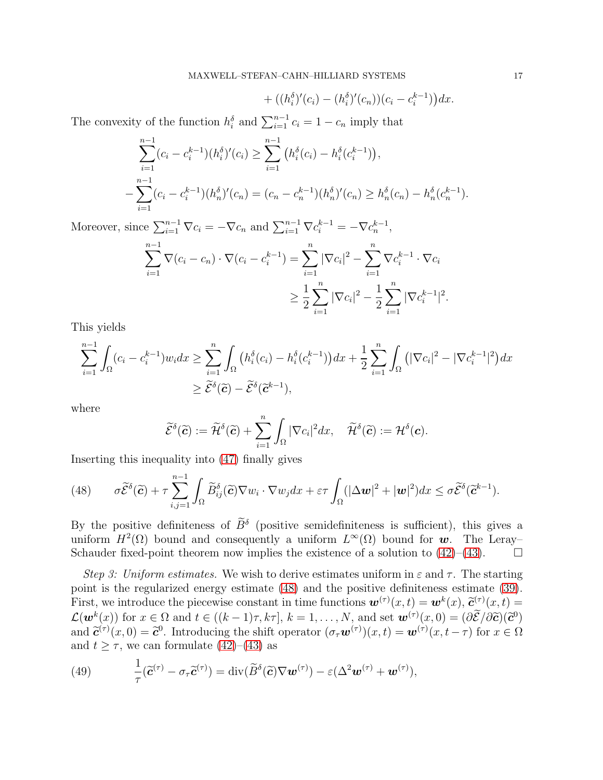+ 
$$
((h_i^{\delta})'(c_i) - (h_i^{\delta})'(c_n))(c_i - c_i^{k-1})dx
$$
.

The convexity of the function  $h_i^{\delta}$  and  $\sum_{i=1}^{n-1} c_i = 1 - c_n$  imply that

$$
\sum_{i=1}^{n-1} (c_i - c_i^{k-1})(h_i^{\delta})'(c_i) \ge \sum_{i=1}^{n-1} (h_i^{\delta}(c_i) - h_i^{\delta}(c_i^{k-1})),
$$
  

$$
-\sum_{i=1}^{n-1} (c_i - c_i^{k-1})(h_n^{\delta})'(c_n) = (c_n - c_n^{k-1})(h_n^{\delta})'(c_n) \ge h_n^{\delta}(c_n) - h_n^{\delta}(c_n^{k-1}).
$$

Moreover, since  $\sum_{i=1}^{n-1} \nabla c_i = -\nabla c_n$  and  $\sum_{i=1}^{n-1} \nabla c_i^{k-1} = -\nabla c_n^{k-1}$ ,  $\sum^{n-1}$  $i=1$  $\nabla (c_i - c_n) \cdot \nabla (c_i - c_i^{k-1}) = \sum^n$  $i=1$  $|\nabla c_i|^2$  –  $\sum_{n=1}^{\infty}$  $i=1$  $\nabla c_i^{k-1} \cdot \nabla c_i$ ≥ 1 2  $\sum_{n=1}^{\infty}$  $i=1$  $|\nabla c_i|^2 - \frac{1}{2}$ 2  $\sum_{n=1}^{\infty}$  $\frac{i=1}{i}$  $|\nabla c_i^{k-1}|^2$ .

This yields

$$
\sum_{i=1}^{n-1} \int_{\Omega} (c_i - c_i^{k-1}) w_i dx \ge \sum_{i=1}^n \int_{\Omega} \left( h_i^{\delta}(c_i) - h_i^{\delta}(c_i^{k-1}) \right) dx + \frac{1}{2} \sum_{i=1}^n \int_{\Omega} \left( |\nabla c_i|^2 - |\nabla c_i^{k-1}|^2 \right) dx
$$
  
 
$$
\ge \widetilde{\mathcal{E}}^{\delta}(\widetilde{\mathbf{c}}) - \widetilde{\mathcal{E}}^{\delta}(\widetilde{\mathbf{c}}^{k-1}),
$$

where

$$
\widetilde{\mathcal{E}}^{\delta}(\widetilde{\mathbf{c}}):=\widetilde{\mathcal{H}}^{\delta}(\widetilde{\mathbf{c}})+\sum_{i=1}^n\int_{\Omega}|\nabla c_i|^2dx,\quad \widetilde{\mathcal{H}}^{\delta}(\widetilde{\mathbf{c}}):=\mathcal{H}^{\delta}(\mathbf{c}).
$$

Inserting this inequality into [\(47\)](#page-15-2) finally gives

<span id="page-16-0"></span>(48) 
$$
\sigma \widetilde{\mathcal{E}}^{\delta}(\widetilde{\mathbf{c}}) + \tau \sum_{i,j=1}^{n-1} \int_{\Omega} \widetilde{B}_{ij}^{\delta}(\widetilde{\mathbf{c}}) \nabla w_i \cdot \nabla w_j dx + \varepsilon \tau \int_{\Omega} (|\Delta \mathbf{w}|^2 + |\mathbf{w}|^2) dx \leq \sigma \widetilde{\mathcal{E}}^{\delta}(\widetilde{\mathbf{c}}^{k-1}).
$$

By the positive definiteness of  $\tilde{B}^{\delta}$  (positive semidefiniteness is sufficient), this gives a uniform  $H^2(\Omega)$  bound and consequently a uniform  $L^{\infty}(\Omega)$  bound for w. The Leray-Schauder fixed-point theorem now implies the existence of a solution to  $(42)$ – $(43)$ .

Step 3: Uniform estimates. We wish to derive estimates uniform in  $\varepsilon$  and  $\tau$ . The starting point is the regularized energy estimate [\(48\)](#page-16-0) and the positive definiteness estimate [\(39\)](#page-12-1). First, we introduce the piecewise constant in time functions  $\mathbf{w}^{(\tau)}(x,t) = \mathbf{w}^{k}(x)$ ,  $\tilde{\mathbf{c}}^{(\tau)}(x,t) =$  $\mathcal{L}(\boldsymbol{w}^k(x))$  for  $x \in \Omega$  and  $t \in ((k-1)\tau, k\tau], k = 1, \ldots, N$ , and set  $\boldsymbol{w}^{(\tau)}(x, 0) = (\partial \mathcal{E}/\partial \mathcal{E})(\mathcal{E}^0)$ and  $\tilde{\mathbf{c}}^{(\tau)}(x,0) = \tilde{\mathbf{c}}^0$ . Introducing the shift operator  $(\sigma_\tau \mathbf{w}^{(\tau)})(x,t) = \mathbf{w}^{(\tau)}(x,t-\tau)$  for  $x \in \Omega$ and  $t \geq \tau$ , we can formulate [\(42\)](#page-14-0)–[\(43\)](#page-14-1) as

<span id="page-16-1"></span>(49) 
$$
\frac{1}{\tau}(\widetilde{\mathbf{c}}^{(\tau)}-\sigma_{\tau}\widetilde{\mathbf{c}}^{(\tau)})=\mathrm{div}(\widetilde{B}^{\delta}(\widetilde{\mathbf{c}})\nabla\mathbf{w}^{(\tau)})-\varepsilon(\Delta^2\mathbf{w}^{(\tau)}+\mathbf{w}^{(\tau)}),
$$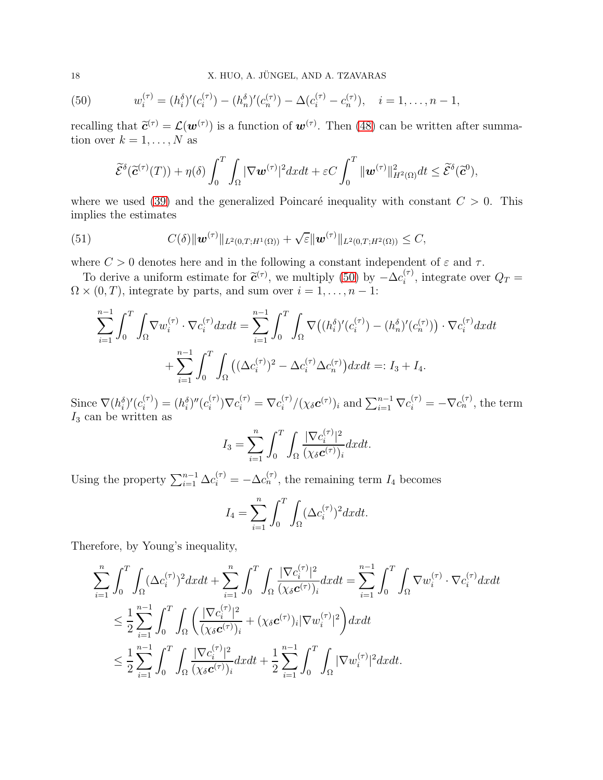<span id="page-17-0"></span>(50) 
$$
w_i^{(\tau)} = (h_i^{\delta})'(c_i^{(\tau)}) - (h_n^{\delta})'(c_n^{(\tau)}) - \Delta(c_i^{(\tau)} - c_n^{(\tau)}), \quad i = 1, ..., n-1,
$$

recalling that  $\tilde{c}^{(\tau)} = \mathcal{L}(\boldsymbol{w}^{(\tau)})$  is a function of  $\boldsymbol{w}^{(\tau)}$ . Then [\(48\)](#page-16-0) can be written after summation over  $k = 1, \ldots, N$  as

<span id="page-17-1"></span>
$$
\widetilde{\mathcal{E}}^{\delta}(\widetilde{\mathbf{c}}^{(\tau)}(T)) + \eta(\delta) \int_0^T \int_{\Omega} |\nabla \boldsymbol{w}^{(\tau)}|^2 dx dt + \varepsilon C \int_0^T \|\boldsymbol{w}^{(\tau)}\|_{H^2(\Omega)}^2 dt \leq \widetilde{\mathcal{E}}^{\delta}(\widetilde{\boldsymbol{c}}^0),
$$

where we used [\(39\)](#page-12-1) and the generalized Poincaré inequality with constant  $C > 0$ . This implies the estimates

(51) 
$$
C(\delta) \|\mathbf{w}^{(\tau)}\|_{L^2(0,T;H^1(\Omega))} + \sqrt{\varepsilon} \|\mathbf{w}^{(\tau)}\|_{L^2(0,T;H^2(\Omega))} \leq C,
$$

where  $C > 0$  denotes here and in the following a constant independent of  $\varepsilon$  and  $\tau$ .

To derive a uniform estimate for  $\tilde{c}^{(\tau)}$ , we multiply [\(50\)](#page-17-0) by  $-\Delta c_i^{(\tau)}$  $i^{(T)}$ , integrate over  $Q_T =$  $\Omega \times (0, T)$ , integrate by parts, and sum over  $i = 1, \ldots, n - 1$ :

$$
\sum_{i=1}^{n-1} \int_0^T \int_{\Omega} \nabla w_i^{(\tau)} \cdot \nabla c_i^{(\tau)} dx dt = \sum_{i=1}^{n-1} \int_0^T \int_{\Omega} \nabla \big( (h_i^{\delta})'(c_i^{(\tau)}) - (h_n^{\delta})'(c_n^{(\tau)}) \big) \cdot \nabla c_i^{(\tau)} dx dt + \sum_{i=1}^{n-1} \int_0^T \int_{\Omega} \big( (\Delta c_i^{(\tau)})^2 - \Delta c_i^{(\tau)} \Delta c_n^{(\tau)} \big) dx dt =: I_3 + I_4.
$$

Since  $\nabla (h_i^{\delta})' (c_i^{(\tau)})$  $i^{(\tau)}_i$  =  $(h_i^{\delta})''(c_i^{(\tau)})$  $\sum_{i}^{(\tau)}\nabla c_i^{(\tau)} = \nabla c_i^{(\tau)}$  $\int_{i}^{(\tau)} / (\chi_{\delta} c^{(\tau)})_i$  and  $\sum_{i=1}^{n-1} \nabla c_i^{(\tau)} = -\nabla c_n^{(\tau)}$ , the term  $I_3$  can be written as

$$
I_3 = \sum_{i=1}^n \int_0^T \int_{\Omega} \frac{|\nabla c_i^{(\tau)}|^2}{(\chi_{\delta} \mathbf{c}^{(\tau)})_i} dx dt.
$$

Using the property  $\sum_{i=1}^{n-1} \Delta c_i^{(\tau)} = -\Delta c_n^{(\tau)}$ , the remaining term  $I_4$  becomes

$$
I_4 = \sum_{i=1}^n \int_0^T \int_{\Omega} (\Delta c_i^{(\tau)})^2 dx dt.
$$

Therefore, by Young's inequality,

$$
\sum_{i=1}^{n} \int_{0}^{T} \int_{\Omega} (\Delta c_{i}^{(\tau)})^{2} dxdt + \sum_{i=1}^{n} \int_{0}^{T} \int_{\Omega} \frac{|\nabla c_{i}^{(\tau)}|^{2}}{(\chi_{\delta} \mathbf{c}^{(\tau)})_{i}} dxdt = \sum_{i=1}^{n-1} \int_{0}^{T} \int_{\Omega} \nabla w_{i}^{(\tau)} \cdot \nabla c_{i}^{(\tau)} dxdt
$$
  

$$
\leq \frac{1}{2} \sum_{i=1}^{n-1} \int_{0}^{T} \int_{\Omega} \left( \frac{|\nabla c_{i}^{(\tau)}|^{2}}{(\chi_{\delta} \mathbf{c}^{(\tau)})_{i}} + (\chi_{\delta} \mathbf{c}^{(\tau)})_{i} |\nabla w_{i}^{(\tau)}|^{2} \right) dxdt
$$
  

$$
\leq \frac{1}{2} \sum_{i=1}^{n-1} \int_{0}^{T} \int_{\Omega} \frac{|\nabla c_{i}^{(\tau)}|^{2}}{(\chi_{\delta} \mathbf{c}^{(\tau)})_{i}} dxdt + \frac{1}{2} \sum_{i=1}^{n-1} \int_{0}^{T} \int_{\Omega} |\nabla w_{i}^{(\tau)}|^{2} dxdt.
$$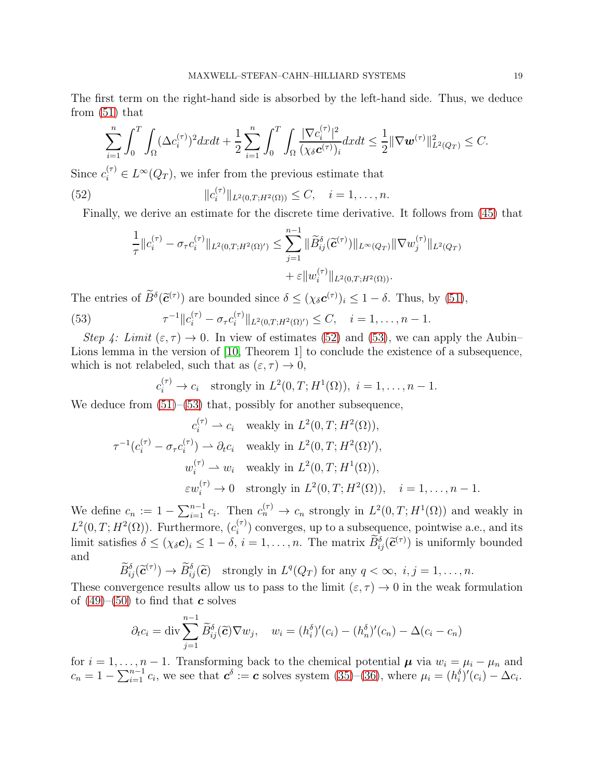The first term on the right-hand side is absorbed by the left-hand side. Thus, we deduce from [\(51\)](#page-17-1) that

$$
\sum_{i=1}^n \int_0^T \int_{\Omega} (\Delta c_i^{(\tau)})^2 dx dt + \frac{1}{2} \sum_{i=1}^n \int_0^T \int_{\Omega} \frac{|\nabla c_i^{(\tau)}|^2}{(\chi_{\delta} c^{(\tau)})_i} dx dt \leq \frac{1}{2} ||\nabla \boldsymbol{w}^{(\tau)}||^2_{L^2(Q_T)} \leq C.
$$

Since  $c_i^{(\tau)} \in L^\infty(Q_T)$ , we infer from the previous estimate that

(52) 
$$
||c_i^{(\tau)}||_{L^2(0,T;H^2(\Omega))} \leq C, \quad i=1,\ldots,n.
$$

Finally, we derive an estimate for the discrete time derivative. It follows from [\(45\)](#page-15-0) that

<span id="page-18-0"></span>
$$
\frac{1}{\tau} ||c_i^{(\tau)} - \sigma_\tau c_i^{(\tau)}||_{L^2(0,T;H^2(\Omega)')} \leq \sum_{j=1}^{n-1} ||\widetilde{B}_{ij}^\delta(\widetilde{\mathbf{c}}^{(\tau)})||_{L^\infty(Q_T)} ||\nabla w_j^{(\tau)}||_{L^2(Q_T)} \n+ \varepsilon ||w_i^{(\tau)}||_{L^2(0,T;H^2(\Omega))}.
$$

The entries of  $\tilde{B}^{\delta}(\tilde{c}^{(\tau)})$  are bounded since  $\delta \leq (\chi_{\delta} c^{(\tau)})_i \leq 1 - \delta$ . Thus, by [\(51\)](#page-17-1),

(53) 
$$
\tau^{-1} \|c_i^{(\tau)} - \sigma_\tau c_i^{(\tau)}\|_{L^2(0,T;H^2(\Omega)')} \leq C, \quad i = 1,\ldots, n-1.
$$

Step 4: Limit  $(\varepsilon, \tau) \to 0$ . In view of estimates [\(52\)](#page-18-0) and [\(53\)](#page-18-1), we can apply the Aubin– Lions lemma in the version of [\[10,](#page-40-15) Theorem 1] to conclude the existence of a subsequence, which is not relabeled, such that as  $(\varepsilon, \tau) \to 0$ ,

<span id="page-18-1"></span>
$$
c_i^{(\tau)} \to c_i
$$
 strongly in  $L^2(0,T; H^1(\Omega))$ ,  $i = 1, ..., n-1$ .

We deduce from  $(51)$ – $(53)$  that, possibly for another subsequence,

$$
c_i^{(\tau)} \rightharpoonup c_i \quad \text{weakly in } L^2(0, T; H^2(\Omega)),
$$
  
\n
$$
\tau^{-1}(c_i^{(\tau)} - \sigma_\tau c_i^{(\tau)}) \rightharpoonup \partial_t c_i \quad \text{weakly in } L^2(0, T; H^2(\Omega)'),
$$
  
\n
$$
w_i^{(\tau)} \rightharpoonup w_i \quad \text{weakly in } L^2(0, T; H^1(\Omega)),
$$
  
\n
$$
\varepsilon w_i^{(\tau)} \rightharpoonup 0 \quad \text{strongly in } L^2(0, T; H^2(\Omega)), \quad i = 1, ..., n - 1.
$$

We define  $c_n := 1 - \sum_{i=1}^{n-1} c_i$ . Then  $c_n^{(\tau)} \to c_n$  strongly in  $L^2(0,T;H^1(\Omega))$  and weakly in  $L^2(0,T;H^2(\Omega))$ . Furthermore,  $(c_i^{(\tau)})$  $i^{(r)}$  converges, up to a subsequence, pointwise a.e., and its limit satisfies  $\delta \leq (\chi_{\delta} c)_i \leq 1 - \delta, i = 1, \ldots, n$ . The matrix  $\tilde{B}_{ij}^{\delta}(\tilde{c}^{(\tau)})$  is uniformly bounded and

$$
\widetilde{B}_{ij}^{\delta}(\widetilde{\mathbf{c}}^{(\tau)}) \to \widetilde{B}_{ij}^{\delta}(\widetilde{\mathbf{c}}) \quad \text{strongly in } L^q(Q_T) \text{ for any } q < \infty, \ i, j = 1, \dots, n.
$$

These convergence results allow us to pass to the limit  $(\varepsilon, \tau) \to 0$  in the weak formulation of  $(49)$ – $(50)$  to find that **c** solves

$$
\partial_t c_i = \text{div} \sum_{j=1}^{n-1} \widetilde{B}_{ij}^{\delta}(\widetilde{\mathbf{c}}) \nabla w_j, \quad w_i = (h_i^{\delta})'(c_i) - (h_n^{\delta})'(c_n) - \Delta(c_i - c_n)
$$

for  $i = 1, \ldots, n - 1$ . Transforming back to the chemical potential  $\mu$  via  $w_i = \mu_i - \mu_n$  and  $c_n = 1 - \sum_{i=1}^{n-1} c_i$ , we see that  $c^{\delta} := c$  solves system [\(35\)](#page-11-3)–[\(36\)](#page-11-4), where  $\mu_i = (h_i^{\delta})'(c_i) - \Delta c_i$ .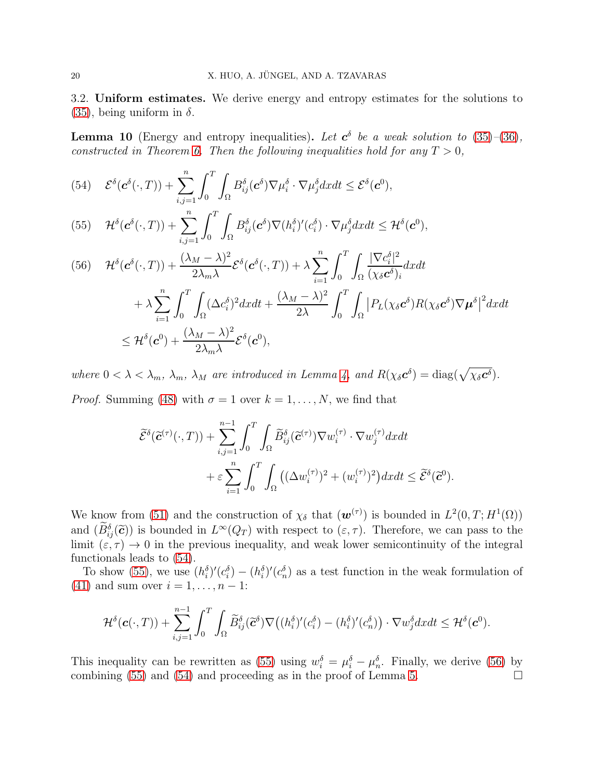<span id="page-19-1"></span>3.2. Uniform estimates. We derive energy and entropy estimates for the solutions to [\(35\)](#page-11-3), being uniform in  $\delta$ .

<span id="page-19-0"></span>**Lemma 10** (Energy and entropy inequalities). Let  $c^{\delta}$  be a weak solution to [\(35\)](#page-11-3)–[\(36\)](#page-11-4), constructed in Theorem [6.](#page-12-3) Then the following inequalities hold for any  $T > 0$ ,

<span id="page-19-2"></span>(54) 
$$
\mathcal{E}^{\delta}(\mathbf{c}^{\delta}(\cdot,T)) + \sum_{i,j=1}^{n} \int_{0}^{T} \int_{\Omega} B_{ij}^{\delta}(\mathbf{c}^{\delta}) \nabla \mu_{i}^{\delta} \cdot \nabla \mu_{j}^{\delta} dx dt \leq \mathcal{E}^{\delta}(\mathbf{c}^{0}),
$$

<span id="page-19-3"></span>(55) 
$$
\mathcal{H}^{\delta}(\mathbf{c}^{\delta}(\cdot,T)) + \sum_{i,j=1}^{n} \int_{0}^{T} \int_{\Omega} B_{ij}^{\delta}(\mathbf{c}^{\delta}) \nabla (h_{i}^{\delta})'(c_{i}^{\delta}) \cdot \nabla \mu_{j}^{\delta} dx dt \leq \mathcal{H}^{\delta}(\mathbf{c}^{0}),
$$

<span id="page-19-4"></span>
$$
(56) \quad \mathcal{H}^{\delta}(\mathbf{c}^{\delta}(\cdot,T)) + \frac{(\lambda_M - \lambda)^2}{2\lambda_m\lambda} \mathcal{E}^{\delta}(\mathbf{c}^{\delta}(\cdot,T)) + \lambda \sum_{i=1}^n \int_0^T \int_{\Omega} \frac{|\nabla c_i^{\delta}|^2}{(\chi_{\delta}\mathbf{c}^{\delta})_i} dx dt + \lambda \sum_{i=1}^n \int_0^T \int_{\Omega} (\Delta c_i^{\delta})^2 dx dt + \frac{(\lambda_M - \lambda)^2}{2\lambda} \int_0^T \int_{\Omega} |P_L(\chi_{\delta}\mathbf{c}^{\delta}) R(\chi_{\delta}\mathbf{c}^{\delta}) \nabla \boldsymbol{\mu}^{\delta}|^2 dx dt \leq \mathcal{H}^{\delta}(\mathbf{c}^0) + \frac{(\lambda_M - \lambda)^2}{2\lambda_m\lambda} \mathcal{E}^{\delta}(\mathbf{c}^0),
$$

where  $0 < \lambda < \lambda_m$ ,  $\lambda_m$ ,  $\lambda_M$  are introduced in Lemma [4,](#page-8-0) and  $R(\chi_{\delta} c^{\delta}) = \text{diag}(\sqrt{\chi_{\delta} c^{\delta}})$ . *Proof.* Summing [\(48\)](#page-16-0) with  $\sigma = 1$  over  $k = 1, \ldots, N$ , we find that

$$
\widetilde{\mathcal{E}}^{\delta}(\widetilde{\mathbf{c}}^{(\tau)}(\cdot,T)) + \sum_{i,j=1}^{n-1} \int_0^T \int_{\Omega} \widetilde{B}_{ij}^{\delta}(\widetilde{\mathbf{c}}^{(\tau)}) \nabla w_i^{(\tau)} \cdot \nabla w_j^{(\tau)} dx dt \n+ \varepsilon \sum_{i=1}^n \int_0^T \int_{\Omega} \left( (\Delta w_i^{(\tau)})^2 + (w_i^{(\tau)})^2 \right) dx dt \le \widetilde{\mathcal{E}}^{\delta}(\widetilde{\mathbf{c}}^0).
$$

We know from [\(51\)](#page-17-1) and the construction of  $\chi_{\delta}$  that  $(\mathbf{w}^{(\tau)})$  is bounded in  $L^2(0,T;H^1(\Omega))$ and  $(\tilde{B}_{ij}^{\delta}(\tilde{\mathbf{c}}))$  is bounded in  $L^{\infty}(Q_T)$  with respect to  $(\varepsilon, \tau)$ . Therefore, we can pass to the limit  $(\varepsilon, \tau) \to 0$  in the previous inequality, and weak lower semicontinuity of the integral functionals leads to [\(54\)](#page-19-2).

To show [\(55\)](#page-19-3), we use  $(h_i^{\delta})'(c_i^{\delta}) - (h_i^{\delta})'(c_n^{\delta})$  as a test function in the weak formulation of [\(41\)](#page-14-4) and sum over  $i = 1, ..., n - 1$ :

$$
\mathcal{H}^{\delta}(\boldsymbol{c}(\cdot,T)) + \sum_{i,j=1}^{n-1} \int_0^T \int_{\Omega} \widetilde{B}_{ij}^{\delta}(\widetilde{\boldsymbol{c}}^{\delta}) \nabla \big( (h_i^{\delta})'(c_i^{\delta}) - (h_i^{\delta})'(c_n^{\delta}) \big) \cdot \nabla w_j^{\delta} dx dt \leq \mathcal{H}^{\delta}(\boldsymbol{c}^0).
$$

This inequality can be rewritten as [\(55\)](#page-19-3) using  $w_i^{\delta} = \mu_i^{\delta} - \mu_n^{\delta}$ . Finally, we derive [\(56\)](#page-19-4) by combining [\(55\)](#page-19-3) and [\(54\)](#page-19-2) and proceeding as in the proof of Lemma [5.](#page-9-0)  $\Box$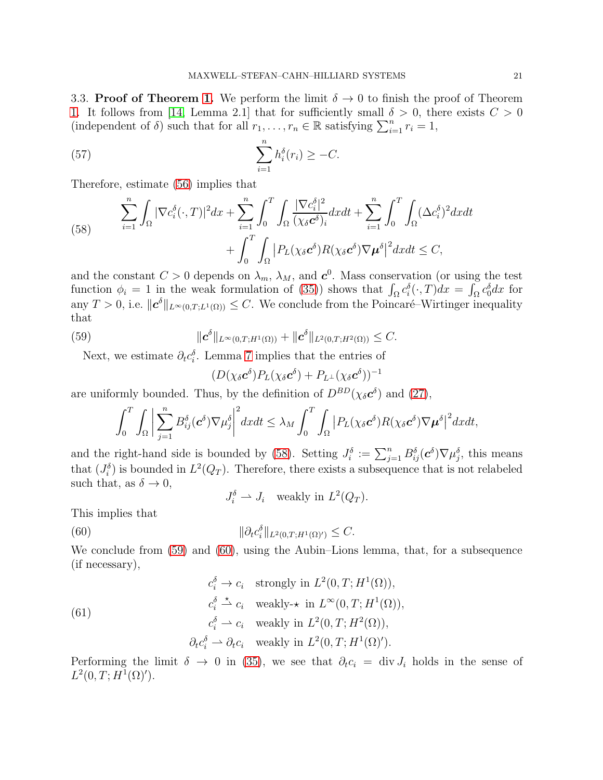<span id="page-20-0"></span>3.3. Proof of Theorem [1.](#page-4-1) We perform the limit  $\delta \to 0$  to finish the proof of Theorem [1.](#page-4-1) It follows from [\[14,](#page-40-16) Lemma 2.1] that for sufficiently small  $\delta > 0$ , there exists  $C > 0$ (independent of  $\delta$ ) such that for all  $r_1, \ldots, r_n \in \mathbb{R}$  satisfying  $\sum_{i=1}^n r_i = 1$ ,

<span id="page-20-4"></span>(57) 
$$
\sum_{i=1}^{n} h_i^{\delta}(r_i) \geq -C.
$$

Therefore, estimate [\(56\)](#page-19-4) implies that

<span id="page-20-1"></span>(58) 
$$
\sum_{i=1}^{n} \int_{\Omega} |\nabla c_i^{\delta}(\cdot, T)|^2 dx + \sum_{i=1}^{n} \int_{0}^{T} \int_{\Omega} \frac{|\nabla c_i^{\delta}|^2}{(\chi_{\delta} \mathbf{c}^{\delta})_i} dx dt + \sum_{i=1}^{n} \int_{0}^{T} \int_{\Omega} (\Delta c_i^{\delta})^2 dx dt + \int_{0}^{T} \int_{\Omega} |P_L(\chi_{\delta} \mathbf{c}^{\delta}) R(\chi_{\delta} \mathbf{c}^{\delta}) \nabla \mu^{\delta}|^2 dx dt \leq C,
$$

and the constant  $C > 0$  depends on  $\lambda_m$ ,  $\lambda_M$ , and  $c^0$ . Mass conservation (or using the test function  $\phi_i = 1$  in the weak formulation of [\(35\)](#page-11-3)) shows that  $\int_{\Omega} c_i^{\delta}(\cdot, T) dx = \int_{\Omega} c_0^{\delta} dx$  for any  $T > 0$ , i.e.  $||\boldsymbol{c}^{\delta}||_{L^{\infty}(0,T;L^{1}(\Omega))} \leq C$ . We conclude from the Poincaré–Wirtinger inequality that

(59) 
$$
\|\bm{c}^{\delta}\|_{L^{\infty}(0,T;H^{1}(\Omega))}+\|\bm{c}^{\delta}\|_{L^{2}(0,T;H^{2}(\Omega))}\leq C.
$$

Next, we estimate  $\partial_t c_i^{\delta}$ . Lemma [7](#page-12-4) implies that the entries of

<span id="page-20-2"></span>
$$
(D(\chi_{\delta} \boldsymbol{c}^{\delta}) P_L(\chi_{\delta} \boldsymbol{c}^{\delta})+P_{L^{\perp}}(\chi_{\delta} \boldsymbol{c}^{\delta}))^{-1}
$$

are uniformly bounded. Thus, by the definition of  $D^{BD}(\chi_{\delta} c^{\delta})$  and [\(27\)](#page-8-1),

$$
\int_0^T \int_{\Omega} \left| \sum_{j=1}^n B_{ij}^{\delta}(\mathbf{c}^{\delta}) \nabla \mu_j^{\delta} \right|^2 dx dt \leq \lambda_M \int_0^T \int_{\Omega} \left| P_L(\chi_{\delta} \mathbf{c}^{\delta}) R(\chi_{\delta} \mathbf{c}^{\delta}) \nabla \mu^{\delta} \right|^2 dx dt,
$$

and the right-hand side is bounded by [\(58\)](#page-20-1). Setting  $J_i^{\delta} := \sum_{j=1}^n B_{ij}^{\delta}(\mathbf{c}^{\delta}) \nabla \mu_j^{\delta}$ , this means that  $(J_i^{\delta})$  is bounded in  $L^2(Q_T)$ . Therefore, there exists a subsequence that is not relabeled such that, as  $\delta \to 0$ ,

<span id="page-20-5"></span><span id="page-20-3"></span> $J_i^{\delta} \rightharpoonup J_i$  weakly in  $L^2(Q_T)$ .

This implies that

(60) 
$$
\|\partial_t c_i^{\delta}\|_{L^2(0,T;H^1(\Omega)')} \leq C.
$$

We conclude from [\(59\)](#page-20-2) and [\(60\)](#page-20-3), using the Aubin–Lions lemma, that, for a subsequence (if necessary),

(61)  
\n
$$
c_i^{\delta} \rightarrow c_i \quad \text{strongly in } L^2(0, T; H^1(\Omega)),
$$
\n
$$
c_i^{\delta} \stackrel{\star}{\rightharpoonup} c_i \quad \text{weakly-}\star \text{ in } L^{\infty}(0, T; H^1(\Omega)),
$$
\n
$$
c_i^{\delta} \rightharpoonup c_i \quad \text{weakly in } L^2(0, T; H^2(\Omega)),
$$
\n
$$
\partial_t c_i^{\delta} \rightharpoonup \partial_t c_i \quad \text{weakly in } L^2(0, T; H^1(\Omega)').
$$

Performing the limit  $\delta \to 0$  in [\(35\)](#page-11-3), we see that  $\partial_t c_i = \text{div } J_i$  holds in the sense of  $L^2(0, T; H^1(\Omega)').$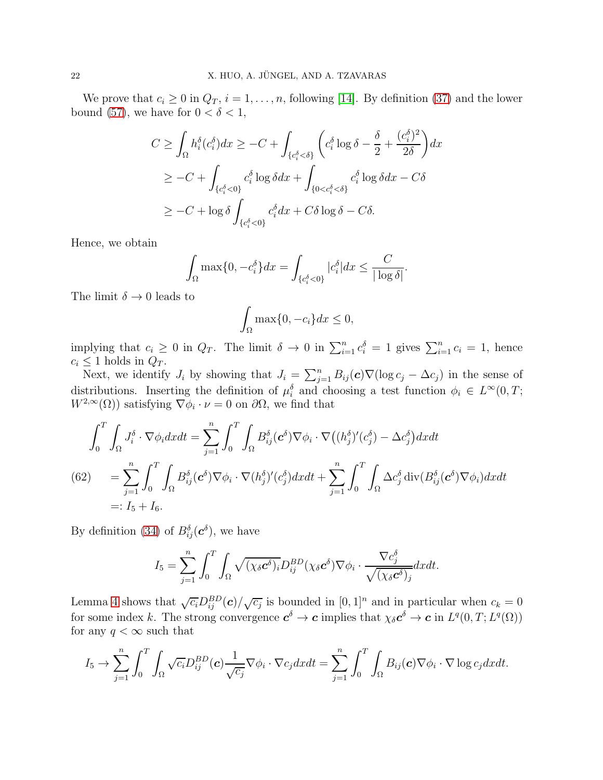We prove that  $c_i \geq 0$  in  $Q_T$ ,  $i = 1, \ldots, n$ , following [\[14\]](#page-40-16). By definition [\(37\)](#page-12-5) and the lower bound [\(57\)](#page-20-4), we have for  $0 < \delta < 1$ ,

$$
C \geq \int_{\Omega} h_i^{\delta}(c_i^{\delta}) dx \geq -C + \int_{\{c_i^{\delta} < \delta\}} \left( c_i^{\delta} \log \delta - \frac{\delta}{2} + \frac{(c_i^{\delta})^2}{2\delta} \right) dx
$$
  
\n
$$
\geq -C + \int_{\{c_i^{\delta} < 0\}} c_i^{\delta} \log \delta dx + \int_{\{0 < c_i^{\delta} < \delta\}} c_i^{\delta} \log \delta dx - C\delta
$$
  
\n
$$
\geq -C + \log \delta \int_{\{c_i^{\delta} < 0\}} c_i^{\delta} dx + C\delta \log \delta - C\delta.
$$

Hence, we obtain

$$
\int_{\Omega} \max\{0, -c_i^{\delta}\} dx = \int_{\{c_i^{\delta} < 0\}} |c_i^{\delta}| dx \le \frac{C}{|\log \delta|}.
$$

The limit  $\delta \to 0$  leads to

$$
\int_{\Omega} \max\{0, -c_i\} dx \le 0,
$$

implying that  $c_i \geq 0$  in  $Q_T$ . The limit  $\delta \to 0$  in  $\sum_{i=1}^n c_i^{\delta} = 1$  gives  $\sum_{i=1}^n c_i = 1$ , hence  $c_i \leq 1$  holds in  $Q_T$ .

Next, we identify  $J_i$  by showing that  $J_i = \sum_{j=1}^n B_{ij}(\mathbf{c}) \nabla (\log c_j - \Delta c_j)$  in the sense of distributions. Inserting the definition of  $\mu_i^{\delta}$  and choosing a test function  $\phi_i \in L^{\infty}(0,T;$  $W^{2,\infty}(\Omega)$ ) satisfying  $\nabla \phi_i \cdot \nu = 0$  on  $\partial \Omega$ , we find that

<span id="page-21-0"></span>
$$
\int_0^T \int_{\Omega} J_i^{\delta} \cdot \nabla \phi_i dx dt = \sum_{j=1}^n \int_0^T \int_{\Omega} B_{ij}^{\delta} (\mathbf{c}^{\delta}) \nabla \phi_i \cdot \nabla \big( (h_j^{\delta})'(c_j^{\delta}) - \Delta c_j^{\delta} \big) dx dt
$$
\n(62)\n
$$
= \sum_{j=1}^n \int_0^T \int_{\Omega} B_{ij}^{\delta} (\mathbf{c}^{\delta}) \nabla \phi_i \cdot \nabla (h_j^{\delta})'(c_j^{\delta}) dx dt + \sum_{j=1}^n \int_0^T \int_{\Omega} \Delta c_j^{\delta} \operatorname{div} (B_{ij}^{\delta} (\mathbf{c}^{\delta}) \nabla \phi_i) dx dt
$$
\n=:  $I_5 + I_6$ .

By definition [\(34\)](#page-11-5) of  $B_{ij}^{\delta}(\boldsymbol{c}^{\delta}),$  we have

$$
I_5 = \sum_{j=1}^n \int_0^T \int_{\Omega} \sqrt{(\chi_{\delta} \mathbf{c}^{\delta})_i} D_{ij}^{BD}(\chi_{\delta} \mathbf{c}^{\delta}) \nabla \phi_i \cdot \frac{\nabla c_j^{\delta}}{\sqrt{(\chi_{\delta} \mathbf{c}^{\delta})_j}} dx dt.
$$

Lemma [4](#page-8-0) shows that  $\sqrt{c_i}D_{ij}^{BD}(\mathbf{c})/\sqrt{c_j}$  is bounded in  $[0,1]^n$  and in particular when  $c_k = 0$ for some index k. The strong convergence  $c^{\delta} \to c$  implies that  $\chi_{\delta} c^{\delta} \to c$  in  $L^{q}(0,T; L^{q}(\Omega))$ for any  $q < \infty$  such that

$$
I_5 \to \sum_{j=1}^n \int_0^T \int_{\Omega} \sqrt{c_i} D_{ij}^{BD}(\boldsymbol{c}) \frac{1}{\sqrt{c_j}} \nabla \phi_i \cdot \nabla c_j dx dt = \sum_{j=1}^n \int_0^T \int_{\Omega} B_{ij}(\boldsymbol{c}) \nabla \phi_i \cdot \nabla \log c_j dx dt.
$$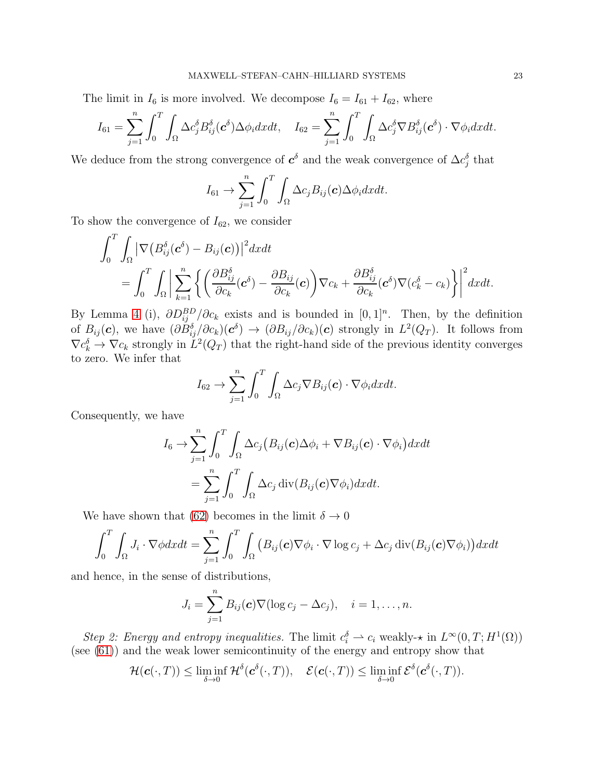The limit in  $I_6$  is more involved. We decompose  $I_6 = I_{61} + I_{62}$ , where

$$
I_{61} = \sum_{j=1}^{n} \int_{0}^{T} \int_{\Omega} \Delta c_{j}^{\delta} B_{ij}^{\delta}(\mathbf{c}^{\delta}) \Delta \phi_{i} dx dt, \quad I_{62} = \sum_{j=1}^{n} \int_{0}^{T} \int_{\Omega} \Delta c_{j}^{\delta} \nabla B_{ij}^{\delta}(\mathbf{c}^{\delta}) \cdot \nabla \phi_{i} dx dt.
$$

We deduce from the strong convergence of  $c^{\delta}$  and the weak convergence of  $\Delta c_j^{\delta}$  that

$$
I_{61} \rightarrow \sum_{j=1}^{n} \int_{0}^{T} \int_{\Omega} \Delta c_{j} B_{ij}(\boldsymbol{c}) \Delta \phi_{i} dx dt.
$$

To show the convergence of  $I_{62}$ , we consider

$$
\int_0^T \int_{\Omega} \left| \nabla \left( B_{ij}^{\delta}(\boldsymbol{c}^{\delta}) - B_{ij}(\boldsymbol{c}) \right) \right|^2 d\boldsymbol{x} d\boldsymbol{t} \n= \int_0^T \int_{\Omega} \left| \sum_{k=1}^n \left\{ \left( \frac{\partial B_{ij}^{\delta}}{\partial c_k}(\boldsymbol{c}^{\delta}) - \frac{\partial B_{ij}}{\partial c_k}(\boldsymbol{c}) \right) \nabla c_k + \frac{\partial B_{ij}^{\delta}}{\partial c_k}(\boldsymbol{c}^{\delta}) \nabla (c_k^{\delta} - c_k) \right\} \right|^2 d\boldsymbol{x} d\boldsymbol{t}.
$$

By Lemma [4](#page-8-0) (i),  $\partial D_{ij}^{BD}/\partial c_k$  exists and is bounded in [0, 1]<sup>n</sup>. Then, by the definition of  $B_{ij}(c)$ , we have  $(\partial B_{ij}^{\delta}/\partial c_k)(c^{\delta}) \to (\partial B_{ij}/\partial c_k)(c)$  strongly in  $L^2(Q_T)$ . It follows from  $\nabla c_k^{\delta} \to \nabla c_k$  strongly in  $L^2(Q_T)$  that the right-hand side of the previous identity converges to zero. We infer that

$$
I_{62} \rightarrow \sum_{j=1}^{n} \int_{0}^{T} \int_{\Omega} \Delta c_{j} \nabla B_{ij}(\boldsymbol{c}) \cdot \nabla \phi_{i} dxdt.
$$

Consequently, we have

$$
I_6 \to \sum_{j=1}^n \int_0^T \int_{\Omega} \Delta c_j (B_{ij}(\mathbf{c}) \Delta \phi_i + \nabla B_{ij}(\mathbf{c}) \cdot \nabla \phi_i) dx dt
$$
  
= 
$$
\sum_{j=1}^n \int_0^T \int_{\Omega} \Delta c_j \operatorname{div} (B_{ij}(\mathbf{c}) \nabla \phi_i) dx dt.
$$

We have shown that [\(62\)](#page-21-0) becomes in the limit  $\delta \to 0$ 

$$
\int_0^T \int_{\Omega} J_i \cdot \nabla \phi dx dt = \sum_{j=1}^n \int_0^T \int_{\Omega} \left( B_{ij}(\boldsymbol{\boldsymbol{c}}) \nabla \phi_i \cdot \nabla \log c_j + \Delta c_j \operatorname{div}(B_{ij}(\boldsymbol{\boldsymbol{c}}) \nabla \phi_i) \right) dx dt
$$

and hence, in the sense of distributions,

$$
J_i = \sum_{j=1}^n B_{ij}(\boldsymbol{c}) \nabla (\log c_j - \Delta c_j), \quad i = 1, \ldots, n.
$$

Step 2: Energy and entropy inequalities. The limit  $c_i^{\delta} \rightharpoonup c_i$  weakly- $\star$  in  $L^{\infty}(0,T;H^1(\Omega))$ (see [\(61\)](#page-20-5)) and the weak lower semicontinuity of the energy and entropy show that

$$
\mathcal{H}(\boldsymbol{c}(\cdot,T)) \leq \liminf_{\delta \to 0} \mathcal{H}^{\delta}(\boldsymbol{c}^{\delta}(\cdot,T)), \quad \mathcal{E}(\boldsymbol{c}(\cdot,T)) \leq \liminf_{\delta \to 0} \mathcal{E}^{\delta}(\boldsymbol{c}^{\delta}(\cdot,T)).
$$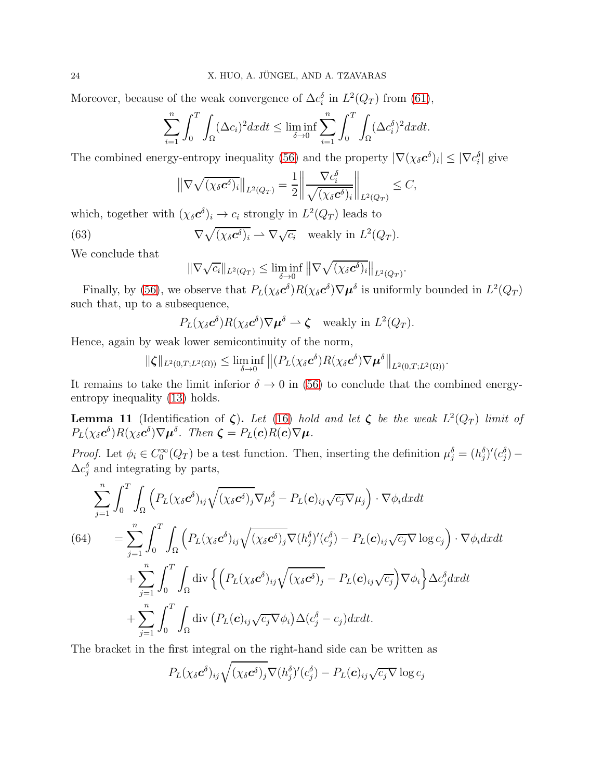Moreover, because of the weak convergence of  $\Delta c_i^{\delta}$  in  $L^2(Q_T)$  from [\(61\)](#page-20-5),

$$
\sum_{i=1}^{n} \int_{0}^{T} \int_{\Omega} (\Delta c_{i})^{2} dx dt \le \liminf_{\delta \to 0} \sum_{i=1}^{n} \int_{0}^{T} \int_{\Omega} (\Delta c_{i}^{\delta})^{2} dx dt.
$$

The combined energy-entropy inequality [\(56\)](#page-19-4) and the property  $|\nabla(\chi_{\delta} \mathbf{c}^{\delta})_i| \leq |\nabla c_i^{\delta}|$  give

$$
\left\|\nabla\sqrt{(\chi_{\delta}\mathbf{c}^{\delta})_i}\right\|_{L^2(Q_T)} = \frac{1}{2}\left\|\frac{\nabla c_i^{\delta}}{\sqrt{(\chi_{\delta}\mathbf{c}^{\delta})_i}}\right\|_{L^2(Q_T)} \leq C,
$$

which, together with  $(\chi_{\delta} c^{\delta})_i \to c_i$  strongly in  $L^2(Q_T)$  leads to

(63) 
$$
\nabla \sqrt{(\chi_{\delta} \mathbf{c}^{\delta})_i} \rightharpoonup \nabla \sqrt{c_i} \text{ weakly in } L^2(Q_T).
$$

We conclude that

<span id="page-23-1"></span>
$$
\|\nabla\sqrt{c_i}\|_{L^2(Q_T)} \le \liminf_{\delta \to 0} \|\nabla\sqrt{(\chi_{\delta} \mathbf{c}^{\delta})_i}\|_{L^2(Q_T)}.
$$

Finally, by [\(56\)](#page-19-4), we observe that  $P_L(\chi_\delta c^\delta)R(\chi_\delta c^\delta)\nabla \mu^\delta$  is uniformly bounded in  $L^2(Q_T)$ such that, up to a subsequence,

$$
P_L(\chi_{\delta} \mathbf{c}^{\delta}) R(\chi_{\delta} \mathbf{c}^{\delta}) \nabla \boldsymbol{\mu}^{\delta} \rightharpoonup \boldsymbol{\zeta} \quad \text{weakly in } L^2(Q_T).
$$

Hence, again by weak lower semicontinuity of the norm,

$$
\|\boldsymbol{\zeta}\|_{L^2(0,T;L^2(\Omega))}\leq \liminf_{\delta\to 0}\left\|\left(P_L(\chi_\delta\boldsymbol{c}^\delta)R(\chi_\delta\boldsymbol{c}^\delta)\nabla\boldsymbol{\mu}^\delta\right\|_{L^2(0,T;L^2(\Omega))}.
$$

It remains to take the limit inferior  $\delta \to 0$  in [\(56\)](#page-19-4) to conclude that the combined energyentropy inequality [\(13\)](#page-4-2) holds.

<span id="page-23-0"></span>**Lemma 11** (Identification of  $\zeta$ ). Let [\(16\)](#page-5-0) hold and let  $\zeta$  be the weak  $L^2(Q_T)$  limit of  $P_L(\chi_{\delta} c^{\delta})R(\chi_{\delta} c^{\delta})\nabla \mu^{\delta}$ . Then  $\zeta = P_L(c)R(c)\nabla \mu$ .

Proof. Let  $\phi_i \in C_0^{\infty}(Q_T)$  be a test function. Then, inserting the definition  $\mu_j^{\delta} = (h_j^{\delta})'(c_j^{\delta})$  $\Delta c_j^{\delta}$  and integrating by parts,

<span id="page-23-2"></span>
$$
\sum_{j=1}^{n} \int_{0}^{T} \int_{\Omega} \left( P_{L}(\chi_{\delta} \mathbf{c}^{\delta})_{ij} \sqrt{(\chi_{\delta} \mathbf{c}^{\delta})_{j}} \nabla \mu_{j}^{\delta} - P_{L}(\mathbf{c})_{ij} \sqrt{c_{j}} \nabla \mu_{j} \right) \cdot \nabla \phi_{i} dx dt
$$
\n(64)\n
$$
= \sum_{j=1}^{n} \int_{0}^{T} \int_{\Omega} \left( P_{L}(\chi_{\delta} \mathbf{c}^{\delta})_{ij} \sqrt{(\chi_{\delta} \mathbf{c}^{\delta})_{j}} \nabla (h_{j}^{\delta})'(c_{j}^{\delta}) - P_{L}(\mathbf{c})_{ij} \sqrt{c_{j}} \nabla \log c_{j} \right) \cdot \nabla \phi_{i} dx dt
$$
\n
$$
+ \sum_{j=1}^{n} \int_{0}^{T} \int_{\Omega} \text{div} \left\{ \left( P_{L}(\chi_{\delta} \mathbf{c}^{\delta})_{ij} \sqrt{(\chi_{\delta} \mathbf{c}^{\delta})_{j}} - P_{L}(\mathbf{c})_{ij} \sqrt{c_{j}} \right) \nabla \phi_{i} \right\} \Delta c_{j}^{\delta} dx dt
$$
\n
$$
+ \sum_{j=1}^{n} \int_{0}^{T} \int_{\Omega} \text{div} \left( P_{L}(\mathbf{c})_{ij} \sqrt{c_{j}} \nabla \phi_{i} \right) \Delta (c_{j}^{\delta} - c_{j}) dx dt.
$$

The bracket in the first integral on the right-hand side can be written as

$$
P_L(\chi_{\delta} \mathbf{c}^{\delta})_{ij} \sqrt{(\chi_{\delta} \mathbf{c}^{\delta})_j} \nabla (h_j^{\delta})'(c_j^{\delta}) - P_L(\mathbf{c})_{ij} \sqrt{c_j} \nabla \log c_j
$$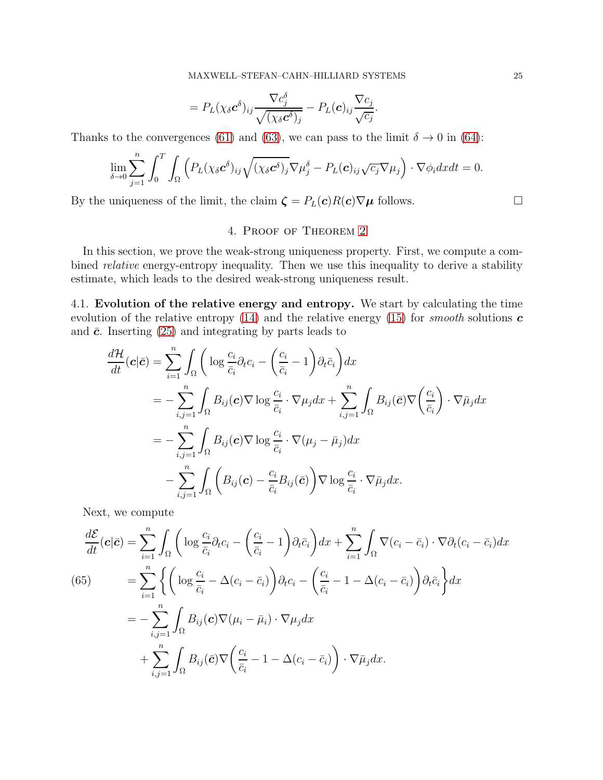$$
= P_{L}(\chi_{\delta} \mathbf{c}^{\delta})_{ij} \frac{\nabla c_{j}^{\delta}}{\sqrt{(\chi_{\delta} \mathbf{c}^{\delta})_{j}}} - P_{L}(\mathbf{c})_{ij} \frac{\nabla c_{j}}{\sqrt{c_{j}}}.
$$

Thanks to the convergences [\(61\)](#page-20-5) and [\(63\)](#page-23-1), we can pass to the limit  $\delta \to 0$  in [\(64\)](#page-23-2):

$$
\lim_{\delta \to 0} \sum_{j=1}^n \int_0^T \int_{\Omega} \left( P_L(\chi_{\delta} \mathbf{c}^{\delta})_{ij} \sqrt{(\chi_{\delta} \mathbf{c}^{\delta})_j} \nabla \mu_j^{\delta} - P_L(\mathbf{c})_{ij} \sqrt{c_j} \nabla \mu_j \right) \cdot \nabla \phi_i dx dt = 0.
$$

<span id="page-24-1"></span>By the uniqueness of the limit, the claim  $\zeta = P_L(c)R(c)\nabla\mu$  follows.

## 4. Proof of Theorem [2](#page-5-1)

In this section, we prove the weak-strong uniqueness property. First, we compute a combined *relative* energy-entropy inequality. Then we use this inequality to derive a stability estimate, which leads to the desired weak-strong uniqueness result.

<span id="page-24-0"></span>4.1. Evolution of the relative energy and entropy. We start by calculating the time evolution of the relative entropy [\(14\)](#page-5-2) and the relative energy [\(15\)](#page-5-3) for *smooth* solutions  $\boldsymbol{c}$ and  $\bar{c}$ . Inserting [\(25\)](#page-8-2) and integrating by parts leads to

$$
\frac{d\mathcal{H}}{dt}(\mathbf{c}|\bar{\mathbf{c}}) = \sum_{i=1}^{n} \int_{\Omega} \left( \log \frac{c_i}{\bar{c}_i} \partial_t c_i - \left( \frac{c_i}{\bar{c}_i} - 1 \right) \partial_t \bar{c}_i \right) dx
$$
\n
$$
= - \sum_{i,j=1}^{n} \int_{\Omega} B_{ij}(\mathbf{c}) \nabla \log \frac{c_i}{\bar{c}_i} \cdot \nabla \mu_j dx + \sum_{i,j=1}^{n} \int_{\Omega} B_{ij}(\bar{\mathbf{c}}) \nabla \left( \frac{c_i}{\bar{c}_i} \right) \cdot \nabla \bar{\mu}_j dx
$$
\n
$$
= - \sum_{i,j=1}^{n} \int_{\Omega} B_{ij}(\mathbf{c}) \nabla \log \frac{c_i}{\bar{c}_i} \cdot \nabla (\mu_j - \bar{\mu}_j) dx
$$
\n
$$
- \sum_{i,j=1}^{n} \int_{\Omega} \left( B_{ij}(\mathbf{c}) - \frac{c_i}{\bar{c}_i} B_{ij}(\bar{\mathbf{c}}) \right) \nabla \log \frac{c_i}{\bar{c}_i} \cdot \nabla \bar{\mu}_j dx.
$$

Next, we compute

<span id="page-24-2"></span>
$$
\frac{d\mathcal{E}}{dt}(\mathbf{c}|\bar{\mathbf{c}}) = \sum_{i=1}^{n} \int_{\Omega} \left( \log \frac{c_i}{\bar{c}_i} \partial_t c_i - \left( \frac{c_i}{\bar{c}_i} - 1 \right) \partial_t \bar{c}_i \right) dx + \sum_{i=1}^{n} \int_{\Omega} \nabla (c_i - \bar{c}_i) \cdot \nabla \partial_t (c_i - \bar{c}_i) dx
$$
\n(65)\n
$$
= \sum_{i=1}^{n} \left\{ \left( \log \frac{c_i}{\bar{c}_i} - \Delta (c_i - \bar{c}_i) \right) \partial_t c_i - \left( \frac{c_i}{\bar{c}_i} - 1 - \Delta (c_i - \bar{c}_i) \right) \partial_t \bar{c}_i \right\} dx
$$
\n
$$
= - \sum_{i,j=1}^{n} \int_{\Omega} B_{ij}(\mathbf{c}) \nabla (\mu_i - \bar{\mu}_i) \cdot \nabla \mu_j dx
$$
\n
$$
+ \sum_{i,j=1}^{n} \int_{\Omega} B_{ij}(\bar{\mathbf{c}}) \nabla \left( \frac{c_i}{\bar{c}_i} - 1 - \Delta (c_i - \bar{c}_i) \right) \cdot \nabla \bar{\mu}_j dx.
$$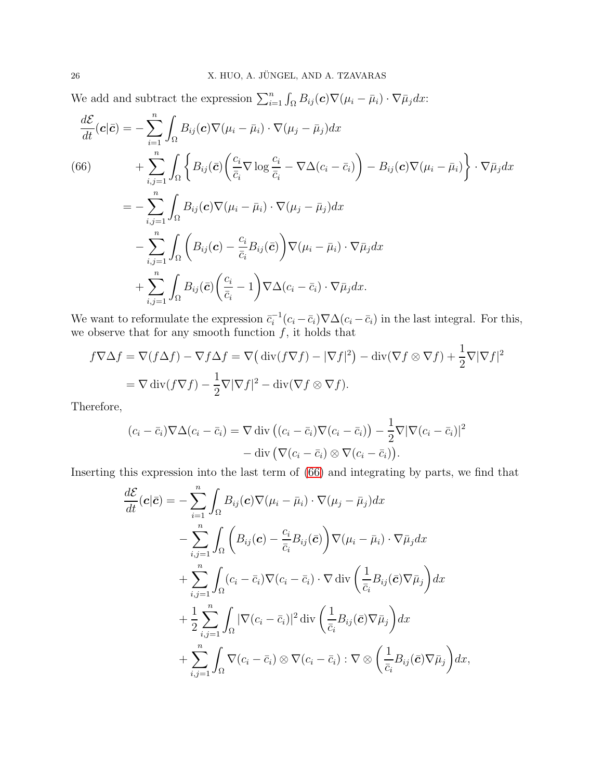We add and subtract the expression  $\sum_{i=1}^{n} \int_{\Omega} B_{ij}(\boldsymbol{c}) \nabla(\mu_i - \bar{\mu}_i) \cdot \nabla \bar{\mu}_j dx$ :

<span id="page-25-0"></span>
$$
\frac{d\mathcal{E}}{dt}(\mathbf{c}|\bar{\mathbf{c}}) = -\sum_{i=1}^{n} \int_{\Omega} B_{ij}(\mathbf{c}) \nabla(\mu_{i} - \bar{\mu}_{i}) \cdot \nabla(\mu_{j} - \bar{\mu}_{j}) dx \n(66) \qquad + \sum_{i,j=1}^{n} \int_{\Omega} \left\{ B_{ij}(\bar{\mathbf{c}}) \left( \frac{c_{i}}{\bar{c}_{i}} \nabla \log \frac{c_{i}}{\bar{c}_{i}} - \nabla \Delta(c_{i} - \bar{c}_{i}) \right) - B_{ij}(\mathbf{c}) \nabla(\mu_{i} - \bar{\mu}_{i}) \right\} \cdot \nabla \bar{\mu}_{j} dx \n= - \sum_{i,j=1}^{n} \int_{\Omega} B_{ij}(\mathbf{c}) \nabla(\mu_{i} - \bar{\mu}_{i}) \cdot \nabla(\mu_{j} - \bar{\mu}_{j}) dx \n- \sum_{i,j=1}^{n} \int_{\Omega} \left( B_{ij}(\mathbf{c}) - \frac{c_{i}}{\bar{c}_{i}} B_{ij}(\bar{\mathbf{c}}) \right) \nabla(\mu_{i} - \bar{\mu}_{i}) \cdot \nabla \bar{\mu}_{j} dx \n+ \sum_{i,j=1}^{n} \int_{\Omega} B_{ij}(\bar{\mathbf{c}}) \left( \frac{c_{i}}{\bar{c}_{i}} - 1 \right) \nabla \Delta(c_{i} - \bar{c}_{i}) \cdot \nabla \bar{\mu}_{j} dx.
$$

We want to reformulate the expression  $\bar{c}_i^{-1}(c_i - \bar{c}_i) \nabla \Delta(c_i - \bar{c}_i)$  in the last integral. For this, we observe that for any smooth function  $f$ , it holds that

$$
f\nabla\Delta f = \nabla(f\Delta f) - \nabla f\Delta f = \nabla\left(\operatorname{div}(f\nabla f) - |\nabla f|^2\right) - \operatorname{div}(\nabla f \otimes \nabla f) + \frac{1}{2}\nabla|\nabla f|^2
$$
  
=  $\nabla \operatorname{div}(f\nabla f) - \frac{1}{2}\nabla|\nabla f|^2 - \operatorname{div}(\nabla f \otimes \nabla f).$ 

Therefore,

$$
(c_i - \bar{c}_i) \nabla \Delta (c_i - \bar{c}_i) = \nabla \operatorname{div} \left( (c_i - \bar{c}_i) \nabla (c_i - \bar{c}_i) \right) - \frac{1}{2} \nabla |\nabla (c_i - \bar{c}_i)|^2 - \operatorname{div} \left( \nabla (c_i - \bar{c}_i) \otimes \nabla (c_i - \bar{c}_i) \right).
$$

Inserting this expression into the last term of [\(66\)](#page-25-0) and integrating by parts, we find that

$$
\frac{d\mathcal{E}}{dt}(\mathbf{c}|\bar{\mathbf{c}}) = -\sum_{i=1}^{n} \int_{\Omega} B_{ij}(\mathbf{c}) \nabla(\mu_i - \bar{\mu}_i) \cdot \nabla(\mu_j - \bar{\mu}_j) dx \n- \sum_{i,j=1}^{n} \int_{\Omega} \left( B_{ij}(\mathbf{c}) - \frac{c_i}{\bar{c}_i} B_{ij}(\bar{\mathbf{c}}) \right) \nabla(\mu_i - \bar{\mu}_i) \cdot \nabla \bar{\mu}_j dx \n+ \sum_{i,j=1}^{n} \int_{\Omega} (c_i - \bar{c}_i) \nabla(c_i - \bar{c}_i) \cdot \nabla \operatorname{div} \left( \frac{1}{\bar{c}_i} B_{ij}(\bar{\mathbf{c}}) \nabla \bar{\mu}_j \right) dx \n+ \frac{1}{2} \sum_{i,j=1}^{n} \int_{\Omega} |\nabla(c_i - \bar{c}_i)|^2 \operatorname{div} \left( \frac{1}{\bar{c}_i} B_{ij}(\bar{\mathbf{c}}) \nabla \bar{\mu}_j \right) dx \n+ \sum_{i,j=1}^{n} \int_{\Omega} \nabla(c_i - \bar{c}_i) \otimes \nabla(c_i - \bar{c}_i) : \nabla \otimes \left( \frac{1}{\bar{c}_i} B_{ij}(\bar{\mathbf{c}}) \nabla \bar{\mu}_j \right) dx,
$$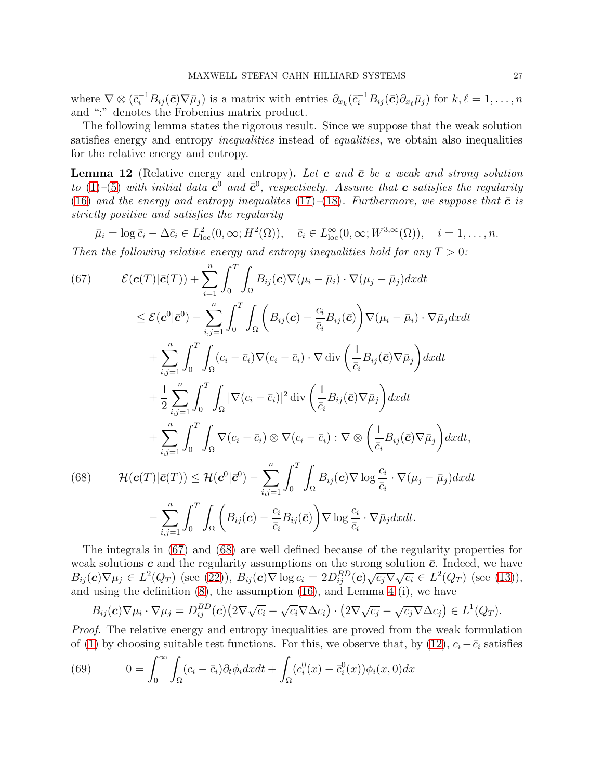where  $\nabla \otimes (\bar{c}_i^{-1}B_{ij}(\bar{\boldsymbol{c}})\nabla \bar{\mu}_j)$  is a matrix with entries  $\partial_{x_k}(\bar{c}_i^{-1}B_{ij}(\bar{\boldsymbol{c}})\partial_{x_\ell}\bar{\mu}_j)$  for  $k, \ell = 1, \ldots, n$ and ":" denotes the Frobenius matrix product.

The following lemma states the rigorous result. Since we suppose that the weak solution satisfies energy and entropy *inequalities* instead of *equalities*, we obtain also inequalities for the relative energy and entropy.

**Lemma 12** (Relative energy and entropy). Let c and  $\bar{c}$  be a weak and strong solution to [\(1\)](#page-0-0)–[\(5\)](#page-1-1) with initial data  $c^0$  and  $\bar{c}^0$ , respectively. Assume that c satisfies the regularity [\(16\)](#page-5-0) and the energy and entropy inequalities [\(17\)](#page-5-4)–[\(18\)](#page-5-5). Furthermore, we suppose that  $\bar{c}$  is strictly positive and satisfies the regularity

$$
\bar{\mu}_i = \log \bar{c}_i - \Delta \bar{c}_i \in L^2_{loc}(0, \infty; H^2(\Omega)), \quad \bar{c}_i \in L^{\infty}_{loc}(0, \infty; W^{3,\infty}(\Omega)), \quad i = 1, \ldots, n.
$$

Then the following relative energy and entropy inequalities hold for any  $T > 0$ :

<span id="page-26-0"></span>(67) 
$$
\mathcal{E}(\mathbf{c}(T)|\bar{\mathbf{c}}(T)) + \sum_{i=1}^{n} \int_{0}^{T} \int_{\Omega} B_{ij}(\mathbf{c}) \nabla(\mu_{i} - \bar{\mu}_{i}) \cdot \nabla(\mu_{j} - \bar{\mu}_{j}) dx dt
$$
  
\n
$$
\leq \mathcal{E}(\mathbf{c}^{0}|\bar{\mathbf{c}}^{0}) - \sum_{i,j=1}^{n} \int_{0}^{T} \int_{\Omega} \left( B_{ij}(\mathbf{c}) - \frac{c_{i}}{\bar{c}_{i}} B_{ij}(\bar{\mathbf{c}}) \right) \nabla(\mu_{i} - \bar{\mu}_{i}) \cdot \nabla \bar{\mu}_{j} dx dt
$$
  
\n
$$
+ \sum_{i,j=1}^{n} \int_{0}^{T} \int_{\Omega} (c_{i} - \bar{c}_{i}) \nabla(c_{i} - \bar{c}_{i}) \cdot \nabla \operatorname{div} \left( \frac{1}{\bar{c}_{i}} B_{ij}(\bar{\mathbf{c}}) \nabla \bar{\mu}_{j} \right) dx dt
$$
  
\n
$$
+ \frac{1}{2} \sum_{i,j=1}^{n} \int_{0}^{T} \int_{\Omega} |\nabla(c_{i} - \bar{c}_{i})|^{2} \operatorname{div} \left( \frac{1}{\bar{c}_{i}} B_{ij}(\bar{\mathbf{c}}) \nabla \bar{\mu}_{j} \right) dx dt
$$
  
\n
$$
+ \sum_{i,j=1}^{n} \int_{0}^{T} \int_{\Omega} \nabla(c_{i} - \bar{c}_{i}) \otimes \nabla(c_{i} - \bar{c}_{i}) : \nabla \otimes \left( \frac{1}{\bar{c}_{i}} B_{ij}(\bar{\mathbf{c}}) \nabla \bar{\mu}_{j} \right) dx dt,
$$
  
\n(68) 
$$
\mathcal{H}(\mathbf{c}(T)|\bar{\mathbf{c}}(T)) \leq \mathcal{H}(\mathbf{c}^{0}|\bar{\mathbf{c}}^{0}) - \sum_{i,j=1}^{n} \int_{0}^{T} \int_{\Omega} B_{ij}(\mathbf{c}) \nabla \log \frac{c_{i}}{\bar{c}_{i}} \cdot \nabla(\mu_{j} - \bar{\mu}_{j}) dx dt
$$
  
\n<

<span id="page-26-1"></span>The integrals in [\(67\)](#page-26-0) and [\(68\)](#page-26-1) are well defined because of the regularity properties for weak solutions c and the regularity assumptions on the strong solution  $\bar{c}$ . Indeed, we have  $B_{ij}(\mathbf{c})\nabla\mu_j \in L^2(Q_T)$  (see [\(22\)](#page-6-1)),  $B_{ij}(\mathbf{c})\nabla \log c_i = 2D_{ij}^{BD}(\mathbf{c})\sqrt{c_j}\nabla\sqrt{c_i} \in L^2(Q_T)$  (see [\(13\)](#page-4-2)), and using the definition [\(8\)](#page-2-0), the assumption [\(16\)](#page-5-0), and Lemma [4](#page-8-0) (i), we have

$$
B_{ij}(\mathbf{c})\nabla\mu_i \cdot \nabla\mu_j = D_{ij}^{BD}(\mathbf{c}) \big(2\nabla\sqrt{c_i} - \sqrt{c_i}\nabla\Delta c_i\big) \cdot \big(2\nabla\sqrt{c_j} - \sqrt{c_j}\nabla\Delta c_j\big) \in L^1(Q_T).
$$

Proof. The relative energy and entropy inequalities are proved from the weak formulation of [\(1\)](#page-0-0) by choosing suitable test functions. For this, we observe that, by [\(12\)](#page-4-0),  $c_i-\bar{c}_i$  satisfies

<span id="page-26-2"></span>(69) 
$$
0 = \int_0^\infty \int_{\Omega} (c_i - \bar{c}_i) \partial_t \phi_i dx dt + \int_{\Omega} (c_i^0(x) - \bar{c}_i^0(x)) \phi_i(x, 0) dx
$$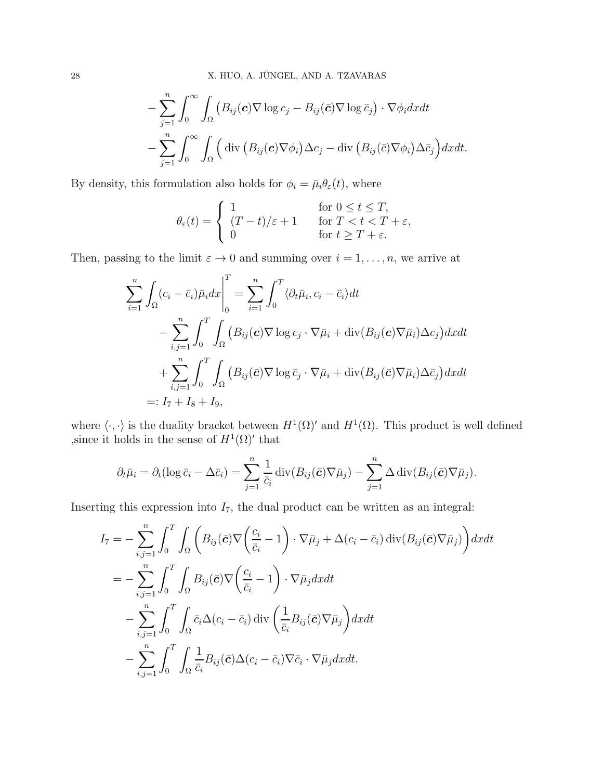$$
- \sum_{j=1}^{n} \int_{0}^{\infty} \int_{\Omega} (B_{ij}(\boldsymbol{c}) \nabla \log c_{j} - B_{ij}(\bar{\boldsymbol{c}}) \nabla \log \bar{c}_{j}) \cdot \nabla \phi_{i} dxdt
$$

$$
- \sum_{j=1}^{n} \int_{0}^{\infty} \int_{\Omega} (\text{div} (B_{ij}(\boldsymbol{c}) \nabla \phi_{i}) \Delta c_{j} - \text{div} (B_{ij}(\bar{\boldsymbol{c}}) \nabla \phi_{i}) \Delta \bar{c}_{j}) dxdt.
$$

By density, this formulation also holds for  $\phi_i = \bar{\mu}_i \theta_{\varepsilon}(t)$ , where

$$
\theta_{\varepsilon}(t) = \begin{cases} 1 & \text{for } 0 \le t \le T, \\ (T-t)/\varepsilon + 1 & \text{for } T < t < T + \varepsilon, \\ 0 & \text{for } t \ge T + \varepsilon. \end{cases}
$$

Then, passing to the limit  $\varepsilon \to 0$  and summing over  $i = 1, \ldots, n$ , we arrive at

$$
\sum_{i=1}^{n} \int_{\Omega} (c_i - \bar{c}_i) \bar{\mu}_i dx \Big|_{0}^{T} = \sum_{i=1}^{n} \int_{0}^{T} \langle \partial_t \bar{\mu}_i, c_i - \bar{c}_i \rangle dt \n- \sum_{i,j=1}^{n} \int_{0}^{T} \int_{\Omega} (B_{ij}(\mathbf{c}) \nabla \log c_j \cdot \nabla \bar{\mu}_i + \operatorname{div}(B_{ij}(\mathbf{c}) \nabla \bar{\mu}_i) \Delta c_j) dx dt \n+ \sum_{i,j=1}^{n} \int_{0}^{T} \int_{\Omega} (B_{ij}(\bar{\mathbf{c}}) \nabla \log \bar{c}_j \cdot \nabla \bar{\mu}_i + \operatorname{div}(B_{ij}(\bar{\mathbf{c}}) \nabla \bar{\mu}_i) \Delta \bar{c}_j) dx dt \n=: I_7 + I_8 + I_9,
$$

where  $\langle \cdot, \cdot \rangle$  is the duality bracket between  $H^1(\Omega)'$  and  $H^1(\Omega)$ . This product is well defined , since it holds in the sense of  $H^1(\Omega)'$  that

$$
\partial_t \bar{\mu}_i = \partial_t (\log \bar{c}_i - \Delta \bar{c}_i) = \sum_{j=1}^n \frac{1}{\bar{c}_i} \operatorname{div}(B_{ij}(\bar{\mathbf{c}}) \nabla \bar{\mu}_j) - \sum_{j=1}^n \Delta \operatorname{div}(B_{ij}(\bar{\mathbf{c}}) \nabla \bar{\mu}_j).
$$

Inserting this expression into  $I_7$ , the dual product can be written as an integral:

$$
I_{7} = -\sum_{i,j=1}^{n} \int_{0}^{T} \int_{\Omega} \left( B_{ij}(\bar{c}) \nabla \left( \frac{c_{i}}{\bar{c}_{i}} - 1 \right) \cdot \nabla \bar{\mu}_{j} + \Delta(c_{i} - \bar{c}_{i}) \operatorname{div}(B_{ij}(\bar{c}) \nabla \bar{\mu}_{j}) \right) dx dt
$$
  
\n
$$
= -\sum_{i,j=1}^{n} \int_{0}^{T} \int_{\Omega} B_{ij}(\bar{c}) \nabla \left( \frac{c_{i}}{\bar{c}_{i}} - 1 \right) \cdot \nabla \bar{\mu}_{j} dx dt
$$
  
\n
$$
- \sum_{i,j=1}^{n} \int_{0}^{T} \int_{\Omega} \bar{c}_{i} \Delta(c_{i} - \bar{c}_{i}) \operatorname{div} \left( \frac{1}{\bar{c}_{i}} B_{ij}(\bar{c}) \nabla \bar{\mu}_{j} \right) dx dt
$$
  
\n
$$
- \sum_{i,j=1}^{n} \int_{0}^{T} \int_{\Omega} \frac{1}{\bar{c}_{i}} B_{ij}(\bar{c}) \Delta(c_{i} - \bar{c}_{i}) \nabla \bar{c}_{i} \cdot \nabla \bar{\mu}_{j} dx dt.
$$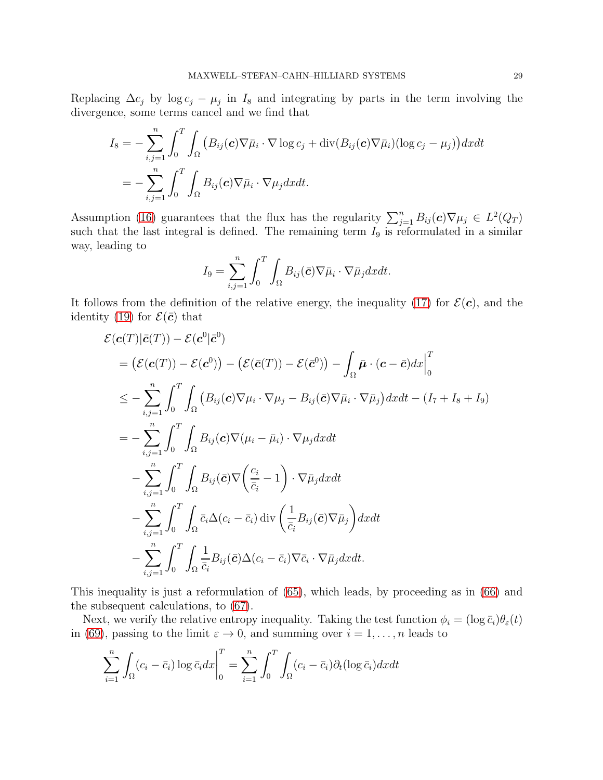Replacing  $\Delta c_j$  by  $\log c_j - \mu_j$  in  $I_8$  and integrating by parts in the term involving the divergence, some terms cancel and we find that

$$
I_8 = -\sum_{i,j=1}^n \int_0^T \int_{\Omega} \left( B_{ij}(\boldsymbol{c}) \nabla \bar{\mu}_i \cdot \nabla \log c_j + \text{div}(B_{ij}(\boldsymbol{c}) \nabla \bar{\mu}_i) (\log c_j - \mu_j) \right) dx dt
$$
  
= 
$$
-\sum_{i,j=1}^n \int_0^T \int_{\Omega} B_{ij}(\boldsymbol{c}) \nabla \bar{\mu}_i \cdot \nabla \mu_j dx dt.
$$

Assumption [\(16\)](#page-5-0) guarantees that the flux has the regularity  $\sum_{j=1}^{n} B_{ij}(\mathbf{c}) \nabla \mu_j \in L^2(Q_T)$ such that the last integral is defined. The remaining term  $I_9$  is reformulated in a similar way, leading to

$$
I_9 = \sum_{i,j=1}^n \int_0^T \int_{\Omega} B_{ij}(\bar{c}) \nabla \bar{\mu}_i \cdot \nabla \bar{\mu}_j dx dt.
$$

It follows from the definition of the relative energy, the inequality [\(17\)](#page-5-4) for  $\mathcal{E}(\mathbf{c})$ , and the identity [\(19\)](#page-5-6) for  $\mathcal{E}(\bar{c})$  that

$$
\mathcal{E}(\boldsymbol{c}(T)|\bar{\boldsymbol{c}}(T)) - \mathcal{E}(\boldsymbol{c}^{0}|\bar{\boldsymbol{c}}^{0})
$$
\n
$$
= (\mathcal{E}(\boldsymbol{c}(T)) - \mathcal{E}(\boldsymbol{c}^{0})) - (\mathcal{E}(\bar{\boldsymbol{c}}(T)) - \mathcal{E}(\bar{\boldsymbol{c}}^{0})) - \int_{\Omega} \bar{\boldsymbol{\mu}} \cdot (\boldsymbol{c} - \bar{\boldsymbol{c}}) dx \Big|_{0}^{T}
$$
\n
$$
\leq - \sum_{i,j=1}^{n} \int_{0}^{T} \int_{\Omega} (B_{ij}(\boldsymbol{c}) \nabla \mu_{i} \cdot \nabla \mu_{j} - B_{ij}(\bar{\boldsymbol{c}}) \nabla \bar{\mu}_{i} \cdot \nabla \bar{\mu}_{j}) dxdt - (I_{7} + I_{8} + I_{9})
$$
\n
$$
= - \sum_{i,j=1}^{n} \int_{0}^{T} \int_{\Omega} B_{ij}(\boldsymbol{c}) \nabla (\mu_{i} - \bar{\mu}_{i}) \cdot \nabla \mu_{j} dxdt
$$
\n
$$
- \sum_{i,j=1}^{n} \int_{0}^{T} \int_{\Omega} B_{ij}(\bar{\boldsymbol{c}}) \nabla (\frac{c_{i}}{\bar{c}_{i}} - 1) \cdot \nabla \bar{\mu}_{j} dxdt
$$
\n
$$
- \sum_{i,j=1}^{n} \int_{0}^{T} \int_{\Omega} \bar{c}_{i} \Delta (c_{i} - \bar{c}_{i}) \operatorname{div} (\frac{1}{\bar{c}_{i}} B_{ij}(\bar{\boldsymbol{c}}) \nabla \bar{\mu}_{j}) dxdt
$$
\n
$$
- \sum_{i,j=1}^{n} \int_{0}^{T} \int_{\Omega} \frac{1}{\bar{c}_{i}} B_{ij}(\bar{\boldsymbol{c}}) \Delta (c_{i} - \bar{c}_{i}) \nabla \bar{c}_{i} \cdot \nabla \bar{\mu}_{j} dxdt.
$$

This inequality is just a reformulation of [\(65\)](#page-24-2), which leads, by proceeding as in [\(66\)](#page-25-0) and the subsequent calculations, to [\(67\)](#page-26-0).

Next, we verify the relative entropy inequality. Taking the test function  $\phi_i = (\log \bar{c}_i)\theta_{\varepsilon}(t)$ in [\(69\)](#page-26-2), passing to the limit  $\varepsilon \to 0$ , and summing over  $i = 1, \ldots, n$  leads to

$$
\sum_{i=1}^{n} \int_{\Omega} (c_i - \bar{c}_i) \log \bar{c}_i dx \Big|_{0}^{T} = \sum_{i=1}^{n} \int_{0}^{T} \int_{\Omega} (c_i - \bar{c}_i) \partial_t (\log \bar{c}_i) dx dt
$$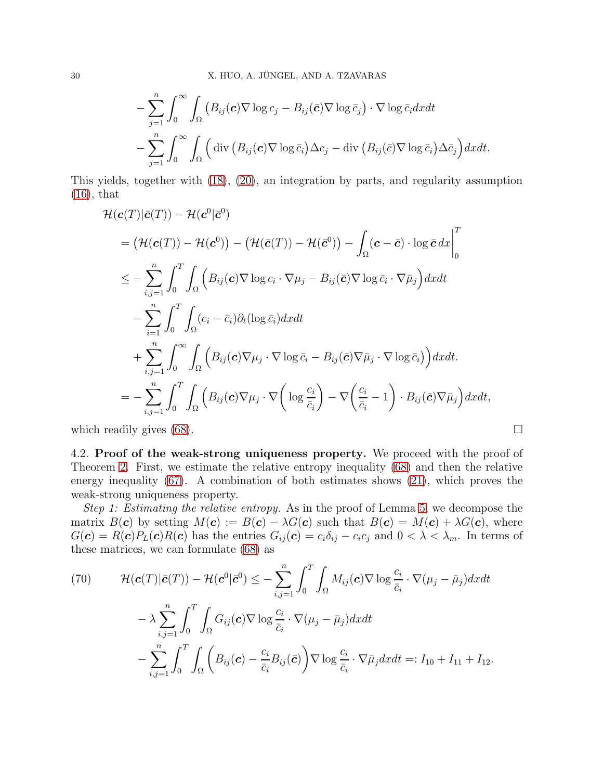$$
- \sum_{j=1}^{n} \int_{0}^{\infty} \int_{\Omega} \left( B_{ij}(\boldsymbol{c}) \nabla \log c_{j} - B_{ij}(\bar{\boldsymbol{c}}) \nabla \log \bar{c}_{j} \right) \cdot \nabla \log \bar{c}_{i} dx dt
$$

$$
- \sum_{j=1}^{n} \int_{0}^{\infty} \int_{\Omega} \left( \operatorname{div} \left( B_{ij}(\boldsymbol{c}) \nabla \log \bar{c}_{i} \right) \Delta c_{j} - \operatorname{div} \left( B_{ij}(\bar{\boldsymbol{c}}) \nabla \log \bar{c}_{i} \right) \Delta \bar{c}_{j} \right) dx dt.
$$

This yields, together with [\(18\)](#page-5-5), [\(20\)](#page-5-7), an integration by parts, and regularity assumption [\(16\)](#page-5-0), that

$$
\mathcal{H}(\mathbf{c}(T)|\bar{\mathbf{c}}(T)) - \mathcal{H}(\mathbf{c}^{0}|\bar{\mathbf{c}}^{0})
$$
\n
$$
= (\mathcal{H}(\mathbf{c}(T)) - \mathcal{H}(\mathbf{c}^{0})) - (\mathcal{H}(\bar{\mathbf{c}}(T)) - \mathcal{H}(\bar{\mathbf{c}}^{0})) - \int_{\Omega} (\mathbf{c} - \bar{\mathbf{c}}) \cdot \log \bar{\mathbf{c}} \, dx \Big|_{0}^{T}
$$
\n
$$
\leq - \sum_{i,j=1}^{n} \int_{0}^{T} \int_{\Omega} \left( B_{ij}(\mathbf{c}) \nabla \log c_{i} \cdot \nabla \mu_{j} - B_{ij}(\bar{\mathbf{c}}) \nabla \log \bar{c}_{i} \cdot \nabla \bar{\mu}_{j} \right) dx dt
$$
\n
$$
- \sum_{i=1}^{n} \int_{0}^{T} \int_{\Omega} (c_{i} - \bar{c}_{i}) \partial_{t} (\log \bar{c}_{i}) dx dt
$$
\n
$$
+ \sum_{i,j=1}^{n} \int_{0}^{\infty} \int_{\Omega} \left( B_{ij}(\mathbf{c}) \nabla \mu_{j} \cdot \nabla \log \bar{c}_{i} - B_{ij}(\bar{\mathbf{c}}) \nabla \bar{\mu}_{j} \cdot \nabla \log \bar{c}_{i} \right) dx dt.
$$
\n
$$
= - \sum_{i,j=1}^{n} \int_{0}^{T} \int_{\Omega} \left( B_{ij}(\mathbf{c}) \nabla \mu_{j} \cdot \nabla \left( \log \frac{c_{i}}{\bar{c}_{i}} \right) - \nabla \left( \frac{c_{i}}{\bar{c}_{i}} - 1 \right) \cdot B_{ij}(\bar{\mathbf{c}}) \nabla \bar{\mu}_{j} \right) dx dt,
$$

<span id="page-29-0"></span>which readily gives [\(68\)](#page-26-1).  $\Box$ 

4.2. Proof of the weak-strong uniqueness property. We proceed with the proof of Theorem [2.](#page-5-1) First, we estimate the relative entropy inequality [\(68\)](#page-26-1) and then the relative energy inequality [\(67\)](#page-26-0). A combination of both estimates shows [\(21\)](#page-6-2), which proves the weak-strong uniqueness property.

Step 1: Estimating the relative entropy. As in the proof of Lemma [5,](#page-9-0) we decompose the matrix  $B(c)$  by setting  $M(c) := B(c) - \lambda G(c)$  such that  $B(c) = M(c) + \lambda G(c)$ , where  $G(\mathbf{c}) = R(\mathbf{c})P_L(\mathbf{c})R(\mathbf{c})$  has the entries  $G_{ij}(\mathbf{c}) = c_i\delta_{ij} - c_ic_j$  and  $0 < \lambda < \lambda_m$ . In terms of these matrices, we can formulate [\(68\)](#page-26-1) as

<span id="page-29-1"></span>(70) 
$$
\mathcal{H}(\mathbf{c}(T)|\bar{\mathbf{c}}(T)) - \mathcal{H}(\mathbf{c}^{0}|\bar{\mathbf{c}}^{0}) \leq -\sum_{i,j=1}^{n} \int_{0}^{T} \int_{\Omega} M_{ij}(\mathbf{c}) \nabla \log \frac{c_{i}}{\bar{c}_{i}} \cdot \nabla(\mu_{j} - \bar{\mu}_{j}) dx dt
$$

$$
- \lambda \sum_{i,j=1}^{n} \int_{0}^{T} \int_{\Omega} G_{ij}(\mathbf{c}) \nabla \log \frac{c_{i}}{\bar{c}_{i}} \cdot \nabla(\mu_{j} - \bar{\mu}_{j}) dx dt
$$

$$
- \sum_{i,j=1}^{n} \int_{0}^{T} \int_{\Omega} \left( B_{ij}(\mathbf{c}) - \frac{c_{i}}{\bar{c}_{i}} B_{ij}(\bar{\mathbf{c}}) \right) \nabla \log \frac{c_{i}}{\bar{c}_{i}} \cdot \nabla \bar{\mu}_{j} dx dt =: I_{10} + I_{11} + I_{12}.
$$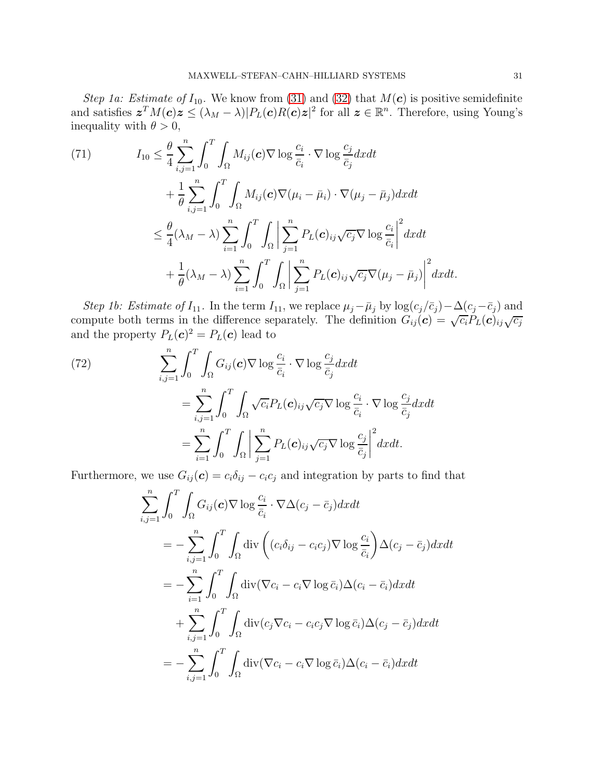Step 1a: Estimate of  $I_{10}$ . We know from [\(31\)](#page-10-1) and [\(32\)](#page-10-2) that  $M(c)$  is positive semidefinite and satisfies  $\boldsymbol{z}^T M(\boldsymbol{c})\boldsymbol{z} \leq (\lambda_M - \lambda) |P_L(\boldsymbol{c})R(\boldsymbol{c})\boldsymbol{z}|^2$  for all  $\boldsymbol{z} \in \mathbb{R}^n$ . Therefore, using Young's inequality with  $\theta > 0$ ,

<span id="page-30-1"></span>(71) 
$$
I_{10} \leq \frac{\theta}{4} \sum_{i,j=1}^{n} \int_{0}^{T} \int_{\Omega} M_{ij}(\mathbf{c}) \nabla \log \frac{c_{i}}{\bar{c}_{i}} \cdot \nabla \log \frac{c_{j}}{\bar{c}_{j}} dx dt + \frac{1}{\theta} \sum_{i,j=1}^{n} \int_{0}^{T} \int_{\Omega} M_{ij}(\mathbf{c}) \nabla (\mu_{i} - \bar{\mu}_{i}) \cdot \nabla (\mu_{j} - \bar{\mu}_{j}) dx dt \leq \frac{\theta}{4} (\lambda_{M} - \lambda) \sum_{i=1}^{n} \int_{0}^{T} \int_{\Omega} \left| \sum_{j=1}^{n} P_{L}(\mathbf{c})_{ij} \sqrt{c_{j}} \nabla \log \frac{c_{i}}{\bar{c}_{i}} \right|^{2} dx dt + \frac{1}{\theta} (\lambda_{M} - \lambda) \sum_{i=1}^{n} \int_{0}^{T} \int_{\Omega} \left| \sum_{j=1}^{n} P_{L}(\mathbf{c})_{ij} \sqrt{c_{j}} \nabla (\mu_{j} - \bar{\mu}_{j}) \right|^{2} dx dt.
$$

Step 1b: Estimate of  $I_{11}$ . In the term  $I_{11}$ , we replace  $\mu_j - \bar{\mu}_j$  by  $\log(c_j/\bar{c}_j) - \Delta(c_j-\bar{c}_j)$  and compute both terms in the difference separately. The definition  $G_{ij}(\mathbf{c}) = \sqrt{c_i} P_L(\mathbf{c})_{ij} \sqrt{c_j}$ and the property  $P_L(\boldsymbol{c})^2 = P_L(\boldsymbol{c})$  lead to

<span id="page-30-0"></span>(72)  
\n
$$
\sum_{i,j=1}^{n} \int_{0}^{T} \int_{\Omega} G_{ij}(\mathbf{c}) \nabla \log \frac{c_{i}}{\bar{c}_{i}} \cdot \nabla \log \frac{c_{j}}{\bar{c}_{j}} dx dt
$$
\n
$$
= \sum_{i,j=1}^{n} \int_{0}^{T} \int_{\Omega} \sqrt{c_{i}} P_{L}(\mathbf{c})_{ij} \sqrt{c_{j}} \nabla \log \frac{c_{i}}{\bar{c}_{i}} \cdot \nabla \log \frac{c_{j}}{\bar{c}_{j}} dx dt
$$
\n
$$
= \sum_{i=1}^{n} \int_{0}^{T} \int_{\Omega} \left| \sum_{j=1}^{n} P_{L}(\mathbf{c})_{ij} \sqrt{c_{j}} \nabla \log \frac{c_{j}}{\bar{c}_{j}} \right|^{2} dx dt.
$$

Furthermore, we use  $G_{ij}(\mathbf{c}) = c_i \delta_{ij} - c_i c_j$  and integration by parts to find that

$$
\sum_{i,j=1}^{n} \int_{0}^{T} \int_{\Omega} G_{ij}(\mathbf{c}) \nabla \log \frac{c_{i}}{\bar{c}_{i}} \cdot \nabla \Delta(c_{j} - \bar{c}_{j}) dx dt
$$
\n
$$
= -\sum_{i,j=1}^{n} \int_{0}^{T} \int_{\Omega} \text{div}\left( (c_{i}\delta_{ij} - c_{i}c_{j}) \nabla \log \frac{c_{i}}{\bar{c}_{i}} \right) \Delta(c_{j} - \bar{c}_{j}) dx dt
$$
\n
$$
= -\sum_{i=1}^{n} \int_{0}^{T} \int_{\Omega} \text{div}(\nabla c_{i} - c_{i} \nabla \log \bar{c}_{i}) \Delta(c_{i} - \bar{c}_{i}) dx dt
$$
\n
$$
+ \sum_{i,j=1}^{n} \int_{0}^{T} \int_{\Omega} \text{div}(c_{j} \nabla c_{i} - c_{i}c_{j} \nabla \log \bar{c}_{i}) \Delta(c_{j} - \bar{c}_{j}) dx dt
$$
\n
$$
= -\sum_{i,j=1}^{n} \int_{0}^{T} \int_{\Omega} \text{div}(\nabla c_{i} - c_{i} \nabla \log \bar{c}_{i}) \Delta(c_{i} - \bar{c}_{i}) dx dt
$$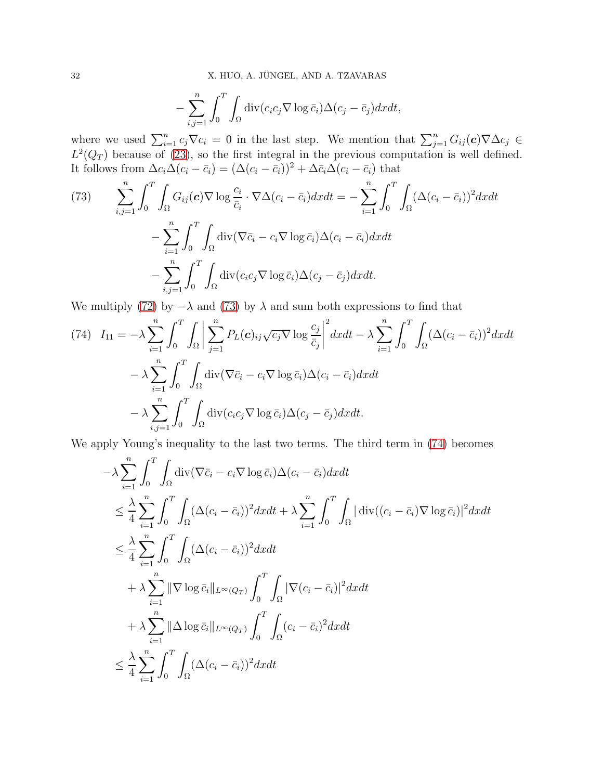$$
-\sum_{i,j=1}^n \int_0^T \int_{\Omega} \operatorname{div}(c_i c_j \nabla \log \bar{c}_i) \Delta(c_j - \bar{c}_j) dx dt,
$$

where we used  $\sum_{i=1}^{n} c_j \nabla c_i = 0$  in the last step. We mention that  $\sum_{j=1}^{n} G_{ij}(\mathbf{c}) \nabla \Delta c_j \in$  $L^2(Q_T)$  because of [\(23\)](#page-6-0), so the first integral in the previous computation is well defined. It follows from  $\Delta c_i \Delta (c_i - \bar{c}_i) = (\Delta (c_i - \bar{c}_i))^2 + \Delta \bar{c}_i \Delta (c_i - \bar{c}_i)$  that

<span id="page-31-0"></span>(73) 
$$
\sum_{i,j=1}^{n} \int_{0}^{T} \int_{\Omega} G_{ij}(\mathbf{c}) \nabla \log \frac{c_{i}}{\bar{c}_{i}} \cdot \nabla \Delta (c_{i} - \bar{c}_{i}) dx dt = -\sum_{i=1}^{n} \int_{0}^{T} \int_{\Omega} (\Delta (c_{i} - \bar{c}_{i}))^{2} dx dt
$$

$$
-\sum_{i=1}^{n} \int_{0}^{T} \int_{\Omega} \text{div} (\nabla \bar{c}_{i} - c_{i} \nabla \log \bar{c}_{i}) \Delta (c_{i} - \bar{c}_{i}) dx dt
$$

$$
-\sum_{i,j=1}^{n} \int_{0}^{T} \int_{\Omega} \text{div} (c_{i} c_{j} \nabla \log \bar{c}_{i}) \Delta (c_{j} - \bar{c}_{j}) dx dt.
$$

We multiply [\(72\)](#page-30-0) by  $-\lambda$  and [\(73\)](#page-31-0) by  $\lambda$  and sum both expressions to find that

<span id="page-31-1"></span>(74) 
$$
I_{11} = -\lambda \sum_{i=1}^{n} \int_{0}^{T} \int_{\Omega} \left| \sum_{j=1}^{n} P_{L}(\mathbf{c})_{ij} \sqrt{c_{j}} \nabla \log \frac{c_{j}}{\bar{c}_{j}} \right|^{2} dx dt - \lambda \sum_{i=1}^{n} \int_{0}^{T} \int_{\Omega} (\Delta(c_{i} - \bar{c}_{i}))^{2} dx dt - \lambda \sum_{i=1}^{n} \int_{0}^{T} \int_{\Omega} \text{div}(\nabla \bar{c}_{i} - c_{i} \nabla \log \bar{c}_{i}) \Delta(c_{i} - \bar{c}_{i}) dx dt - \lambda \sum_{i,j=1}^{n} \int_{0}^{T} \int_{\Omega} \text{div}(c_{i} c_{j} \nabla \log \bar{c}_{i}) \Delta(c_{j} - \bar{c}_{j}) dx dt.
$$

We apply Young's inequality to the last two terms. The third term in [\(74\)](#page-31-1) becomes

$$
-\lambda \sum_{i=1}^{n} \int_{0}^{T} \int_{\Omega} \operatorname{div}(\nabla \overline{c}_{i} - c_{i} \nabla \log \overline{c}_{i}) \Delta(c_{i} - \overline{c}_{i}) dx dt
$$
  
\n
$$
\leq \frac{\lambda}{4} \sum_{i=1}^{n} \int_{0}^{T} \int_{\Omega} (\Delta(c_{i} - \overline{c}_{i}))^{2} dx dt + \lambda \sum_{i=1}^{n} \int_{0}^{T} \int_{\Omega} |\operatorname{div}((c_{i} - \overline{c}_{i}) \nabla \log \overline{c}_{i})|^{2} dx dt
$$
  
\n
$$
\leq \frac{\lambda}{4} \sum_{i=1}^{n} \int_{0}^{T} \int_{\Omega} (\Delta(c_{i} - \overline{c}_{i}))^{2} dx dt
$$
  
\n
$$
+ \lambda \sum_{i=1}^{n} ||\nabla \log \overline{c}_{i}||_{L^{\infty}(Q_{T})} \int_{0}^{T} \int_{\Omega} |\nabla(c_{i} - \overline{c}_{i})|^{2} dx dt
$$
  
\n
$$
+ \lambda \sum_{i=1}^{n} ||\Delta \log \overline{c}_{i}||_{L^{\infty}(Q_{T})} \int_{0}^{T} \int_{\Omega} (c_{i} - \overline{c}_{i})^{2} dx dt
$$
  
\n
$$
\leq \frac{\lambda}{4} \sum_{i=1}^{n} \int_{0}^{T} \int_{\Omega} (\Delta(c_{i} - \overline{c}_{i}))^{2} dx dt
$$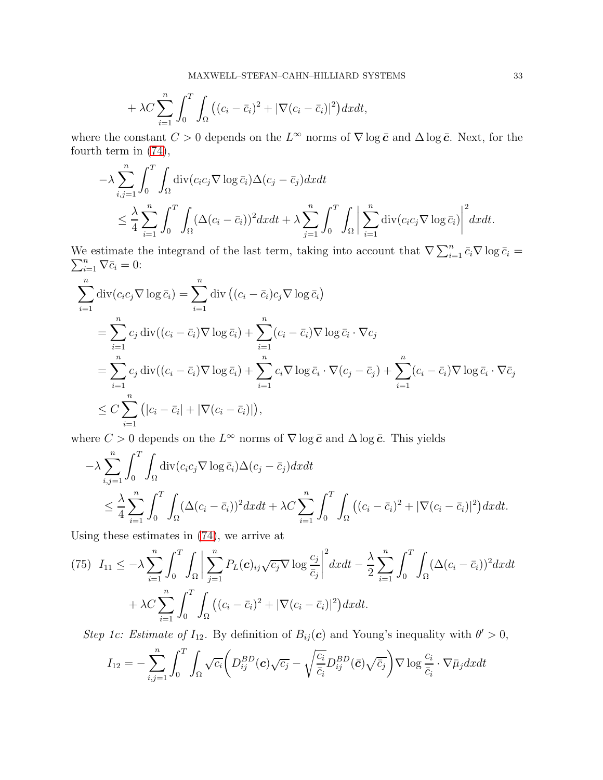$$
+\lambda C\sum_{i=1}^n\int_0^T\int_{\Omega} \big((c_i-\bar{c}_i)^2+|\nabla (c_i-\bar{c}_i)|^2\big)dxdt,
$$

where the constant  $C > 0$  depends on the  $L^{\infty}$  norms of  $\nabla \log \bar{c}$  and  $\Delta \log \bar{c}$ . Next, for the fourth term in [\(74\)](#page-31-1),

$$
-\lambda \sum_{i,j=1}^n \int_0^T \int_{\Omega} \text{div}(c_i c_j \nabla \log \bar{c}_i) \Delta(c_j - \bar{c}_j) dx dt
$$
  

$$
\leq \frac{\lambda}{4} \sum_{i=1}^n \int_0^T \int_{\Omega} (\Delta(c_i - \bar{c}_i))^2 dx dt + \lambda \sum_{j=1}^n \int_0^T \int_{\Omega} \left| \sum_{i=1}^n \text{div}(c_i c_j \nabla \log \bar{c}_i) \right|^2 dx dt.
$$

We estimate the integrand of the last term, taking into account that  $\nabla \sum_{i=1}^{n} \bar{c}_i \nabla \log \bar{c}_i =$  $\sum_{i=1}^n \nabla \bar{c}_i = 0$ :

$$
\sum_{i=1}^{n} \operatorname{div}(c_{i}c_{j} \nabla \log \bar{c}_{i}) = \sum_{i=1}^{n} \operatorname{div} ((c_{i} - \bar{c}_{i})c_{j} \nabla \log \bar{c}_{i})
$$
\n
$$
= \sum_{i=1}^{n} c_{j} \operatorname{div} ((c_{i} - \bar{c}_{i}) \nabla \log \bar{c}_{i}) + \sum_{i=1}^{n} (c_{i} - \bar{c}_{i}) \nabla \log \bar{c}_{i} \cdot \nabla c_{j}
$$
\n
$$
= \sum_{i=1}^{n} c_{j} \operatorname{div} ((c_{i} - \bar{c}_{i}) \nabla \log \bar{c}_{i}) + \sum_{i=1}^{n} c_{i} \nabla \log \bar{c}_{i} \cdot \nabla (c_{j} - \bar{c}_{j}) + \sum_{i=1}^{n} (c_{i} - \bar{c}_{i}) \nabla \log \bar{c}_{i} \cdot \nabla \bar{c}_{j}
$$
\n
$$
\leq C \sum_{i=1}^{n} (|c_{i} - \bar{c}_{i}| + |\nabla (c_{i} - \bar{c}_{i})|),
$$

where  $C > 0$  depends on the  $L^{\infty}$  norms of  $\nabla \log \bar{c}$  and  $\Delta \log \bar{c}$ . This yields

$$
-\lambda \sum_{i,j=1}^{n} \int_{0}^{T} \int_{\Omega} \operatorname{div}(c_{i}c_{j} \nabla \log \bar{c}_{i}) \Delta(c_{j} - \bar{c}_{j}) dx dt
$$
  

$$
\leq \frac{\lambda}{4} \sum_{i=1}^{n} \int_{0}^{T} \int_{\Omega} (\Delta(c_{i} - \bar{c}_{i}))^{2} dx dt + \lambda C \sum_{i=1}^{n} \int_{0}^{T} \int_{\Omega} ((c_{i} - \bar{c}_{i})^{2} + |\nabla(c_{i} - \bar{c}_{i})|^{2}) dx dt.
$$

Using these estimates in [\(74\)](#page-31-1), we arrive at

<span id="page-32-0"></span>
$$
(75) \quad I_{11} \leq -\lambda \sum_{i=1}^{n} \int_{0}^{T} \int_{\Omega} \left| \sum_{j=1}^{n} P_{L}(\mathbf{c})_{ij} \sqrt{c_{j}} \nabla \log \frac{c_{j}}{\bar{c}_{j}} \right|^{2} dx dt - \frac{\lambda}{2} \sum_{i=1}^{n} \int_{0}^{T} \int_{\Omega} (\Delta(c_{i} - \bar{c}_{i}))^{2} dx dt + \lambda C \sum_{i=1}^{n} \int_{0}^{T} \int_{\Omega} ((c_{i} - \bar{c}_{i})^{2} + |\nabla(c_{i} - \bar{c}_{i})|^{2}) dx dt.
$$

Step 1c: Estimate of  $I_{12}$ . By definition of  $B_{ij}(c)$  and Young's inequality with  $\theta' > 0$ ,

$$
I_{12} = -\sum_{i,j=1}^{n} \int_{0}^{T} \int_{\Omega} \sqrt{c_i} \left( D_{ij}^{BD}(\boldsymbol{c}) \sqrt{c_j} - \sqrt{\frac{c_i}{\bar{c}_i}} D_{ij}^{BD}(\bar{\boldsymbol{c}}) \sqrt{\bar{c}_j} \right) \nabla \log \frac{c_i}{\bar{c}_i} \cdot \nabla \bar{\mu}_j dx dt
$$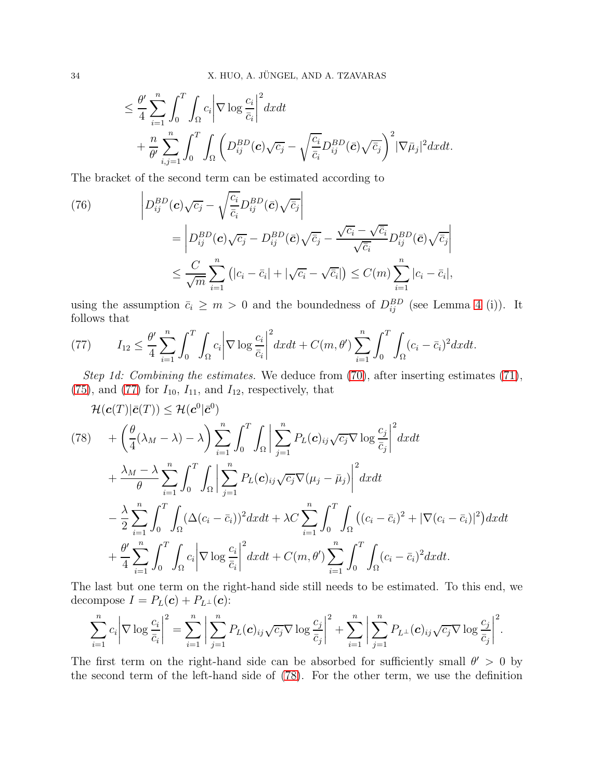$$
\leq \frac{\theta'}{4} \sum_{i=1}^n \int_0^T \int_{\Omega} c_i \left| \nabla \log \frac{c_i}{\bar{c}_i} \right|^2 dx dt + \frac{n}{\theta'} \sum_{i,j=1}^n \int_0^T \int_{\Omega} \left( D_{ij}^{BD}(\mathbf{c}) \sqrt{c_j} - \sqrt{\frac{c_i}{\bar{c}_i}} D_{ij}^{BD}(\bar{\mathbf{c}}) \sqrt{\bar{c}_j} \right)^2 \left| \nabla \bar{\mu}_j \right|^2 dx dt.
$$

The bracket of the second term can be estimated according to

<span id="page-33-2"></span>(76)  
\n
$$
\left| D_{ij}^{BD}(\mathbf{c})\sqrt{c_j} - \sqrt{\frac{c_i}{\bar{c}_i}} D_{ij}^{BD}(\bar{\mathbf{c}}) \sqrt{\bar{c}_j} \right|
$$
\n
$$
= \left| D_{ij}^{BD}(\mathbf{c})\sqrt{c_j} - D_{ij}^{BD}(\bar{\mathbf{c}}) \sqrt{\bar{c}_j} - \frac{\sqrt{c_i} - \sqrt{\bar{c}_i}}{\sqrt{\bar{c}_i}} D_{ij}^{BD}(\bar{\mathbf{c}}) \sqrt{\bar{c}_j} \right|
$$
\n
$$
\leq \frac{C}{\sqrt{m}} \sum_{i=1}^n \left( |c_i - \bar{c}_i| + |\sqrt{c_i} - \sqrt{\bar{c}_i}| \right) \leq C(m) \sum_{i=1}^n |c_i - \bar{c}_i|,
$$

using the assumption  $\bar{c}_i \geq m > 0$  and the boundedness of  $D_{ij}^{BD}$  (see Lemma [4](#page-8-0) (i)). It follows that

<span id="page-33-0"></span>(77) 
$$
I_{12} \leq \frac{\theta'}{4} \sum_{i=1}^n \int_0^T \int_{\Omega} c_i \left| \nabla \log \frac{c_i}{\bar{c}_i} \right|^2 dx dt + C(m, \theta') \sum_{i=1}^n \int_0^T \int_{\Omega} (c_i - \bar{c}_i)^2 dx dt.
$$

Step 1d: Combining the estimates. We deduce from [\(70\)](#page-29-1), after inserting estimates [\(71\)](#page-30-1), [\(75\)](#page-32-0), and [\(77\)](#page-33-0) for  $I_{10}$ ,  $I_{11}$ , and  $I_{12}$ , respectively, that

<span id="page-33-1"></span>
$$
\mathcal{H}(\mathbf{c}(T)|\bar{\mathbf{c}}(T)) \leq \mathcal{H}(\mathbf{c}^{0}|\bar{\mathbf{c}}^{0})
$$
\n
$$
(78) \quad + \left(\frac{\theta}{4}(\lambda_{M}-\lambda)-\lambda\right) \sum_{i=1}^{n} \int_{0}^{T} \int_{\Omega} \left| \sum_{j=1}^{n} P_{L}(\mathbf{c})_{ij} \sqrt{c_{j}} \nabla \log \frac{c_{j}}{\bar{c}_{j}} \right|^{2} dx dt
$$
\n
$$
+ \frac{\lambda_{M}-\lambda}{\theta} \sum_{i=1}^{n} \int_{0}^{T} \int_{\Omega} \left| \sum_{j=1}^{n} P_{L}(\mathbf{c})_{ij} \sqrt{c_{j}} \nabla (\mu_{j}-\bar{\mu}_{j}) \right|^{2} dx dt
$$
\n
$$
- \frac{\lambda}{2} \sum_{i=1}^{n} \int_{0}^{T} \int_{\Omega} (\Delta(c_{i}-\bar{c}_{i}))^{2} dx dt + \lambda C \sum_{i=1}^{n} \int_{0}^{T} \int_{\Omega} ((c_{i}-\bar{c}_{i})^{2} + |\nabla (c_{i}-\bar{c}_{i})|^{2}) dx dt
$$
\n
$$
+ \frac{\theta'}{4} \sum_{i=1}^{n} \int_{0}^{T} \int_{\Omega} c_{i} |\nabla \log \frac{c_{i}}{\bar{c}_{i}}|^{2} dx dt + C(m, \theta') \sum_{i=1}^{n} \int_{0}^{T} \int_{\Omega} (c_{i}-\bar{c}_{i})^{2} dx dt.
$$

The last but one term on the right-hand side still needs to be estimated. To this end, we decompose  $I = P_L(c) + P_{L^{\perp}}(c)$ :

$$
\sum_{i=1}^n c_i \left| \nabla \log \frac{c_i}{\bar{c}_i} \right|^2 = \sum_{i=1}^n \left| \sum_{j=1}^n P_L(\mathbf{c})_{ij} \sqrt{c_j} \nabla \log \frac{c_j}{\bar{c}_j} \right|^2 + \sum_{i=1}^n \left| \sum_{j=1}^n P_{L}(\mathbf{c})_{ij} \sqrt{c_j} \nabla \log \frac{c_j}{\bar{c}_j} \right|^2.
$$

The first term on the right-hand side can be absorbed for sufficiently small  $\theta' > 0$  by the second term of the left-hand side of [\(78\)](#page-33-1). For the other term, we use the definition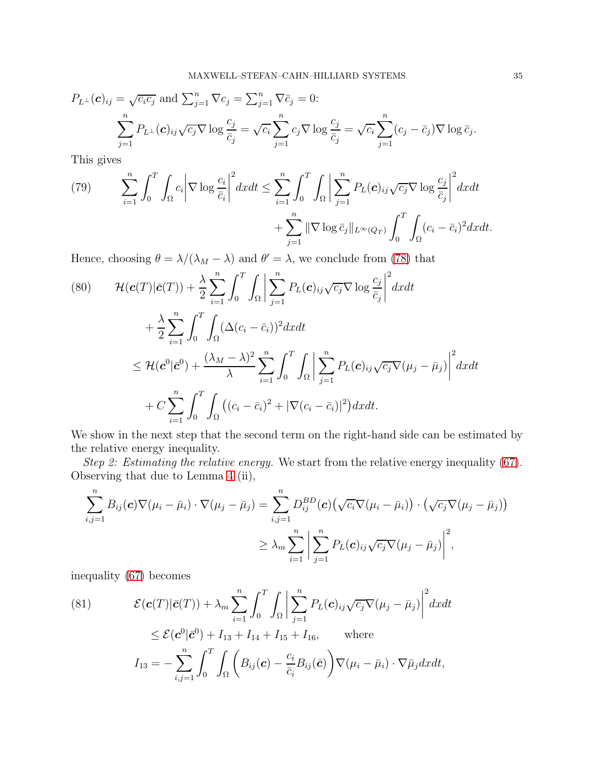$$
P_{L^{\perp}}(\mathbf{c})_{ij} = \sqrt{c_i c_j} \text{ and } \sum_{j=1}^n \nabla c_j = \sum_{j=1}^n \nabla \bar{c}_j = 0:
$$
  

$$
\sum_{j=1}^n P_{L^{\perp}}(\mathbf{c})_{ij} \sqrt{c_j} \nabla \log \frac{c_j}{\bar{c}_j} = \sqrt{c_i} \sum_{j=1}^n c_j \nabla \log \frac{c_j}{\bar{c}_j} = \sqrt{c_i} \sum_{j=1}^n (c_j - \bar{c}_j) \nabla \log \bar{c}_j.
$$

This gives

<span id="page-34-0"></span>(79) 
$$
\sum_{i=1}^{n} \int_{0}^{T} \int_{\Omega} c_{i} \left| \nabla \log \frac{c_{i}}{\bar{c}_{i}} \right|^{2} dx dt \leq \sum_{i=1}^{n} \int_{0}^{T} \int_{\Omega} \left| \sum_{j=1}^{n} P_{L}(\mathbf{c})_{ij} \sqrt{c_{j}} \nabla \log \frac{c_{j}}{\bar{c}_{j}} \right|^{2} dx dt + \sum_{j=1}^{n} \|\nabla \log \bar{c}_{j}\|_{L^{\infty}(Q_{T})} \int_{0}^{T} \int_{\Omega} (c_{i} - \bar{c}_{i})^{2} dx dt.
$$

Hence, choosing  $\theta = \lambda/(\lambda_M - \lambda)$  and  $\theta' = \lambda$ , we conclude from [\(78\)](#page-33-1) that

<span id="page-34-2"></span>
$$
(80) \qquad \mathcal{H}(\mathbf{c}(T)|\bar{\mathbf{c}}(T)) + \frac{\lambda}{2} \sum_{i=1}^{n} \int_{0}^{T} \int_{\Omega} \left| \sum_{j=1}^{n} P_{L}(\mathbf{c})_{ij} \sqrt{c_{j}} \nabla \log \frac{c_{j}}{\bar{c}_{j}} \right|^{2} dx dt + \frac{\lambda}{2} \sum_{i=1}^{n} \int_{0}^{T} \int_{\Omega} (\Delta(c_{i} - \bar{c}_{i}))^{2} dx dt \leq \mathcal{H}(\mathbf{c}^{0}|\bar{\mathbf{c}}^{0}) + \frac{(\lambda_{M} - \lambda)^{2}}{\lambda} \sum_{i=1}^{n} \int_{0}^{T} \int_{\Omega} \left| \sum_{j=1}^{n} P_{L}(\mathbf{c})_{ij} \sqrt{c_{j}} \nabla(\mu_{j} - \bar{\mu}_{j}) \right|^{2} dx dt + C \sum_{i=1}^{n} \int_{0}^{T} \int_{\Omega} ((c_{i} - \bar{c}_{i})^{2} + |\nabla(c_{i} - \bar{c}_{i})|^{2}) dx dt.
$$

We show in the next step that the second term on the right-hand side can be estimated by the relative energy inequality.

Step 2: Estimating the relative energy. We start from the relative energy inequality [\(67\)](#page-26-0). Observing that due to Lemma [4](#page-8-0) (ii),

$$
\sum_{i,j=1}^{n} B_{ij}(\mathbf{c}) \nabla(\mu_i - \bar{\mu}_i) \cdot \nabla(\mu_j - \bar{\mu}_j) = \sum_{i,j=1}^{n} D_{ij}^{BD}(\mathbf{c}) \big(\sqrt{c_i} \nabla(\mu_i - \bar{\mu}_i)\big) \cdot \big(\sqrt{c_j} \nabla(\mu_j - \bar{\mu}_j)\big)
$$
  

$$
\geq \lambda_m \sum_{i=1}^{n} \bigg| \sum_{j=1}^{n} P_L(\mathbf{c})_{ij} \sqrt{c_j} \nabla(\mu_j - \bar{\mu}_j) \bigg|^2,
$$

inequality [\(67\)](#page-26-0) becomes

<span id="page-34-1"></span>(81) 
$$
\mathcal{E}(\mathbf{c}(T)|\bar{\mathbf{c}}(T)) + \lambda_m \sum_{i=1}^n \int_0^T \int_{\Omega} \left| \sum_{j=1}^n P_L(\mathbf{c})_{ij} \sqrt{c_j} \nabla(\mu_j - \bar{\mu}_j) \right|^2 dx dt
$$
  

$$
\leq \mathcal{E}(\mathbf{c}^0|\bar{\mathbf{c}}^0) + I_{13} + I_{14} + I_{15} + I_{16}, \text{ where}
$$
  

$$
I_{13} = -\sum_{i,j=1}^n \int_0^T \int_{\Omega} \left( B_{ij}(\mathbf{c}) - \frac{c_i}{\bar{c}_i} B_{ij}(\bar{\mathbf{c}}) \right) \nabla(\mu_i - \bar{\mu}_i) \cdot \nabla \bar{\mu}_j dx dt,
$$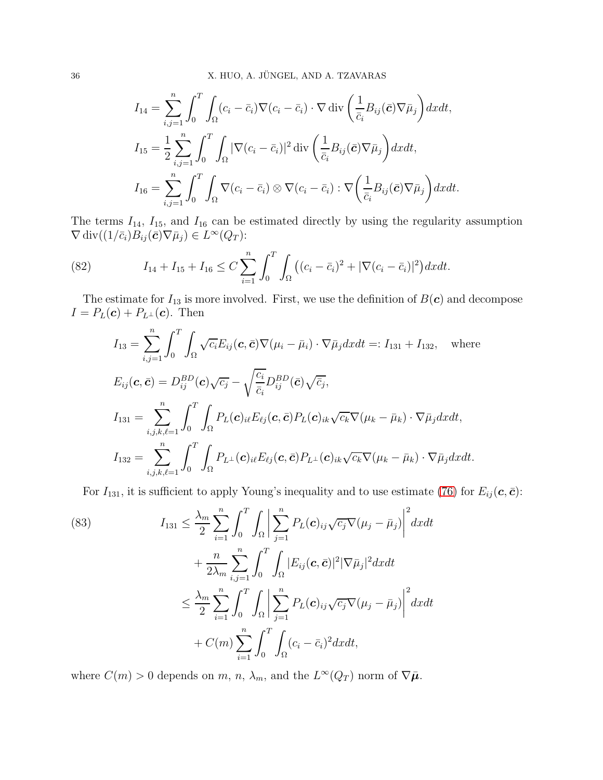$$
I_{14} = \sum_{i,j=1}^{n} \int_{0}^{T} \int_{\Omega} (c_i - \bar{c}_i) \nabla (c_i - \bar{c}_i) \cdot \nabla \operatorname{div} \left( \frac{1}{\bar{c}_i} B_{ij}(\bar{\mathbf{c}}) \nabla \bar{\mu}_j \right) dx dt,
$$
  
\n
$$
I_{15} = \frac{1}{2} \sum_{i,j=1}^{n} \int_{0}^{T} \int_{\Omega} |\nabla (c_i - \bar{c}_i)|^2 \operatorname{div} \left( \frac{1}{\bar{c}_i} B_{ij}(\bar{\mathbf{c}}) \nabla \bar{\mu}_j \right) dx dt,
$$
  
\n
$$
I_{16} = \sum_{i,j=1}^{n} \int_{0}^{T} \int_{\Omega} \nabla (c_i - \bar{c}_i) \otimes \nabla (c_i - \bar{c}_i) : \nabla \left( \frac{1}{\bar{c}_i} B_{ij}(\bar{\mathbf{c}}) \nabla \bar{\mu}_j \right) dx dt.
$$

The terms  $I_{14}$ ,  $I_{15}$ , and  $I_{16}$  can be estimated directly by using the regularity assumption  $\nabla \operatorname{div}((1/\bar{c}_i)B_{ij}(\bar{\boldsymbol{c}})\nabla \bar{\mu}_j) \in L^{\infty}(Q_T)$ :

<span id="page-35-1"></span>(82) 
$$
I_{14} + I_{15} + I_{16} \leq C \sum_{i=1}^{n} \int_{0}^{T} \int_{\Omega} \left( (c_i - \bar{c}_i)^2 + |\nabla (c_i - \bar{c}_i)|^2 \right) dx dt.
$$

The estimate for  $I_{13}$  is more involved. First, we use the definition of  $B(c)$  and decompose  $I = P_L(c) + P_{L^{\perp}}(c)$ . Then

$$
I_{13} = \sum_{i,j=1}^{n} \int_{0}^{T} \int_{\Omega} \sqrt{c_{i}} E_{ij}(\mathbf{c}, \bar{\mathbf{c}}) \nabla(\mu_{i} - \bar{\mu}_{i}) \cdot \nabla \bar{\mu}_{j} dx dt =: I_{131} + I_{132}, \text{ where}
$$
  
\n
$$
E_{ij}(\mathbf{c}, \bar{\mathbf{c}}) = D_{ij}^{BD}(\mathbf{c}) \sqrt{c_{j}} - \sqrt{\frac{c_{i}}{\bar{c}_{i}}} D_{ij}^{BD}(\bar{\mathbf{c}}) \sqrt{\bar{c}_{j}},
$$
  
\n
$$
I_{131} = \sum_{i,j,k,\ell=1}^{n} \int_{0}^{T} \int_{\Omega} P_{L}(\mathbf{c})_{i\ell} E_{\ell j}(\mathbf{c}, \bar{\mathbf{c}}) P_{L}(\mathbf{c})_{ik} \sqrt{c_{k}} \nabla(\mu_{k} - \bar{\mu}_{k}) \cdot \nabla \bar{\mu}_{j} dx dt,
$$
  
\n
$$
I_{132} = \sum_{i,j,k,\ell=1}^{n} \int_{0}^{T} \int_{\Omega} P_{L}(\mathbf{c})_{i\ell} E_{\ell j}(\mathbf{c}, \bar{\mathbf{c}}) P_{L}(\mathbf{c})_{ik} \sqrt{c_{k}} \nabla(\mu_{k} - \bar{\mu}_{k}) \cdot \nabla \bar{\mu}_{j} dx dt.
$$

For  $I_{131}$ , it is sufficient to apply Young's inequality and to use estimate [\(76\)](#page-33-2) for  $E_{ij}(\mathbf{c}, \bar{\mathbf{c}})$ :

<span id="page-35-0"></span>(83) 
$$
I_{131} \leq \frac{\lambda_m}{2} \sum_{i=1}^n \int_0^T \int_{\Omega} \left| \sum_{j=1}^n P_L(\mathbf{c})_{ij} \sqrt{c_j} \nabla(\mu_j - \bar{\mu}_j) \right|^2 dx dt + \frac{n}{2\lambda_m} \sum_{i,j=1}^n \int_0^T \int_{\Omega} |E_{ij}(\mathbf{c}, \bar{\mathbf{c}})|^2 |\nabla \bar{\mu}_j|^2 dx dt \leq \frac{\lambda_m}{2} \sum_{i=1}^n \int_0^T \int_{\Omega} \left| \sum_{j=1}^n P_L(\mathbf{c})_{ij} \sqrt{c_j} \nabla(\mu_j - \bar{\mu}_j) \right|^2 dx dt + C(m) \sum_{i=1}^n \int_0^T \int_{\Omega} (c_i - \bar{c}_i)^2 dx dt,
$$

where  $C(m) > 0$  depends on  $m, n, \lambda_m$ , and the  $L^{\infty}(Q_T)$  norm of  $\nabla \bar{\mu}$ .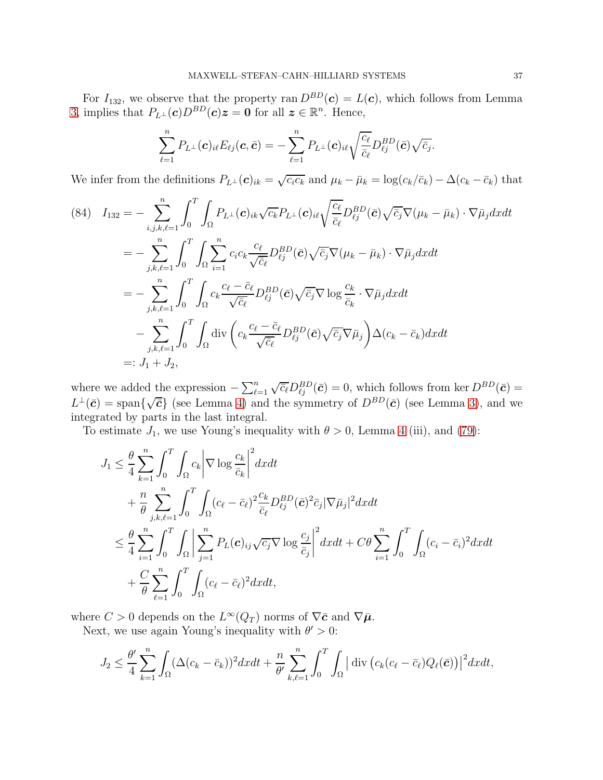For  $I_{132}$ , we observe that the property ran  $D^{BD}(\mathbf{c}) = L(\mathbf{c})$ , which follows from Lemma [3,](#page-7-0) implies that  $P_{L^{\perp}}(c)D^{BD}(c)z = 0$  for all  $z \in \mathbb{R}^n$ . Hence,

$$
\sum_{\ell=1}^n P_{L^{\perp}}(\boldsymbol{c})_{i\ell} E_{\ell j}(\boldsymbol{c},\bar{\boldsymbol{c}}) = -\sum_{\ell=1}^n P_{L^{\perp}}(\boldsymbol{c})_{i\ell} \sqrt{\frac{c_{\ell}}{\bar{c}_{\ell}}} D_{\ell j}^{BD}(\bar{\boldsymbol{c}}) \sqrt{\bar{c}_j}.
$$

We infer from the definitions  $P_{L^{\perp}}(c)_{ik} = \sqrt{c_i c_k}$  and  $\mu_k - \bar{\mu}_k = \log(c_k/\bar{c}_k) - \Delta(c_k - \bar{c}_k)$  that

<span id="page-36-0"></span>
$$
(84) \quad I_{132} = -\sum_{i,j,k,\ell=1}^{n} \int_{0}^{T} \int_{\Omega} P_{L^{\perp}}(\mathbf{c})_{ik} \sqrt{c_{k}} P_{L^{\perp}}(\mathbf{c})_{i\ell} \sqrt{\frac{c_{\ell}}{\bar{c}_{\ell}}} D_{\ell j}^{BD}(\bar{\mathbf{c}}) \sqrt{\bar{c}_{j}} \nabla(\mu_{k} - \bar{\mu}_{k}) \cdot \nabla \bar{\mu}_{j} dx dt
$$
  
\n
$$
= -\sum_{j,k,\ell=1}^{n} \int_{0}^{T} \int_{\Omega} \sum_{i=1}^{n} c_{i} c_{k} \frac{c_{\ell}}{\sqrt{\bar{c}_{\ell}}} D_{\ell j}^{BD}(\bar{\mathbf{c}}) \sqrt{\bar{c}_{j}} \nabla(\mu_{k} - \bar{\mu}_{k}) \cdot \nabla \bar{\mu}_{j} dx dt
$$
  
\n
$$
= -\sum_{j,k,\ell=1}^{n} \int_{0}^{T} \int_{\Omega} c_{k} \frac{c_{\ell} - \bar{c}_{\ell}}{\sqrt{\bar{c}_{\ell}}} D_{\ell j}^{BD}(\bar{\mathbf{c}}) \sqrt{\bar{c}_{j}} \nabla \log \frac{c_{k}}{\bar{c}_{k}} \cdot \nabla \bar{\mu}_{j} dx dt
$$
  
\n
$$
- \sum_{j,k,\ell=1}^{n} \int_{0}^{T} \int_{\Omega} \text{div}\left(c_{k} \frac{c_{\ell} - \bar{c}_{\ell}}{\sqrt{\bar{c}_{\ell}}} D_{\ell j}^{BD}(\bar{\mathbf{c}}) \sqrt{\bar{c}_{j}} \nabla \bar{\mu}_{j}\right) \Delta(c_{k} - \bar{c}_{k}) dx dt
$$
  
\n
$$
=: J_{1} + J_{2},
$$

where we added the expression  $-\sum_{\ell=1}^n \sqrt{\overline{c}_{\ell}} D_{\ell j}^{BD}(\bar{c}) = 0$ , which follows from ker  $D^{BD}(\bar{c}) = 0$  $L^{\perp}(\bar{c}) = \text{span}\{\sqrt{\bar{c}}\}$  (see Lemma [4\)](#page-8-0) and the symmetry of  $D^{BD}(\bar{c})$  (see Lemma [3\)](#page-7-0), and we integrated by parts in the last integral.

To estimate  $J_1$ , we use Young's inequality with  $\theta > 0$ , Lemma [4](#page-8-0) (iii), and [\(79\)](#page-34-0):

$$
J_1 \leq \frac{\theta}{4} \sum_{k=1}^n \int_0^T \int_{\Omega} c_k \left| \nabla \log \frac{c_k}{\bar{c}_k} \right|^2 dx dt
$$
  
+ 
$$
\frac{n}{\theta} \sum_{j,k,\ell=1}^n \int_0^T \int_{\Omega} (c_\ell - \bar{c}_\ell)^2 \frac{c_k}{\bar{c}_\ell} D_{\ell j}^{BD} (\bar{\mathbf{c}})^2 \bar{c}_j |\nabla \bar{\mu}_j|^2 dx dt
$$
  

$$
\leq \frac{\theta}{4} \sum_{i=1}^n \int_0^T \int_{\Omega} \left| \sum_{j=1}^n P_L(\mathbf{c})_{ij} \sqrt{c_j} \nabla \log \frac{c_j}{\bar{c}_j} \right|^2 dx dt + C\theta \sum_{i=1}^n \int_0^T \int_{\Omega} (c_i - \bar{c}_i)^2 dx dt
$$
  
+ 
$$
\frac{C}{\theta} \sum_{\ell=1}^n \int_0^T \int_{\Omega} (c_\ell - \bar{c}_\ell)^2 dx dt,
$$

where  $C > 0$  depends on the  $L^{\infty}(Q_T)$  norms of  $\nabla \bar{\mathbf{c}}$  and  $\nabla \bar{\mathbf{\mu}}$ .

Next, we use again Young's inequality with  $\theta' > 0$ :

$$
J_2 \leq \frac{\theta'}{4} \sum_{k=1}^n \int_{\Omega} (\Delta(c_k - \bar{c}_k))^2 dxdt + \frac{n}{\theta'} \sum_{k,\ell=1}^n \int_0^T \int_{\Omega} |\operatorname{div} (c_k(c_\ell - \bar{c}_\ell) Q_\ell(\bar{c}))|^2 dxdt,
$$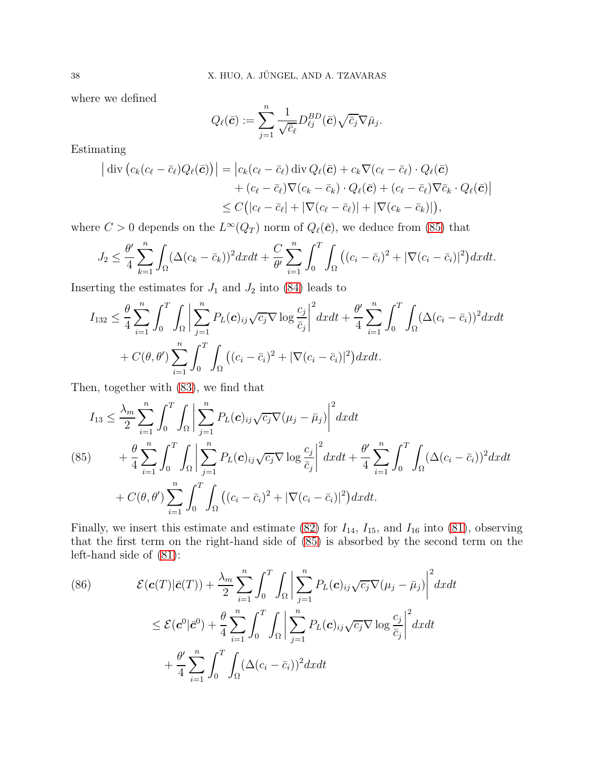where we defined

$$
Q_{\ell}(\bar{\boldsymbol{c}}):=\sum_{j=1}^{n}\frac{1}{\sqrt{\bar{c}_{\ell}}}D_{\ell j}^{BD}(\bar{\boldsymbol{c}})\sqrt{\bar{c}_{j}}\nabla\bar{\mu}_{j}.
$$

Estimating

$$
\begin{aligned} \left| \text{ div } \left( c_k (c_\ell - \bar{c}_\ell) Q_\ell(\bar{\mathbf{c}}) \right) \right| &= \left| c_k (c_\ell - \bar{c}_\ell) \text{ div } Q_\ell(\bar{\mathbf{c}}) + c_k \nabla (c_\ell - \bar{c}_\ell) \cdot Q_\ell(\bar{\mathbf{c}}) \right| \\ &+ (c_\ell - \bar{c}_\ell) \nabla (c_k - \bar{c}_k) \cdot Q_\ell(\bar{\mathbf{c}}) + (c_\ell - \bar{c}_\ell) \nabla \bar{c}_k \cdot Q_\ell(\bar{\mathbf{c}}) \right| \\ &\leq C \left( |c_\ell - \bar{c}_\ell| + |\nabla (c_\ell - \bar{c}_\ell)| + |\nabla (c_k - \bar{c}_k)| \right), \end{aligned}
$$

where  $C > 0$  depends on the  $L^{\infty}(Q_T)$  norm of  $Q_{\ell}(\bar{c})$ , we deduce from [\(85\)](#page-37-0) that

$$
J_2 \leq \frac{\theta'}{4} \sum_{k=1}^n \int_{\Omega} (\Delta(c_k - \bar{c}_k))^2 dx dt + \frac{C}{\theta'} \sum_{i=1}^n \int_0^T \int_{\Omega} \left( (c_i - \bar{c}_i)^2 + |\nabla(c_i - \bar{c}_i)|^2 \right) dx dt.
$$

Inserting the estimates for  $J_1$  and  $J_2$  into [\(84\)](#page-36-0) leads to

$$
I_{132} \leq \frac{\theta}{4} \sum_{i=1}^{n} \int_{0}^{T} \int_{\Omega} \left| \sum_{j=1}^{n} P_{L}(\mathbf{c})_{ij} \sqrt{c_{j}} \nabla \log \frac{c_{j}}{\bar{c}_{j}} \right|^{2} dx dt + \frac{\theta'}{4} \sum_{i=1}^{n} \int_{0}^{T} \int_{\Omega} (\Delta(c_{i} - \bar{c}_{i}))^{2} dx dt
$$
  
+  $C(\theta, \theta') \sum_{i=1}^{n} \int_{0}^{T} \int_{\Omega} ((c_{i} - \bar{c}_{i})^{2} + |\nabla(c_{i} - \bar{c}_{i})|^{2}) dx dt.$ 

Then, together with [\(83\)](#page-35-0), we find that

<span id="page-37-0"></span>
$$
I_{13} \leq \frac{\lambda_m}{2} \sum_{i=1}^n \int_0^T \int_{\Omega} \left| \sum_{j=1}^n P_L(\mathbf{c})_{ij} \sqrt{c_j} \nabla (\mu_j - \bar{\mu}_j) \right|^2 dx dt
$$
  
\n(85) 
$$
+ \frac{\theta}{4} \sum_{i=1}^n \int_0^T \int_{\Omega} \left| \sum_{j=1}^n P_L(\mathbf{c})_{ij} \sqrt{c_j} \nabla \log \frac{c_j}{\bar{c}_j} \right|^2 dx dt + \frac{\theta'}{4} \sum_{i=1}^n \int_0^T \int_{\Omega} (\Delta(c_i - \bar{c}_i))^2 dx dt
$$
  
\n
$$
+ C(\theta, \theta') \sum_{i=1}^n \int_0^T \int_{\Omega} ((c_i - \bar{c}_i)^2 + |\nabla (c_i - \bar{c}_i)|^2) dx dt.
$$

Finally, we insert this estimate and estimate [\(82\)](#page-35-1) for  $I_{14}$ ,  $I_{15}$ , and  $I_{16}$  into [\(81\)](#page-34-1), observing that the first term on the right-hand side of [\(85\)](#page-37-0) is absorbed by the second term on the left-hand side of [\(81\)](#page-34-1):

<span id="page-37-1"></span>(86) 
$$
\mathcal{E}(\mathbf{c}(T)|\bar{\mathbf{c}}(T)) + \frac{\lambda_m}{2} \sum_{i=1}^n \int_0^T \int_{\Omega} \left| \sum_{j=1}^n P_L(\mathbf{c})_{ij} \sqrt{c_j} \nabla(\mu_j - \bar{\mu}_j) \right|^2 dx dt
$$

$$
\leq \mathcal{E}(\mathbf{c}^0|\bar{\mathbf{c}}^0) + \frac{\theta}{4} \sum_{i=1}^n \int_0^T \int_{\Omega} \left| \sum_{j=1}^n P_L(\mathbf{c})_{ij} \sqrt{c_j} \nabla \log \frac{c_j}{\bar{c}_j} \right|^2 dx dt
$$

$$
+ \frac{\theta'}{4} \sum_{i=1}^n \int_0^T \int_{\Omega} (\Delta(c_i - \bar{c}_i))^2 dx dt
$$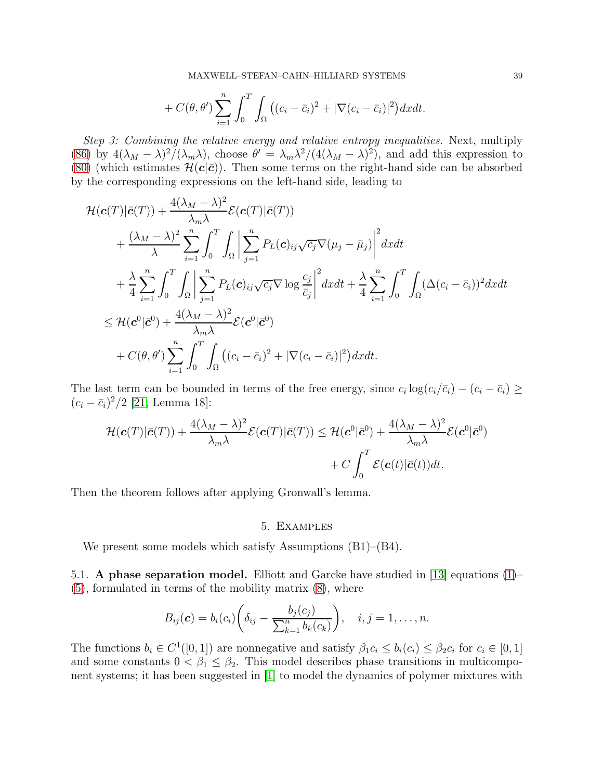MAXWELL–STEFAN–CAHN–HILLIARD SYSTEMS 39

$$
+ C(\theta, \theta') \sum_{i=1}^n \int_0^T \int_{\Omega} \left( (c_i - \bar{c}_i)^2 + |\nabla (c_i - \bar{c}_i)|^2 \right) dx dt.
$$

Step 3: Combining the relative energy and relative entropy inequalities. Next, multiply [\(86\)](#page-37-1) by  $4(\lambda_M - \lambda)^2/(\lambda_m \lambda)$ , choose  $\theta' = \lambda_m \lambda^2/(4(\lambda_M - \lambda)^2)$ , and add this expression to [\(80\)](#page-34-2) (which estimates  $\mathcal{H}(c|\bar{c})$ ). Then some terms on the right-hand side can be absorbed by the corresponding expressions on the left-hand side, leading to

$$
\mathcal{H}(\mathbf{c}(T)|\bar{\mathbf{c}}(T)) + \frac{4(\lambda_M - \lambda)^2}{\lambda_m \lambda} \mathcal{E}(\mathbf{c}(T)|\bar{\mathbf{c}}(T)) \n+ \frac{(\lambda_M - \lambda)^2}{\lambda} \sum_{i=1}^n \int_0^T \int_{\Omega} \left| \sum_{j=1}^n P_L(\mathbf{c})_{ij} \sqrt{c_j} \nabla(\mu_j - \bar{\mu}_j) \right|^2 dx dt \n+ \frac{\lambda}{4} \sum_{i=1}^n \int_0^T \int_{\Omega} \left| \sum_{j=1}^n P_L(\mathbf{c})_{ij} \sqrt{c_j} \nabla \log \frac{c_j}{\bar{c}_j} \right|^2 dx dt + \frac{\lambda}{4} \sum_{i=1}^n \int_0^T \int_{\Omega} (\Delta(c_i - \bar{c}_i))^2 dx dt \n\leq \mathcal{H}(\mathbf{c}^0|\bar{\mathbf{c}}^0) + \frac{4(\lambda_M - \lambda)^2}{\lambda_m \lambda} \mathcal{E}(\mathbf{c}^0|\bar{\mathbf{c}}^0) \n+ C(\theta, \theta') \sum_{i=1}^n \int_0^T \int_{\Omega} ((c_i - \bar{c}_i)^2 + |\nabla(c_i - \bar{c}_i)|^2) dx dt.
$$

The last term can be bounded in terms of the free energy, since  $c_i \log(c_i/\bar{c}_i) - (c_i - \bar{c}_i) \ge$  $(c_i - \bar{c}_i)^2/2$  [\[21,](#page-41-9) Lemma 18]:

$$
\mathcal{H}(\mathbf{c}(T)|\bar{\mathbf{c}}(T)) + \frac{4(\lambda_M - \lambda)^2}{\lambda_m \lambda} \mathcal{E}(\mathbf{c}(T)|\bar{\mathbf{c}}(T)) \leq \mathcal{H}(\mathbf{c}^0|\bar{\mathbf{c}}^0) + \frac{4(\lambda_M - \lambda)^2}{\lambda_m \lambda} \mathcal{E}(\mathbf{c}^0|\bar{\mathbf{c}}^0) + C \int_0^T \mathcal{E}(\mathbf{c}(t)|\bar{\mathbf{c}}(t))dt.
$$

<span id="page-38-0"></span>Then the theorem follows after applying Gronwall's lemma.

## 5. Examples

We present some models which satisfy Assumptions (B1)–(B4).

5.1. A phase separation model. Elliott and Garcke have studied in [\[13\]](#page-40-7) equations [\(1\)](#page-0-0)– [\(5\)](#page-1-1), formulated in terms of the mobility matrix [\(8\)](#page-2-0), where

$$
B_{ij}(\boldsymbol{c})=b_i(c_i)\bigg(\delta_{ij}-\frac{b_j(c_j)}{\sum_{k=1}^n b_k(c_k)}\bigg), \quad i,j=1,\ldots,n.
$$

The functions  $b_i \in C^1([0,1])$  are nonnegative and satisfy  $\beta_1 c_i \leq b_i(c_i) \leq \beta_2 c_i$  for  $c_i \in [0,1]$ and some constants  $0 < \beta_1 \leq \beta_2$ . This model describes phase transitions in multicomponent systems; it has been suggested in [\[1\]](#page-40-17) to model the dynamics of polymer mixtures with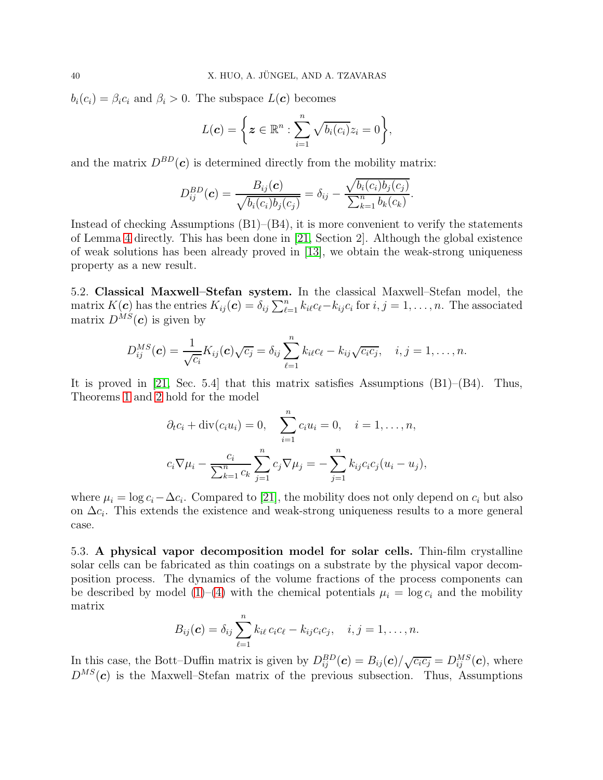$b_i(c_i) = \beta_i c_i$  and  $\beta_i > 0$ . The subspace  $L(c)$  becomes

$$
L(\boldsymbol{c}) = \left\{ \boldsymbol{z} \in \mathbb{R}^n : \sum_{i=1}^n \sqrt{b_i(c_i)} z_i = 0 \right\},\
$$

and the matrix  $D^{BD}(\mathbf{c})$  is determined directly from the mobility matrix:

$$
D_{ij}^{BD}(\mathbf{c}) = \frac{B_{ij}(\mathbf{c})}{\sqrt{b_i(c_i)b_j(c_j)}} = \delta_{ij} - \frac{\sqrt{b_i(c_i)b_j(c_j)}}{\sum_{k=1}^n b_k(c_k)}.
$$

Instead of checking Assumptions  $(B1)$ – $(B4)$ , it is more convenient to verify the statements of Lemma [4](#page-8-0) directly. This has been done in [\[21,](#page-41-9) Section 2]. Although the global existence of weak solutions has been already proved in [\[13\]](#page-40-7), we obtain the weak-strong uniqueness property as a new result.

5.2. Classical Maxwell–Stefan system. In the classical Maxwell–Stefan model, the matrix  $K(c)$  has the entries  $K_{ij}(c) = \delta_{ij} \sum_{\ell=1}^n k_{i\ell} c_{\ell} - k_{ij} c_i$  for  $i, j = 1, \ldots, n$ . The associated matrix  $D^{MS}(\boldsymbol{c})$  is given by

$$
D_{ij}^{MS}(\boldsymbol{c})=\frac{1}{\sqrt{c_i}}K_{ij}(\boldsymbol{c})\sqrt{c_j}=\delta_{ij}\sum_{\ell=1}^n k_{i\ell}c_{\ell}-k_{ij}\sqrt{c_ic_j}, \quad i,j=1,\ldots,n.
$$

It is proved in [\[21,](#page-41-9) Sec. 5.4] that this matrix satisfies Assumptions (B1)–(B4). Thus, Theorems [1](#page-4-1) and [2](#page-5-1) hold for the model

$$
\partial_t c_i + \text{div}(c_i u_i) = 0, \quad \sum_{i=1}^n c_i u_i = 0, \quad i = 1, ..., n,
$$
  

$$
c_i \nabla \mu_i - \frac{c_i}{\sum_{k=1}^n c_k} \sum_{j=1}^n c_j \nabla \mu_j = -\sum_{j=1}^n k_{ij} c_i c_j (u_i - u_j),
$$

where  $\mu_i = \log c_i - \Delta c_i$ . Compared to [\[21\]](#page-41-9), the mobility does not only depend on  $c_i$  but also on  $\Delta c_i$ . This extends the existence and weak-strong uniqueness results to a more general case.

5.3. A physical vapor decomposition model for solar cells. Thin-film crystalline solar cells can be fabricated as thin coatings on a substrate by the physical vapor decomposition process. The dynamics of the volume fractions of the process components can be described by model [\(1\)](#page-0-0)–[\(4\)](#page-1-2) with the chemical potentials  $\mu_i = \log c_i$  and the mobility matrix

$$
B_{ij}(\boldsymbol{c}) = \delta_{ij} \sum_{\ell=1}^n k_{i\ell} c_i c_{\ell} - k_{ij} c_i c_j, \quad i, j = 1, \dots, n.
$$

In this case, the Bott–Duffin matrix is given by  $D_{ij}^{BD}(\mathbf{c}) = B_{ij}(\mathbf{c})/\sqrt{c_i c_j} = D_{ij}^{MS}(\mathbf{c})$ , where  $D^{MS}(\boldsymbol{c})$  is the Maxwell–Stefan matrix of the previous subsection. Thus, Assumptions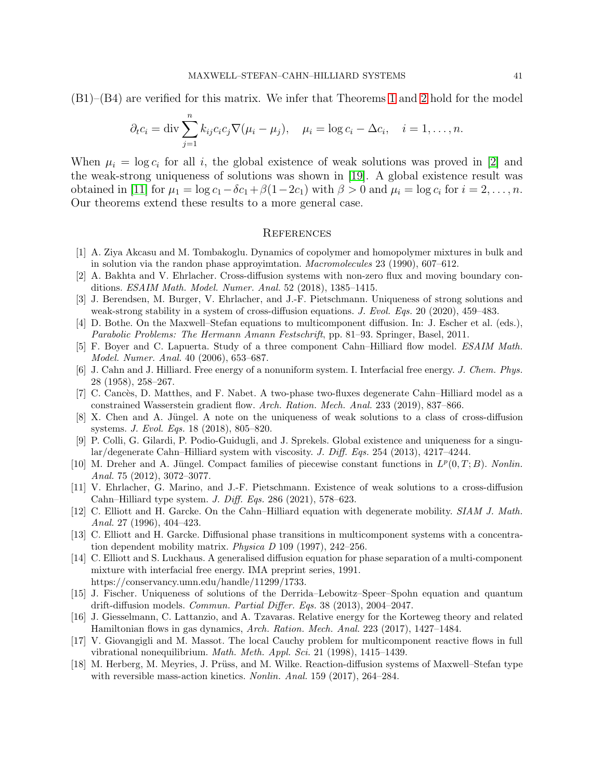(B1)–(B4) are verified for this matrix. We infer that Theorems [1](#page-4-1) and [2](#page-5-1) hold for the model

$$
\partial_t c_i = \text{div} \sum_{j=1}^n k_{ij} c_i c_j \nabla (\mu_i - \mu_j), \quad \mu_i = \log c_i - \Delta c_i, \quad i = 1, \dots, n.
$$

When  $\mu_i = \log c_i$  for all i, the global existence of weak solutions was proved in [\[2\]](#page-40-8) and the weak-strong uniqueness of solutions was shown in [\[19\]](#page-41-12). A global existence result was obtained in [\[11\]](#page-40-6) for  $\mu_1 = \log c_1 - \delta c_1 + \beta(1-2c_1)$  with  $\beta > 0$  and  $\mu_i = \log c_i$  for  $i = 2, \ldots, n$ . Our theorems extend these results to a more general case.

#### **REFERENCES**

- <span id="page-40-17"></span><span id="page-40-8"></span>[1] A. Ziya Akcasu and M. Tombakoglu. Dynamics of copolymer and homopolymer mixtures in bulk and in solution via the randon phase approyimtation. Macromolecules 23 (1990), 607–612.
- <span id="page-40-9"></span>[2] A. Bakhta and V. Ehrlacher. Cross-diffusion systems with non-zero flux and moving boundary conditions. ESAIM Math. Model. Numer. Anal. 52 (2018), 1385–1415.
- [3] J. Berendsen, M. Burger, V. Ehrlacher, and J.-F. Pietschmann. Uniqueness of strong solutions and weak-strong stability in a system of cross-diffusion equations. J. Evol. Eqs. 20 (2020), 459–483.
- <span id="page-40-1"></span>[4] D. Bothe. On the Maxwell–Stefan equations to multicomponent diffusion. In: J. Escher et al. (eds.), Parabolic Problems: The Hermann Amann Festschrift, pp. 81–93. Springer, Basel, 2011.
- <span id="page-40-5"></span>[5] F. Boyer and C. Lapuerta. Study of a three component Cahn–Hilliard flow model. ESAIM Math. Model. Numer. Anal. 40 (2006), 653–687.
- <span id="page-40-0"></span>[6] J. Cahn and J. Hilliard. Free energy of a nonuniform system. I. Interfacial free energy. J. Chem. Phys. 28 (1958), 258–267.
- <span id="page-40-13"></span>[7] C. Canc`es, D. Matthes, and F. Nabet. A two-phase two-fluxes degenerate Cahn–Hilliard model as a constrained Wasserstein gradient flow. Arch. Ration. Mech. Anal. 233 (2019), 837–866.
- <span id="page-40-10"></span>[8] X. Chen and A. Jüngel. A note on the uniqueness of weak solutions to a class of cross-diffusion systems. J. Evol. Eqs. 18 (2018), 805–820.
- <span id="page-40-11"></span>[9] P. Colli, G. Gilardi, P. Podio-Guidugli, and J. Sprekels. Global existence and uniqueness for a singular/degenerate Cahn–Hilliard system with viscosity. J. Diff. Eqs. 254 (2013), 4217–4244.
- <span id="page-40-15"></span>[10] M. Dreher and A. Jüngel. Compact families of piecewise constant functions in  $L^p(0,T;B)$ . Nonlin. Anal. 75 (2012), 3072–3077.
- <span id="page-40-6"></span>[11] V. Ehrlacher, G. Marino, and J.-F. Pietschmann. Existence of weak solutions to a cross-diffusion Cahn–Hilliard type system. J. Diff. Eqs. 286 (2021), 578–623.
- <span id="page-40-4"></span>[12] C. Elliott and H. Garcke. On the Cahn–Hilliard equation with degenerate mobility. SIAM J. Math. Anal. 27 (1996), 404–423.
- <span id="page-40-7"></span>[13] C. Elliott and H. Garcke. Diffusional phase transitions in multicomponent systems with a concentration dependent mobility matrix. Physica D 109 (1997), 242–256.
- <span id="page-40-16"></span>[14] C. Elliott and S. Luckhaus. A generalised diffusion equation for phase separation of a multi-component mixture with interfacial free energy. IMA preprint series, 1991. https://conservancy.umn.edu/handle/11299/1733.
- <span id="page-40-12"></span>[15] J. Fischer. Uniqueness of solutions of the Derrida–Lebowitz–Speer–Spohn equation and quantum drift-diffusion models. Commun. Partial Differ. Eqs. 38 (2013), 2004–2047.
- <span id="page-40-14"></span>[16] J. Giesselmann, C. Lattanzio, and A. Tzavaras. Relative energy for the Korteweg theory and related Hamiltonian flows in gas dynamics, Arch. Ration. Mech. Anal. 223 (2017), 1427–1484.
- <span id="page-40-2"></span>[17] V. Giovangigli and M. Massot. The local Cauchy problem for multicomponent reactive flows in full vibrational nonequilibrium. Math. Meth. Appl. Sci. 21 (1998), 1415–1439.
- <span id="page-40-3"></span>[18] M. Herberg, M. Meyries, J. Prüss, and M. Wilke. Reaction-diffusion systems of Maxwell–Stefan type with reversible mass-action kinetics. Nonlin. Anal. 159 (2017), 264–284.